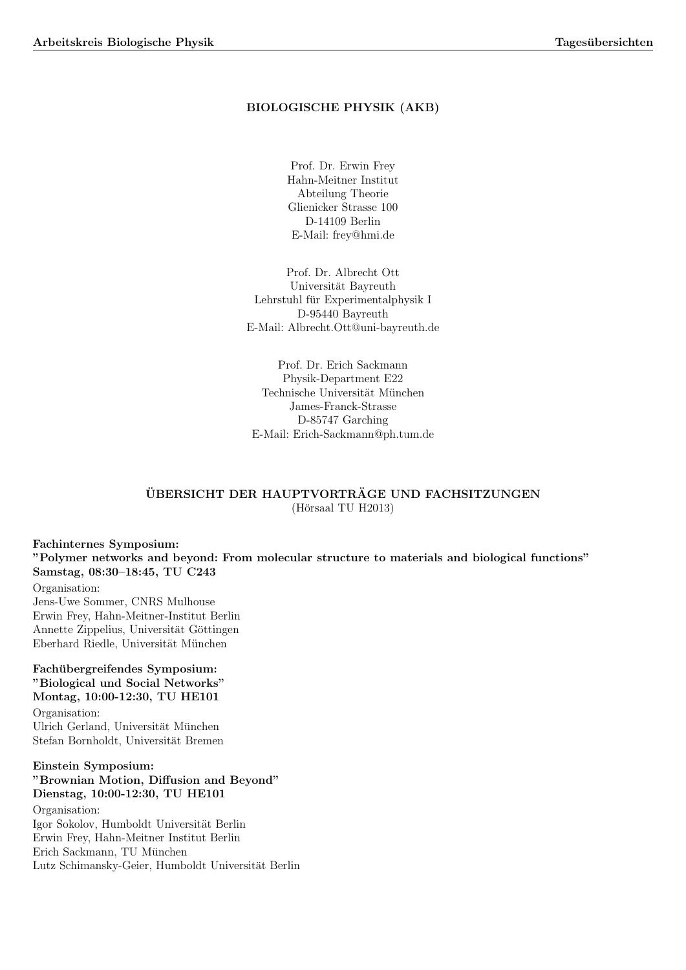# BIOLOGISCHE PHYSIK (AKB)

Prof. Dr. Erwin Frey Hahn-Meitner Institut Abteilung Theorie Glienicker Strasse 100 D-14109 Berlin E-Mail: frey@hmi.de

Prof. Dr. Albrecht Ott Universität Bayreuth Lehrstuhl für Experimentalphysik I D-95440 Bayreuth E-Mail: Albrecht.Ott@uni-bayreuth.de

Prof. Dr. Erich Sackmann Physik-Department E22 Technische Universität München James-Franck-Strasse D-85747 Garching E-Mail: Erich-Sackmann@ph.tum.de

# ÜBERSICHT DER HAUPTVORTRÄGE UND FACHSITZUNGEN  $(Hörsaal TU H2013)$

Fachinternes Symposium: "Polymer networks and beyond: From molecular structure to materials and biological functions" Samstag, 08:30–18:45, TU C243 Organisation: Jens-Uwe Sommer, CNRS Mulhouse Erwin Frey, Hahn-Meitner-Institut Berlin Annette Zippelius, Universität Göttingen Eberhard Riedle, Universität München Fachübergreifendes Symposium: "Biological und Social Networks" Montag, 10:00-12:30, TU HE101 Organisation: Ulrich Gerland, Universität München

Stefan Bornholdt, Universität Bremen

# Einstein Symposium: "Brownian Motion, Diffusion and Beyond" Dienstag, 10:00-12:30, TU HE101

Organisation: Igor Sokolov, Humboldt Universität Berlin Erwin Frey, Hahn-Meitner Institut Berlin Erich Sackmann, TU München Lutz Schimansky-Geier, Humboldt Universität Berlin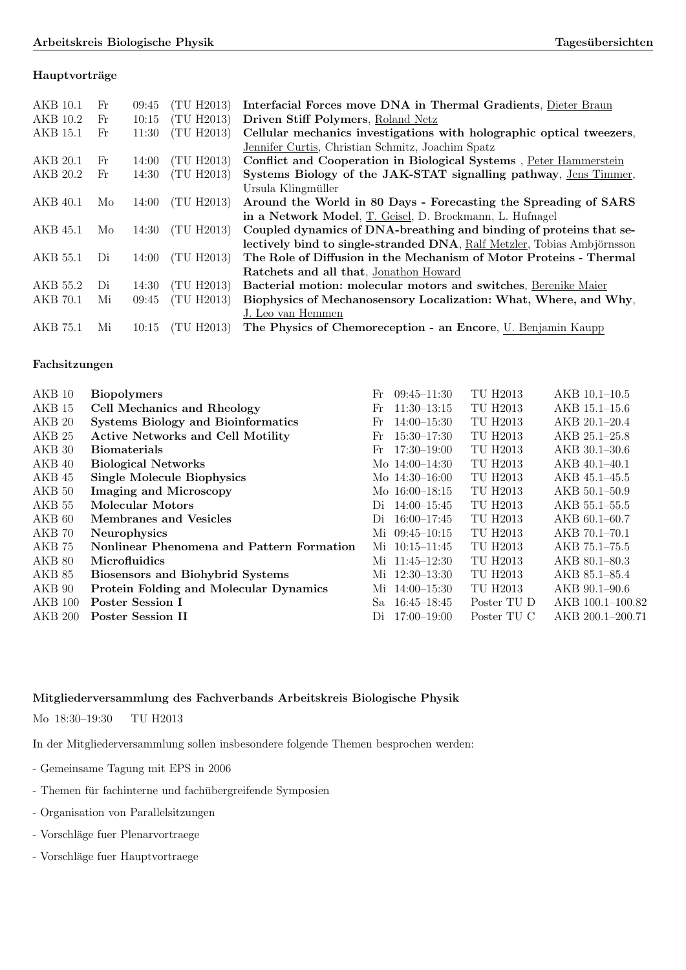# Hauptvorträge

| AKB 10.1 | Fr | 09:45 | (TU H2013) | Interfacial Forces move DNA in Thermal Gradients, Dieter Braun          |  |  |
|----------|----|-------|------------|-------------------------------------------------------------------------|--|--|
| AKB 10.2 | Fr | 10:15 | (TU H2013) | Driven Stiff Polymers, Roland Netz                                      |  |  |
| AKB 15.1 | Fr | 11:30 | (TU H2013) | Cellular mechanics investigations with holographic optical tweezers,    |  |  |
|          |    |       |            | Jennifer Curtis, Christian Schmitz, Joachim Spatz                       |  |  |
| AKB 20.1 | Fr | 14:00 | (TU H2013) | Conflict and Cooperation in Biological Systems, Peter Hammerstein       |  |  |
| AKB 20.2 | Fr | 14:30 | (TU H2013) | Systems Biology of the JAK-STAT signalling pathway, Jens Timmer,        |  |  |
|          |    |       |            | Ursula Klingmüller                                                      |  |  |
| AKB 40.1 | Mo | 14:00 | (TU H2013) | Around the World in 80 Days - Forecasting the Spreading of SARS         |  |  |
|          |    |       |            | in a Network Model, T. Geisel, D. Brockmann, L. Hufnagel                |  |  |
| AKB 45.1 | Mo | 14:30 | (TU H2013) | Coupled dynamics of DNA-breathing and binding of proteins that se-      |  |  |
|          |    |       |            | lectively bind to single-stranded DNA, Ralf Metzler, Tobias Ambjörnsson |  |  |
| AKB 55.1 | Di | 14:00 | (TU H2013) | The Role of Diffusion in the Mechanism of Motor Proteins - Thermal      |  |  |
|          |    |       |            | Ratchets and all that, Jonathon Howard                                  |  |  |
| AKB 55.2 | Di | 14:30 | (TU H2013) | Bacterial motion: molecular motors and switches, Berenike Maier         |  |  |
| AKB 70.1 | Mi | 09:45 | (TU H2013) | Biophysics of Mechanosensory Localization: What, Where, and Why,        |  |  |
|          |    |       |            | J. Leo van Hemmen                                                       |  |  |
| AKB 75.1 | Мi | 10:15 | (TU H2013) | The Physics of Chemoreception - an Encore, U. Benjamin Kaupp            |  |  |

# Fachsitzungen

| $AKB$ 10          | <b>Biopolymers</b>                        | $09:45 - 11:30$<br>Fr | TU H2013        | $AKB$ 10.1-10.5   |
|-------------------|-------------------------------------------|-----------------------|-----------------|-------------------|
| AKB 15            | Cell Mechanics and Rheology               | $11:30-13:15$<br>Fr   | TU H2013        | $AKB$ 15.1–15.6   |
| AKB 20            | <b>Systems Biology and Bioinformatics</b> | $14:00 - 15:30$<br>Fr | <b>TU H2013</b> | AKB 20.1-20.4     |
| AKB <sub>25</sub> | <b>Active Networks and Cell Motility</b>  | $15:30 - 17:30$<br>Fr | TU H2013        | AKB 25.1-25.8     |
| AKB 30            | <b>Biomaterials</b>                       | $17:30 - 19:00$<br>Fr | TU H2013        | $AKB$ 30.1-30.6   |
| AKB 40            | <b>Biological Networks</b>                | Mo $14:00-14:30$      | TU H2013        | $AKB$ 40.1-40.1   |
| AKB 45            | <b>Single Molecule Biophysics</b>         | Mo $14:30-16:00$      | TU H2013        | $AKB$ 45.1-45.5   |
| AKB <sub>50</sub> | <b>Imaging and Microscopy</b>             | Mo 16:00-18:15        | TU H2013        | $AKB 50.1 - 50.9$ |
| AKB 55            | Molecular Motors                          | $14:00 - 15:45$<br>Di | <b>TU H2013</b> | $AKB 55.1 - 55.5$ |
| AKB <sub>60</sub> | Membranes and Vesicles                    | $16:00 - 17:45$<br>Di | TU H2013        | $AKB 60.1 - 60.7$ |
| AKB 70            | <b>Neurophysics</b>                       | $09:45 - 10:15$<br>Мi | TU H2013        | $AKB 70.1 - 70.1$ |
| AKB 75            | Nonlinear Phenomena and Pattern Formation | $10:15 - 11:45$<br>Mi | TU H2013        | AKB 75.1–75.5     |
| AKB <sub>80</sub> | <b>Microfluidics</b>                      | Mi 11:45-12:30        | TU H2013        | $AKB 80.1 - 80.3$ |
| AKB 85            | <b>Biosensors and Biohybrid Systems</b>   | Mi 12:30-13:30        | TU H2013        | AKB 85.1-85.4     |
| AKB 90            | Protein Folding and Molecular Dynamics    | Mi $14:00-15:30$      | TU H2013        | $AKB$ 90.1-90.6   |
| $AKB$ 100         | Poster Session I                          | $16:45 - 18:45$<br>Sa | Poster TU D     | AKB 100.1-100.82  |
| <b>AKB 200</b>    | Poster Session II                         | $17:00 - 19:00$<br>Di | Poster TU C     | AKB 200.1-200.71  |
|                   |                                           |                       |                 |                   |

# Mitgliederversammlung des Fachverbands Arbeitskreis Biologische Physik

Mo 18:30–19:30 TU H2013

In der Mitgliederversammlung sollen insbesondere folgende Themen besprochen werden:

- Gemeinsame Tagung mit EPS in 2006
- Themen für fachinterne und fachübergreifende Symposien
- Organisation von Parallelsitzungen
- Vorschläge fuer Plenarvortraege
- Vorschläge fuer Hauptvortraege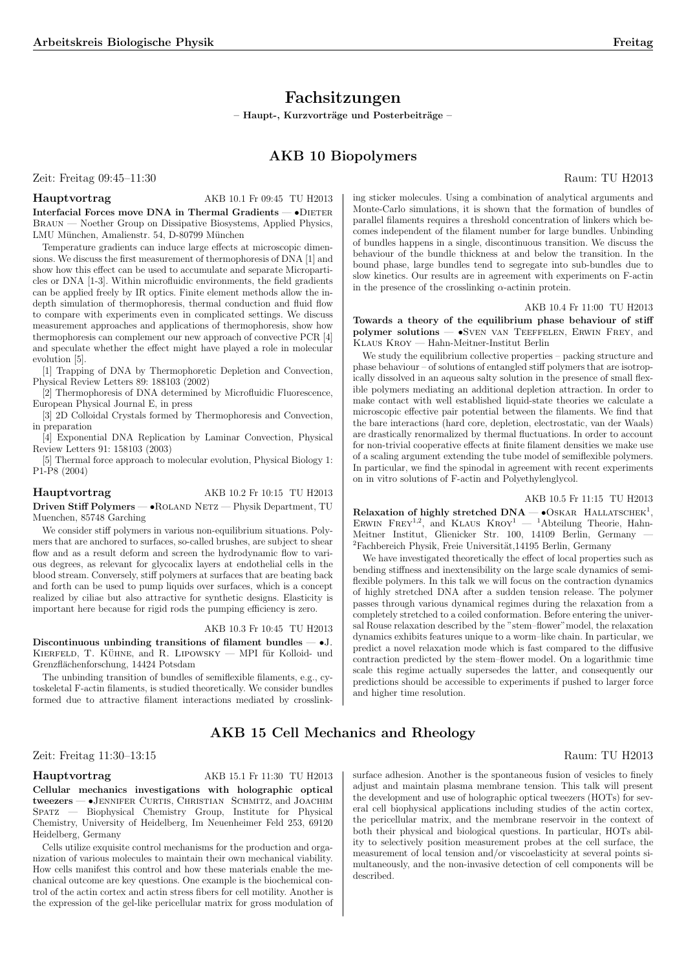# Fachsitzungen

 $-$  Haupt-, Kurzvorträge und Posterbeiträge –

# AKB 10 Biopolymers

Zeit: Freitag 09:45–11:30 Raum: TU H2013

Hauptvortrag AKB 10.1 Fr 09:45 TU H2013 Interfacial Forces move DNA in Thermal Gradients —  $\bullet$ DIETER Braun — Noether Group on Dissipative Biosystems, Applied Physics, LMU München, Amalienstr. 54, D-80799 München

Temperature gradients can induce large effects at microscopic dimensions. We discuss the first measurement of thermophoresis of DNA [1] and show how this effect can be used to accumulate and separate Microparticles or DNA [1-3]. Within microfluidic environments, the field gradients can be applied freely by IR optics. Finite element methods allow the indepth simulation of thermophoresis, thermal conduction and fluid flow to compare with experiments even in complicated settings. We discuss measurement approaches and applications of thermophoresis, show how thermophoresis can complement our new approach of convective PCR [4] and speculate whether the effect might have played a role in molecular evolution [5].

[1] Trapping of DNA by Thermophoretic Depletion and Convection, Physical Review Letters 89: 188103 (2002)

[2] Thermophoresis of DNA determined by Microfluidic Fluorescence, European Physical Journal E, in press

[3] 2D Colloidal Crystals formed by Thermophoresis and Convection, in preparation

[4] Exponential DNA Replication by Laminar Convection, Physical Review Letters 91: 158103 (2003)

[5] Thermal force approach to molecular evolution, Physical Biology 1: P1-P8 (2004)

# Hauptvortrag AKB 10.2 Fr 10:15 TU H2013 Driven Stiff Polymers — •Roland Netz — Physik Department, TU Muenchen, 85748 Garching

We consider stiff polymers in various non-equilibrium situations. Polymers that are anchored to surfaces, so-called brushes, are subject to shear flow and as a result deform and screen the hydrodynamic flow to various degrees, as relevant for glycocalix layers at endothelial cells in the blood stream. Conversely, stiff polymers at surfaces that are beating back and forth can be used to pump liquids over surfaces, which is a concept realized by ciliae but also attractive for synthetic designs. Elasticity is important here because for rigid rods the pumping efficiency is zero.

#### AKB 10.3 Fr 10:45 TU H2013

Discontinuous unbinding transitions of filament bundles  $- \cdot J$ . KIERFELD, T. KÜHNE, and R. LIPOWSKY — MPI für Kolloid- und Grenzflächenforschung, 14424 Potsdam

The unbinding transition of bundles of semiflexible filaments, e.g., cytoskeletal F-actin filaments, is studied theoretically. We consider bundles formed due to attractive filament interactions mediated by crosslink-

# AKB 15 Cell Mechanics and Rheology

# Zeit: Freitag 11:30–13:15 Raum: TU H2013

Hauptvortrag AKB 15.1 Fr 11:30 TU H2013

Cellular mechanics investigations with holographic optical tweezers — •JENNIFER CURTIS, CHRISTIAN SCHMITZ, and JOACHIM<br>SPATZ — Biophysical Chemistry Group. Institute for Physical Biophysical Chemistry Group, Institute for Physical Chemistry, University of Heidelberg, Im Neuenheimer Feld 253, 69120 Heidelberg, Germany

Cells utilize exquisite control mechanisms for the production and organization of various molecules to maintain their own mechanical viability. How cells manifest this control and how these materials enable the mechanical outcome are key questions. One example is the biochemical control of the actin cortex and actin stress fibers for cell motility. Another is the expression of the gel-like pericellular matrix for gross modulation of ing sticker molecules. Using a combination of analytical arguments and Monte-Carlo simulations, it is shown that the formation of bundles of parallel filaments requires a threshold concentration of linkers which becomes independent of the filament number for large bundles. Unbinding of bundles happens in a single, discontinuous transition. We discuss the behaviour of the bundle thickness at and below the transition. In the bound phase, large bundles tend to segregate into sub-bundles due to slow kinetics. Our results are in agreement with experiments on F-actin in the presence of the crosslinking  $\alpha$ -actinin protein.

# AKB 10.4 Fr 11:00 TU H2013

Towards a theory of the equilibrium phase behaviour of stiff polymer solutions — •Sven van Teeffelen, Erwin Frey, and Klaus Kroy — Hahn-Meitner-Institut Berlin

We study the equilibrium collective properties – packing structure and phase behaviour – of solutions of entangled stiff polymers that are isotropically dissolved in an aqueous salty solution in the presence of small flexible polymers mediating an additional depletion attraction. In order to make contact with well established liquid-state theories we calculate a microscopic effective pair potential between the filaments. We find that the bare interactions (hard core, depletion, electrostatic, van der Waals) are drastically renormalized by thermal fluctuations. In order to account for non-trivial cooperative effects at finite filament densities we make use of a scaling argument extending the tube model of semiflexible polymers. In particular, we find the spinodal in agreement with recent experiments on in vitro solutions of F-actin and Polyethylenglycol.

## AKB 10.5 Fr 11:15 TU H2013

 $Relaxation of highly stretched DNA — **•** OSKAR HALATSCHER<sup>1</sup>,$ ERWIN FREY<sup>1,2</sup>, and KLAUS  $KROY^1$  — <sup>1</sup>Abteilung Theorie, Hahn-Meitner Institut, Glienicker Str. 100, 14109 Berlin, Germany —  ${}^{2}$ Fachbereich Physik, Freie Universität,14195 Berlin, Germany

We have investigated theoretically the effect of local properties such as bending stiffness and inextensibility on the large scale dynamics of semiflexible polymers. In this talk we will focus on the contraction dynamics of highly stretched DNA after a sudden tension release. The polymer passes through various dynamical regimes during the relaxation from a completely stretched to a coiled conformation. Before entering the universal Rouse relaxation described by the "stem–flower"model, the relaxation dynamics exhibits features unique to a worm–like chain. In particular, we predict a novel relaxation mode which is fast compared to the diffusive contraction predicted by the stem–flower model. On a logarithmic time scale this regime actually supersedes the latter, and consequently our predictions should be accessible to experiments if pushed to larger force and higher time resolution.

surface adhesion. Another is the spontaneous fusion of vesicles to finely adjust and maintain plasma membrane tension. This talk will present the development and use of holographic optical tweezers (HOTs) for several cell biophysical applications including studies of the actin cortex, the pericellular matrix, and the membrane reservoir in the context of both their physical and biological questions. In particular, HOTs ability to selectively position measurement probes at the cell surface, the measurement of local tension and/or viscoelasticity at several points simultaneously, and the non-invasive detection of cell components will be described.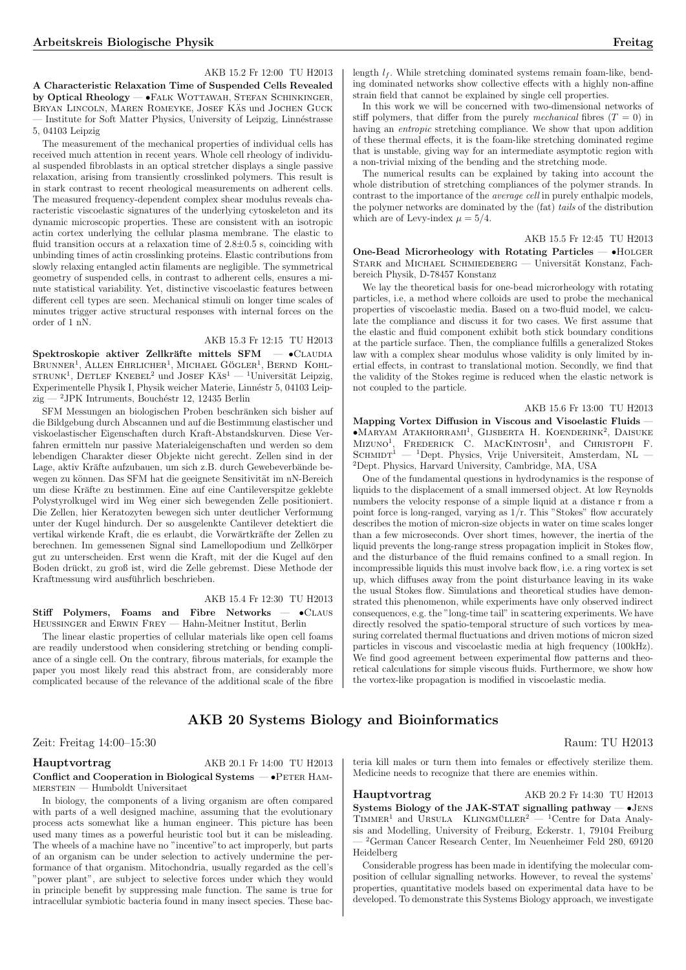# AKB 15.2 Fr 12:00 TU H2013

A Characteristic Relaxation Time of Suspended Cells Revealed by Optical Rheology — •FALK WOTTAWAH, STEFAN SCHINKINGER, BRYAN LINCOLN, MAREN ROMEYKE, JOSEF KÄS und JOCHEN GUCK Institute for Soft Matter Physics, University of Leipzig, Linnéstrasse 5, 04103 Leipzig

The measurement of the mechanical properties of individual cells has received much attention in recent years. Whole cell rheology of individual suspended fibroblasts in an optical stretcher displays a single passive relaxation, arising from transiently crosslinked polymers. This result is in stark contrast to recent rheological measurements on adherent cells. The measured frequency-dependent complex shear modulus reveals characteristic viscoelastic signatures of the underlying cytoskeleton and its dynamic microscopic properties. These are consistent with an isotropic actin cortex underlying the cellular plasma membrane. The elastic to fluid transition occurs at a relaxation time of  $2.8\pm0.5$  s, coinciding with unbinding times of actin crosslinking proteins. Elastic contributions from slowly relaxing entangled actin filaments are negligible. The symmetrical geometry of suspended cells, in contrast to adherent cells, ensures a minute statistical variability. Yet, distinctive viscoelastic features between different cell types are seen. Mechanical stimuli on longer time scales of minutes trigger active structural responses with internal forces on the order of 1 nN.

# AKB 15.3 Fr 12:15 TU H2013

Spektroskopie aktiver Zellkräfte mittels SFM - · CLAUDIA  $B_{\text{RUNNER}}^1$ , ALLEN EHRLICHER<sup>1</sup>, MICHAEL GÖGLER<sup>1</sup>, BERND KOHL- $B_{\text{KONNER}}$ , ALLEN EIKLICHER, MICHAEL GOGLER, DERIND KOHLSTRUNK<sup>1</sup>, DETLEF KNEBEL<sup>2</sup> und JOSEF KÄS<sup>1</sup> — <sup>1</sup>Universität Leipzig, Experimentelle Physik I, Physik weicher Materie, Linnéstr 5, 04103 Leipzig —  $^2$ JPK Intruments, Bouchéstr 12, 12435 Berlin

SFM Messungen an biologischen Proben beschränken sich bisher auf die Bildgebung durch Abscannen und auf die Bestimmung elastischer und viskoelastischer Eigenschaften durch Kraft-Abstandskurven. Diese Verfahren ermitteln nur passive Materialeigenschaften und werden so dem lebendigen Charakter dieser Objekte nicht gerecht. Zellen sind in der Lage, aktiv Kräfte aufzubauen, um sich z.B. durch Gewebeverbände bewegen zu können. Das SFM hat die geeignete Sensitivität im nN-Bereich um diese Kräfte zu bestimmen. Eine auf eine Cantileverspitze geklebte Polystyrolkugel wird im Weg einer sich bewegenden Zelle positioniert. Die Zellen, hier Keratozyten bewegen sich unter deutlicher Verformung unter der Kugel hindurch. Der so ausgelenkte Cantilever detektiert die vertikal wirkende Kraft, die es erlaubt, die Vorwärtkräfte der Zellen zu berechnen. Im gemessenen Signal sind Lamellopodium und Zellkörper gut zu unterscheiden. Erst wenn die Kraft, mit der die Kugel auf den Boden druckt, zu groß ist, wird die Zelle gebremst. Diese Methode der ¨ Kraftmessung wird ausführlich beschrieben.

#### AKB 15.4 Fr 12:30 TU H2013

Stiff Polymers, Foams and Fibre Networks  $\bullet$ CLAUS Heussinger and Erwin Frey — Hahn-Meitner Institut, Berlin

The linear elastic properties of cellular materials like open cell foams are readily understood when considering stretching or bending compliance of a single cell. On the contrary, fibrous materials, for example the paper you most likely read this abstract from, are considerably more complicated because of the relevance of the additional scale of the fibre length  $l_f$ . While stretching dominated systems remain foam-like, bending dominated networks show collective effects with a highly non-affine strain field that cannot be explained by single cell properties.

In this work we will be concerned with two-dimensional networks of stiff polymers, that differ from the purely mechanical fibres  $(T = 0)$  in having an entropic stretching compliance. We show that upon addition of these thermal effects, it is the foam-like stretching dominated regime that is unstable, giving way for an intermediate asymptotic region with a non-trivial mixing of the bending and the stretching mode.

The numerical results can be explained by taking into account the whole distribution of stretching compliances of the polymer strands. In contrast to the importance of the average cell in purely enthalpic models, the polymer networks are dominated by the  $(fat)$  tails of the distribution which are of Levy-index  $\mu = 5/4$ .

#### AKB 15.5 Fr 12:45 TU H2013

One-Bead Microrheology with Rotating Particles — •Holger STARK and MICHAEL SCHMIEDEBERG — Universität Konstanz, Fachbereich Physik, D-78457 Konstanz

We lay the theoretical basis for one-bead microrheology with rotating particles, i.e, a method where colloids are used to probe the mechanical properties of viscoelastic media. Based on a two-fluid model, we calculate the compliance and discuss it for two cases. We first assume that the elastic and fluid component exhibit both stick boundary conditions at the particle surface. Then, the compliance fulfills a generalized Stokes law with a complex shear modulus whose validity is only limited by inertial effects, in contrast to translational motion. Secondly, we find that the validity of the Stokes regime is reduced when the elastic network is not coupled to the particle.

# AKB 15.6 Fr 13:00 TU H2013

Mapping Vortex Diffusion in Viscous and Visoelastic Fluids —  $\bullet$ Maryam Atakhorrami<sup>1</sup>, Gijsberta H. Koenderink<sup>2</sup>, Daisuke Mizuno<sup>1</sup> , Frederick C. MacKintosh<sup>1</sup> , and Christoph F. SCHMIDT $^1$  — <sup>1</sup>Dept. Physics, Vrije Universiteit, Amsterdam, NL – <sup>2</sup>Dept. Physics, Harvard University, Cambridge, MA, USA

One of the fundamental questions in hydrodynamics is the response of liquids to the displacement of a small immersed object. At low Reynolds numbers the velocity response of a simple liquid at a distance r from a point force is long-ranged, varying as  $1/\mathbf{r}$ . This "Stokes" flow accurately describes the motion of micron-size objects in water on time scales longer than a few microseconds. Over short times, however, the inertia of the liquid prevents the long-range stress propagation implicit in Stokes flow, and the disturbance of the fluid remains confined to a small region. In incompressible liquids this must involve back flow, i.e. a ring vortex is set up, which diffuses away from the point disturbance leaving in its wake the usual Stokes flow. Simulations and theoretical studies have demonstrated this phenomenon, while experiments have only observed indirect consequences, e.g. the "long-time tail" in scattering experiments. We have directly resolved the spatio-temporal structure of such vortices by measuring correlated thermal fluctuations and driven motions of micron sized particles in viscous and viscoelastic media at high frequency (100kHz). We find good agreement between experimental flow patterns and theoretical calculations for simple viscous fluids. Furthermore, we show how the vortex-like propagation is modified in viscoelastic media.

# AKB 20 Systems Biology and Bioinformatics

# Zeit: Freitag 14:00–15:30 Raum: TU H2013

# Hauptvortrag AKB 20.1 Fr 14:00 TU H2013 Conflict and Cooperation in Biological Systems — •PETER HAM- $\textsc{mer}$  — Humboldt Universitaet

In biology, the components of a living organism are often compared with parts of a well designed machine, assuming that the evolutionary process acts somewhat like a human engineer. This picture has been used many times as a powerful heuristic tool but it can be misleading. The wheels of a machine have no "incentive"to act improperly, but parts of an organism can be under selection to actively undermine the performance of that organism. Mitochondria, usually regarded as the cell's "power plant", are subject to selective forces under which they would in principle benefit by suppressing male function. The same is true for intracellular symbiotic bacteria found in many insect species. These bac-

teria kill males or turn them into females or effectively sterilize them. Medicine needs to recognize that there are enemies within.

### Hauptvortrag AKB 20.2 Fr 14:30 TU H2013

Systems Biology of the JAK-STAT signalling pathway  $-$  •JENS  $T$ IMMER<sup>1</sup> and URSULA KLINGMÜLLER<sup>2</sup> — <sup>1</sup>Centre for Data Analysis and Modelling, University of Freiburg, Eckerstr. 1, 79104 Freiburg — <sup>2</sup>German Cancer Research Center, Im Neuenheimer Feld 280, 69120 Heidelberg

Considerable progress has been made in identifying the molecular composition of cellular signalling networks. However, to reveal the systems' properties, quantitative models based on experimental data have to be developed. To demonstrate this Systems Biology approach, we investigate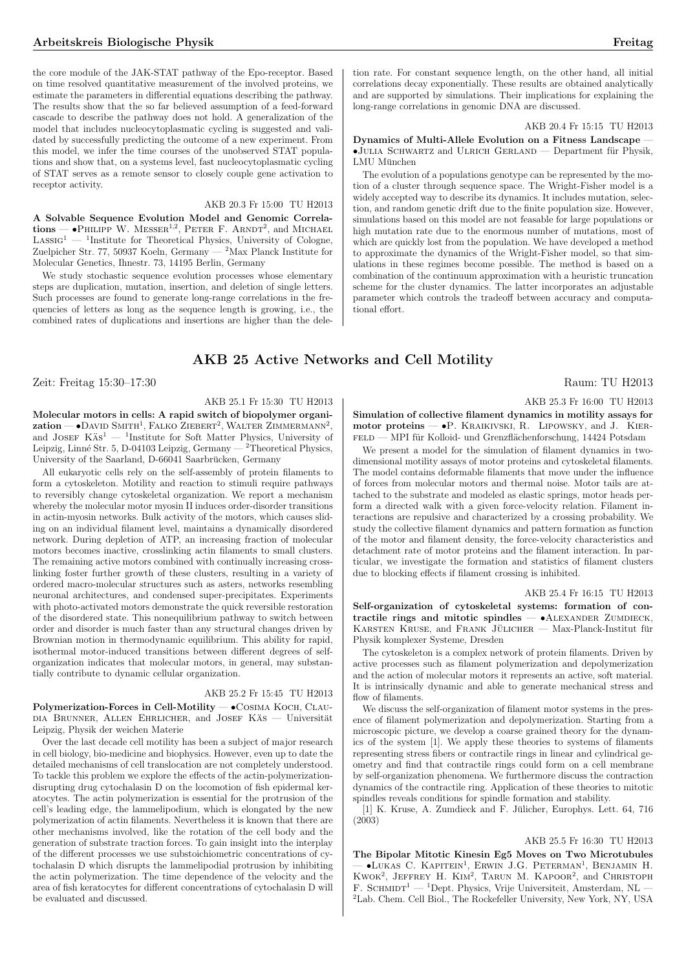the core module of the JAK-STAT pathway of the Epo-receptor. Based on time resolved quantitative measurement of the involved proteins, we estimate the parameters in differential equations describing the pathway. The results show that the so far believed assumption of a feed-forward cascade to describe the pathway does not hold. A generalization of the model that includes nucleocytoplasmatic cycling is suggested and validated by successfully predicting the outcome of a new experiment. From this model, we infer the time courses of the unobserved STAT populations and show that, on a systems level, fast nucleocytoplasmatic cycling of STAT serves as a remote sensor to closely couple gene activation to receptor activity.

# AKB 20.3 Fr 15:00 TU H2013

A Solvable Sequence Evolution Model and Genomic Correla- $\text{A}$  solvable sequence Evolution Model and Genomic Correlations —  $\text{e}$ PHILIPP W. MESSER<sup>1,2</sup>, PETER F. ARNDT<sup>2</sup>, and MICHAEL  $LASSIG<sup>1</sup>$  — <sup>1</sup>Institute for Theoretical Physics, University of Cologne, Zuelpicher Str. 77, 50937 Koeln, Germany — <sup>2</sup>Max Planck Institute for Molecular Genetics, Ihnestr. 73, 14195 Berlin, Germany

We study stochastic sequence evolution processes whose elementary steps are duplication, mutation, insertion, and deletion of single letters. Such processes are found to generate long-range correlations in the frequencies of letters as long as the sequence length is growing, i.e., the combined rates of duplications and insertions are higher than the dele-

tion rate. For constant sequence length, on the other hand, all initial correlations decay exponentially. These results are obtained analytically and are supported by simulations. Their implications for explaining the long-range correlations in genomic DNA are discussed.

# AKB 20.4 Fr 15:15 TU H2013

Dynamics of Multi-Allele Evolution on a Fitness Landscape —  $\bullet$ JULIA SCHWARTZ and ULRICH GERLAND — Department für Physik, LMII München

The evolution of a populations genotype can be represented by the motion of a cluster through sequence space. The Wright-Fisher model is a widely accepted way to describe its dynamics. It includes mutation, selection, and random genetic drift due to the finite population size. However, simulations based on this model are not feasable for large populations or high mutation rate due to the enormous number of mutations, most of which are quickly lost from the population. We have developed a method to approximate the dynamics of the Wright-Fisher model, so that simulations in these regimes become possible. The method is based on a combination of the continuum approximation with a heuristic truncation scheme for the cluster dynamics. The latter incorporates an adjustable parameter which controls the tradeoff between accuracy and computational effort.

# AKB 25 Active Networks and Cell Motility

Zeit: Freitag 15:30–17:30 Raum: TU H2013

# AKB 25.1 Fr 15:30 TU H2013

Molecular motors in cells: A rapid switch of biopolymer organi $x$ ation — •David Smith<sup>1</sup>, Falko Ziebert<sup>2</sup>, Walter Zimmermann<sup>2</sup>,  $\mathbf{z}$  and JOSEF KAs<sup>1</sup>  $-$  <sup>1</sup>Institute for Soft Matter Physics, University of Leipzig, Linné Str. 5, D-04103 Leipzig, Germany — <sup>2</sup>Theoretical Physics, University of the Saarland, D-66041 Saarbrücken, Germany

All eukaryotic cells rely on the self-assembly of protein filaments to form a cytoskeleton. Motility and reaction to stimuli require pathways to reversibly change cytoskeletal organization. We report a mechanism whereby the molecular motor myosin II induces order-disorder transitions in actin-myosin networks. Bulk activity of the motors, which causes sliding on an individual filament level, maintains a dynamically disordered network. During depletion of ATP, an increasing fraction of molecular motors becomes inactive, crosslinking actin filaments to small clusters. The remaining active motors combined with continually increasing crosslinking foster further growth of these clusters, resulting in a variety of ordered macro-molecular structures such as asters, networks resembling neuronal architectures, and condensed super-precipitates. Experiments with photo-activated motors demonstrate the quick reversible restoration of the disordered state. This nonequilibrium pathway to switch between order and disorder is much faster than any structural changes driven by Brownian motion in thermodynamic equilibrium. This ability for rapid, isothermal motor-induced transitions between different degrees of selforganization indicates that molecular motors, in general, may substantially contribute to dynamic cellular organization.

## AKB 25.2 Fr 15:45 TU H2013

Polymerization-Forces in Cell-Motility — •Cosima Koch, Clau-DIA BRUNNER, ALLEN EHRLICHER, and JOSEF KÄS — Universität Leipzig, Physik der weichen Materie

Over the last decade cell motility has been a subject of major research in cell biology, bio-medicine and biophysics. However, even up to date the detailed mechanisms of cell translocation are not completely understood. To tackle this problem we explore the effects of the actin-polymerizationdisrupting drug cytochalasin D on the locomotion of fish epidermal keratocytes. The actin polymerization is essential for the protrusion of the cell's leading edge, the lammelipodium, which is elongated by the new polymerization of actin filaments. Nevertheless it is known that there are other mechanisms involved, like the rotation of the cell body and the generation of substrate traction forces. To gain insight into the interplay of the different processes we use substoichiometric concentrations of cytochalasin D which disrupts the lammelipodial protrusion by inhibiting the actin polymerization. The time dependence of the velocity and the area of fish keratocytes for different concentrations of cytochalasin D will be evaluated and discussed.

# AKB 25.3 Fr 16:00 TU H2013

Simulation of collective filament dynamics in motility assays for motor proteins — •P. Kraikivski, R. Lipowsky, and J. Kier- ${\tt FELD}$ — MPI für Kolloid- und Grenzflächenforschung, 14424 Potsdam

We present a model for the simulation of filament dynamics in twodimensional motility assays of motor proteins and cytoskeletal filaments. The model contains deformable filaments that move under the influence of forces from molecular motors and thermal noise. Motor tails are attached to the substrate and modeled as elastic springs, motor heads perform a directed walk with a given force-velocity relation. Filament interactions are repulsive and characterized by a crossing probability. We study the collective filament dynamics and pattern formation as function of the motor and filament density, the force-velocity characteristics and detachment rate of motor proteins and the filament interaction. In particular, we investigate the formation and statistics of filament clusters due to blocking effects if filament crossing is inhibited.

#### AKB 25.4 Fr 16:15 TU H2013

Self-organization of cytoskeletal systems: formation of contractile rings and mitotic spindles  $- \bullet$  ALEXANDER ZUMDIECK, KARSTEN KRUSE, and FRANK JÜLICHER — Max-Planck-Institut für Physik komplexer Systeme, Dresden

The cytoskeleton is a complex network of protein filaments. Driven by active processes such as filament polymerization and depolymerization and the action of molecular motors it represents an active, soft material. It is intrinsically dynamic and able to generate mechanical stress and flow of filaments.

We discuss the self-organization of filament motor systems in the presence of filament polymerization and depolymerization. Starting from a microscopic picture, we develop a coarse grained theory for the dynamics of the system [1]. We apply these theories to systems of filaments representing stress fibers or contractile rings in linear and cylindrical geometry and find that contractile rings could form on a cell membrane by self-organization phenomena. We furthermore discuss the contraction dynamics of the contractile ring. Application of these theories to mitotic spindles reveals conditions for spindle formation and stability.

 $\left[1\right]$  K. Kruse, A. Zumdieck and F. Jülicher, Europhys. Lett. 64,  $716$ (2003)

#### AKB 25.5 Fr 16:30 TU H2013

The Bipolar Mitotic Kinesin Eg5 Moves on Two Microtubules The Dipolar Mitotic Kinesin Ego Moves on Two Microtubules<br>
→ LUKAS C. KAPITEIN<sup>1</sup>, ERWIN J.G. PETERMAN<sup>1</sup>, BENJAMIN H. Kwok<sup>2</sup> , Jeffrey H. Kim<sup>2</sup> , Tarun M. Kapoor<sup>2</sup> , and Christoph F. SCHMIDT $^1$  —  $^1\mathrm{Dept}.$  Physics, Vrije Universiteit, Amsterdam, NL 2Lab. Chem. Cell Biol., The Rockefeller University, New York, NY, USA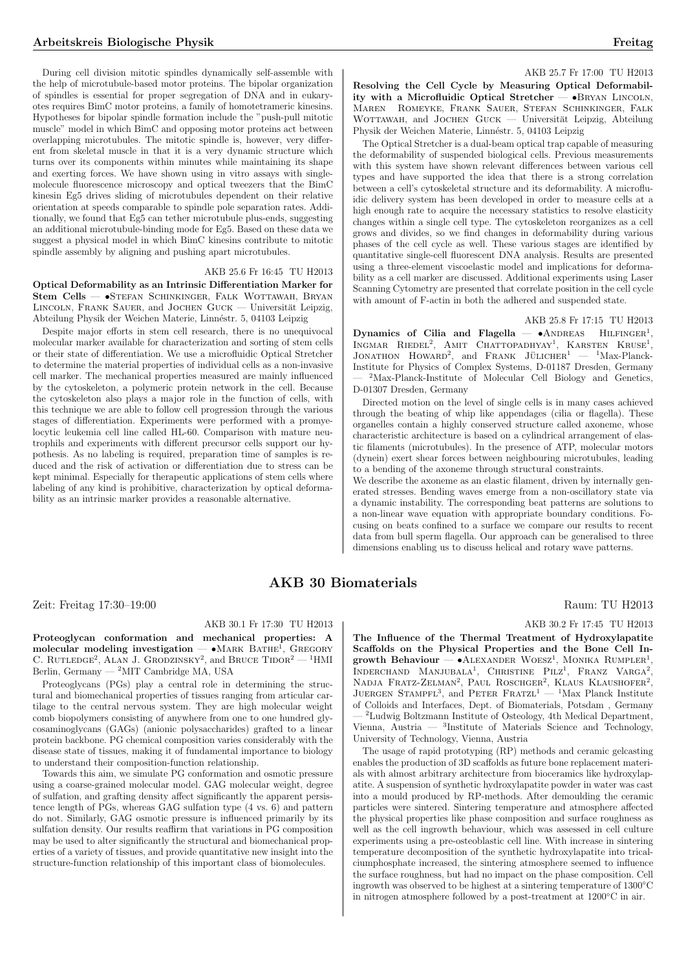During cell division mitotic spindles dynamically self-assemble with the help of microtubule-based motor proteins. The bipolar organization of spindles is essential for proper segregation of DNA and in eukaryotes requires BimC motor proteins, a family of homotetrameric kinesins. Hypotheses for bipolar spindle formation include the "push-pull mitotic muscle" model in which BimC and opposing motor proteins act between overlapping microtubules. The mitotic spindle is, however, very different from skeletal muscle in that it is a very dynamic structure which turns over its components within minutes while maintaining its shape and exerting forces. We have shown using in vitro assays with singlemolecule fluorescence microscopy and optical tweezers that the BimC kinesin Eg5 drives sliding of microtubules dependent on their relative orientation at speeds comparable to spindle pole separation rates. Additionally, we found that Eg5 can tether microtubule plus-ends, suggesting an additional microtubule-binding mode for Eg5. Based on these data we suggest a physical model in which BimC kinesins contribute to mitotic spindle assembly by aligning and pushing apart microtubules.

### AKB 25.6 Fr 16:45 TU H2013

Optical Deformability as an Intrinsic Differentiation Marker for Stem Cells — •Stefan Schinkinger, Falk Wottawah, Bryan LINCOLN, FRANK SAUER, and JOCHEN GUCK — Universität Leipzig, Abteilung Physik der Weichen Materie, Linnéstr. 5, 04103 Leipzig

Despite major efforts in stem cell research, there is no unequivocal molecular marker available for characterization and sorting of stem cells or their state of differentiation. We use a microfluidic Optical Stretcher to determine the material properties of individual cells as a non-invasive cell marker. The mechanical properties measured are mainly influenced by the cytoskeleton, a polymeric protein network in the cell. Because the cytoskeleton also plays a major role in the function of cells, with this technique we are able to follow cell progression through the various stages of differentiation. Experiments were performed with a promyelocytic leukemia cell line called HL-60. Comparison with mature neutrophils and experiments with different precursor cells support our hypothesis. As no labeling is required, preparation time of samples is reduced and the risk of activation or differentiation due to stress can be kept minimal. Especially for therapeutic applications of stem cells where labeling of any kind is prohibitive, characterization by optical deformability as an intrinsic marker provides a reasonable alternative.

#### AKB 25.7 Fr 17:00 TU H2013

Resolving the Cell Cycle by Measuring Optical Deformability with a Microfluidic Optical Stretcher — •Bryan Lincoln, Maren Romeyke, Frank Sauer, Stefan Schinkinger, Falk WOTTAWAH, and JOCHEN GUCK  $-$  Universität Leipzig, Abteilung Physik der Weichen Materie, Linnéstr. 5, 04103 Leipzig

The Optical Stretcher is a dual-beam optical trap capable of measuring the deformability of suspended biological cells. Previous measurements with this system have shown relevant differences between various cell types and have supported the idea that there is a strong correlation between a cell's cytoskeletal structure and its deformability. A microfluidic delivery system has been developed in order to measure cells at a high enough rate to acquire the necessary statistics to resolve elasticity changes within a single cell type. The cytoskeleton reorganizes as a cell grows and divides, so we find changes in deformability during various phases of the cell cycle as well. These various stages are identified by quantitative single-cell fluorescent DNA analysis. Results are presented using a three-element viscoelastic model and implications for deformability as a cell marker are discussed. Additional experiments using Laser Scanning Cytometry are presented that correlate position in the cell cycle with amount of F-actin in both the adhered and suspended state.

# AKB 25.8 Fr 17:15 TU H2013

Dynamics of Cilia and Flagella —  $\bullet$ ANDREAS HILFINGER<sup>1</sup>, Dynamics of Cha and Fragena – Chapters Hilfinger, INGMAN RIEDEE, AMIT CHALIOPADHIAT,  $1$ Max-Planck-Institute for Physics of Complex Systems, D-01187 Dresden, Germany <sup>2</sup>Max-Planck-Institute of Molecular Cell Biology and Genetics, D-01307 Dresden, Germany

Directed motion on the level of single cells is in many cases achieved through the beating of whip like appendages (cilia or flagella). These organelles contain a highly conserved structure called axoneme, whose characteristic architecture is based on a cylindrical arrangement of elastic filaments (microtubules). In the presence of ATP, molecular motors (dynein) exert shear forces between neighbouring microtubules, leading to a bending of the axoneme through structural constraints.

We describe the axoneme as an elastic filament, driven by internally generated stresses. Bending waves emerge from a non-oscillatory state via a dynamic instability. The corresponding beat patterns are solutions to a non-linear wave equation with appropriate boundary conditions. Focusing on beats confined to a surface we compare our results to recent data from bull sperm flagella. Our approach can be generalised to three dimensions enabling us to discuss helical and rotary wave patterns.

# AKB 30 Biomaterials

Zeit: Freitag 17:30–19:00 Raum: TU H2013

# AKB 30.1 Fr 17:30 TU H2013

Proteoglycan conformation and mechanical properties: A  $\Gamma$  roteoglycan comormation and mechanical properties. A molecular modeling investigation — •MARK BATHE<sup>1</sup>, GREGORY molecular modeling investigation  $\bullet$  MARK DATHE, GREGORY C. RUTLEDGE<sup>2</sup>, ALAN J. GRODZINSKY<sup>2</sup>, and BRUCE TIDOR<sup>2</sup>  $-$ <sup>1</sup>HMI Berlin, Germany — <sup>2</sup>MIT Cambridge MA, USA

Proteoglycans (PGs) play a central role in determining the structural and biomechanical properties of tissues ranging from articular cartilage to the central nervous system. They are high molecular weight comb biopolymers consisting of anywhere from one to one hundred glycosaminoglycans (GAGs) (anionic polysaccharides) grafted to a linear protein backbone. PG chemical composition varies considerably with the disease state of tissues, making it of fundamental importance to biology to understand their composition-function relationship.

Towards this aim, we simulate PG conformation and osmotic pressure using a coarse-grained molecular model. GAG molecular weight, degree of sulfation, and grafting density affect significantly the apparent persistence length of PGs, whereas GAG sulfation type (4 vs. 6) and pattern do not. Similarly, GAG osmotic pressure is influenced primarily by its sulfation density. Our results reaffirm that variations in PG composition may be used to alter significantly the structural and biomechanical properties of a variety of tissues, and provide quantitative new insight into the structure-function relationship of this important class of biomolecules.

# AKB 30.2 Fr 17:45 TU H2013

The Influence of the Thermal Treatment of Hydroxylapatite Scaffolds on the Physical Properties and the Bone Cell Inscalious on the Fitysical Froperties and the Bone Cen In-<br>growth Behaviour —  $\bullet$  ALEXANDER WOESZ<sup>1</sup>, MONIKA RUMPLER<sup>1</sup>, growth Behaviour — CALEXANDER WOESZ, MONIKA ROMPLER, NADJA FRATZ-ZELMAN<sup>2</sup>, PAUL ROSCHGER<sup>2</sup>, KLAUS KLAUSHOFER<sup>2</sup>,  $JUERGEN STAMPE<sup>3</sup>$ , and PETER  $FRATZ<sup>1</sup>$  —  $<sup>1</sup>$ Max Planck Institute</sup> of Colloids and Interfaces, Dept. of Biomaterials, Potsdam , Germany — <sup>2</sup>Ludwig Boltzmann Institute of Osteology, 4th Medical Department, Vienna, Austria — <sup>3</sup> Institute of Materials Science and Technology, University of Technology, Vienna, Austria

The usage of rapid prototyping (RP) methods and ceramic gelcasting enables the production of 3D scaffolds as future bone replacement materials with almost arbitrary architecture from bioceramics like hydroxylapatite. A suspension of synthetic hydroxylapatite powder in water was cast into a mould produced by RP-methods. After demoulding the ceramic particles were sintered. Sintering temperature and atmosphere affected the physical properties like phase composition and surface roughness as well as the cell ingrowth behaviour, which was assessed in cell culture experiments using a pre-osteoblastic cell line. With increase in sintering temperature decomposition of the synthetic hydroxylapatite into tricalciumphosphate increased, the sintering atmosphere seemed to influence the surface roughness, but had no impact on the phase composition. Cell ingrowth was observed to be highest at a sintering temperature of 1300◦C in nitrogen atmosphere followed by a post-treatment at 1200◦C in air.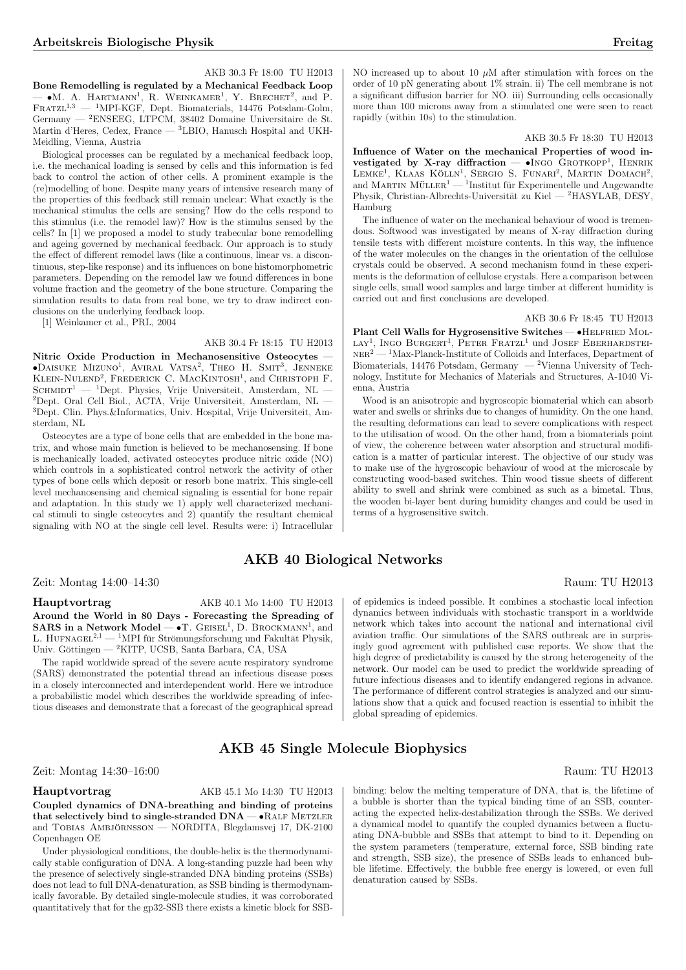AKB 30.3 Fr 18:00 TU H2013

Bone Remodelling is regulated by a Mechanical Feedback Loop **DONE REMODEMING** is regulated by a Mechanical reedback hoop  $\rightarrow$  **M**. A. HARTMANN<sup>1</sup>, R. WEINKAMER<sup>1</sup>, Y. BRECHET<sup>2</sup>, and P. FRATZL<sup>1,3</sup> — <sup>1</sup>MPI-KGF, Dept. Biomaterials, 14476 Potsdam-Golm, Germany — <sup>2</sup>ENSEEG, LTPCM, 38402 Domaine Universitaire de St. Martin d'Heres, Cedex, France — <sup>3</sup>LBIO, Hanusch Hospital and UKH-Meidling, Vienna, Austria

Biological processes can be regulated by a mechanical feedback loop, i.e. the mechanical loading is sensed by cells and this information is fed back to control the action of other cells. A prominent example is the (re)modelling of bone. Despite many years of intensive research many of the properties of this feedback still remain unclear: What exactly is the mechanical stimulus the cells are sensing? How do the cells respond to this stimulus (i.e. the remodel law)? How is the stimulus sensed by the cells? In [1] we proposed a model to study trabecular bone remodelling and ageing governed by mechanical feedback. Our approach is to study the effect of different remodel laws (like a continuous, linear vs. a discontinuous, step-like response) and its influences on bone histomorphometric parameters. Depending on the remodel law we found differences in bone volume fraction and the geometry of the bone structure. Comparing the simulation results to data from real bone, we try to draw indirect conclusions on the underlying feedback loop.

[1] Weinkamer et al., PRL, 2004

AKB 30.4 Fr 18:15 TU H2013

Nitric Oxide Production in Mechanosensitive Osteocytes •Daisuke Mizuno<sup>1</sup>, Aviral Vatsa<sup>2</sup>, Theo H. Smit<sup>3</sup>, Jenneke Klein-Nulend<sup>2</sup> , Frederick C. MacKintosh<sup>1</sup> , and Christoph F. SCHMIDT<sup>1</sup> — <sup>1</sup>Dept. Physics, Vrije Universiteit, Amsterdam, NL -<sup>2</sup>Dept. Oral Cell Biol., ACTA, Vrije Universiteit, Amsterdam, NL — 3Dept. Clin. Phys.&Informatics, Univ. Hospital, Vrije Universiteit, Amsterdam, NL

Osteocytes are a type of bone cells that are embedded in the bone matrix, and whose main function is believed to be mechanosensing. If bone is mechanically loaded, activated osteocytes produce nitric oxide (NO) which controls in a sophisticated control network the activity of other types of bone cells which deposit or resorb bone matrix. This single-cell level mechanosensing and chemical signaling is essential for bone repair and adaptation. In this study we 1) apply well characterized mechanical stimuli to single osteocytes and  $2)$  quantify the resultant chemical signaling with NO at the single cell level. Results were: i) Intracellular

Zeit: Montag 14:00–14:30 Raum: TU H2013

#### Hauptvortrag AKB 40.1 Mo 14:00 TU H2013

Around the World in 80 Days - Forecasting the Spreading of  $SARS$  in a Network Model  $\rightarrow$  T.  $GESEL^1$ , D. BROCKMANN<sup>1</sup>, and L. HUFNAGEL<sup>2,1</sup> — <sup>1</sup>MPI für Strömungsforschung und Fakultät Physik, Univ. Göttingen — <sup>2</sup>KITP, UCSB, Santa Barbara, CA, USA

The rapid worldwide spread of the severe acute respiratory syndrome (SARS) demonstrated the potential thread an infectious disease poses in a closely interconnected and interdependent world. Here we introduce a probabilistic model which describes the worldwide spreading of infectious diseases and demonstrate that a forecast of the geographical spread NO increased up to about 10  $\mu$ M after stimulation with forces on the order of 10 pN generating about 1% strain. ii) The cell membrane is not a significant diffusion barrier for NO. iii) Surrounding cells occasionally more than 100 microns away from a stimulated one were seen to react rapidly (within 10s) to the stimulation.

### AKB 30.5 Fr 18:30 TU H2013

Influence of Water on the mechanical Properties of wood investigated by X-ray diffraction — •INGO GROTKOPP<sup>1</sup>, HENRIK vestigated by X-ray diffraction — •INGO GROTKOPP<sup>1</sup>, HENRIK  $L$ EMKE<sup>1</sup>, KLAAS KÖLLN<sup>1</sup>, SERGIO S. FUNARI<sup>2</sup>, MARTIN DOMACH<sup>2</sup>, and MARTIN MÜLLER<sup>1</sup> — <sup>1</sup>Institut fur Experimentelle und Angewandte Physik, Christian-Albrechts-Universität zu Kiel — <sup>2</sup>HASYLAB, DESY, Hamburg

The influence of water on the mechanical behaviour of wood is tremendous. Softwood was investigated by means of X-ray diffraction during tensile tests with different moisture contents. In this way, the influence of the water molecules on the changes in the orientation of the cellulose crystals could be observed. A second mechanism found in these experiments is the deformation of cellulose crystals. Here a comparison between single cells, small wood samples and large timber at different humidity is carried out and first conclusions are developed.

AKB 30.6 Fr 18:45 TU H2013

Plant Cell Walls for Hygrosensitive Switches — •HELFRIED MOL- $\text{LAY}^1$ , INGO BURGERT<sup>1</sup>, PETER FRATZL<sup>1</sup> und JOSEF EBERHARDSTEI- $\mathrm{NER}^2$  —  $^1\mathrm{Max}$  -Planck-Institute of Colloids and Interfaces, Department of Biomaterials, 14476 Potsdam, Germany  $-2$ Vienna University of Technology, Institute for Mechanics of Materials and Structures, A-1040 Vienna, Austria

Wood is an anisotropic and hygroscopic biomaterial which can absorb water and swells or shrinks due to changes of humidity. On the one hand, the resulting deformations can lead to severe complications with respect to the utilisation of wood. On the other hand, from a biomaterials point of view, the coherence between water absorption and structural modification is a matter of particular interest. The objective of our study was to make use of the hygroscopic behaviour of wood at the microscale by constructing wood-based switches. Thin wood tissue sheets of different ability to swell and shrink were combined as such as a bimetal. Thus, the wooden bi-layer bent during humidity changes and could be used in terms of a hygrosensitive switch.

# AKB 40 Biological Networks

of epidemics is indeed possible. It combines a stochastic local infection dynamics between individuals with stochastic transport in a worldwide network which takes into account the national and international civil aviation traffic. Our simulations of the SARS outbreak are in surprisingly good agreement with published case reports. We show that the high degree of predictability is caused by the strong heterogeneity of the network. Our model can be used to predict the worldwide spreading of future infectious diseases and to identify endangered regions in advance. The performance of different control strategies is analyzed and our simulations show that a quick and focused reaction is essential to inhibit the global spreading of epidemics.

# AKB 45 Single Molecule Biophysics

# Zeit: Montag 14:30–16:00 Raum: TU H2013

Hauptvortrag AKB 45.1 Mo 14:30 TU H2013 Coupled dynamics of DNA-breathing and binding of proteins that selectively bind to single-stranded  $DNA$   $\bullet$  RALF METZLER and TOBIAS AMBJÖRNSSON — NORDITA, Blegdamsvej 17, DK-2100 Copenhagen OE

Under physiological conditions, the double-helix is the thermodynamically stable configuration of DNA. A long-standing puzzle had been why the presence of selectively single-stranded DNA binding proteins (SSBs) does not lead to full DNA-denaturation, as SSB binding is thermodynamically favorable. By detailed single-molecule studies, it was corroborated quantitatively that for the gp32-SSB there exists a kinetic block for SSB-

binding: below the melting temperature of DNA, that is, the lifetime of a bubble is shorter than the typical binding time of an SSB, counteracting the expected helix-destabilization through the SSBs. We derived a dynamical model to quantify the coupled dynamics between a fluctuating DNA-bubble and SSBs that attempt to bind to it. Depending on the system parameters (temperature, external force, SSB binding rate and strength, SSB size), the presence of SSBs leads to enhanced bubble lifetime. Effectively, the bubble free energy is lowered, or even full denaturation caused by SSBs.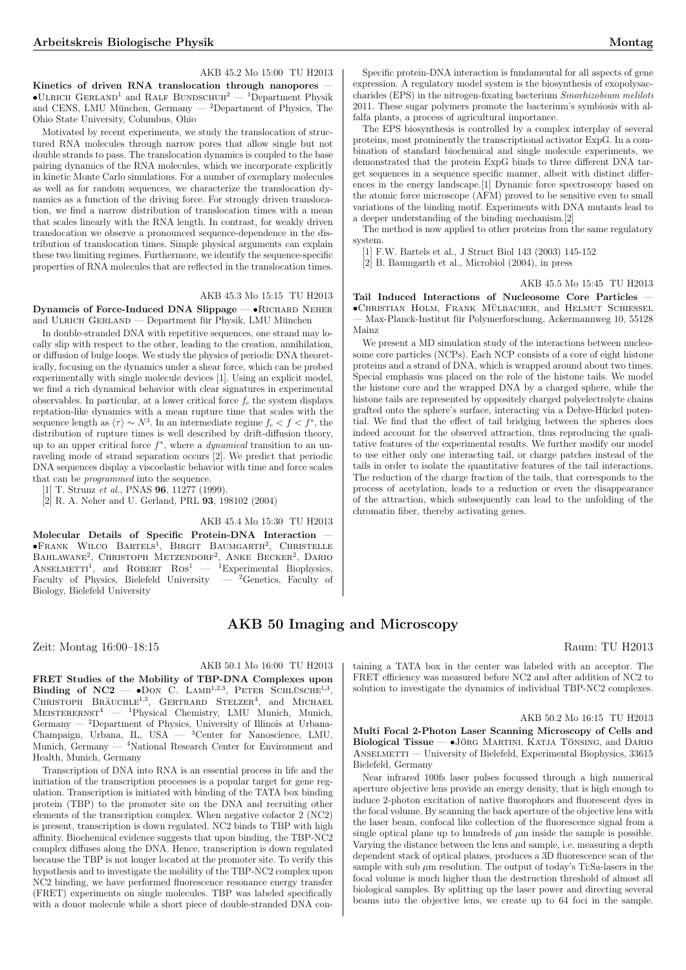# AKB 45.2 Mo 15:00 TU H2013

Kinetics of driven RNA translocation through nanopores -•ULRICH GERLAND<sup>1</sup> and RALF BUNDSCHUH<sup>2</sup> — <sup>1</sup>Department Physik and CENS, LMU München, Germany  $-$  <sup>2</sup>Department of Physics, The Ohio State University, Columbus, Ohio

Motivated by recent experiments, we study the translocation of structured RNA molecules through narrow pores that allow single but not double strands to pass. The translocation dynamics is coupled to the base pairing dynamics of the RNA molecules, which we incorporate explicitly in kinetic Monte Carlo simulations. For a number of exemplary molecules as well as for random sequences, we characterize the translocation dynamics as a function of the driving force. For strongly driven translocation, we find a narrow distribution of translocation times with a mean that scales linearly with the RNA length. In contrast, for weakly driven translocation we observe a pronounced sequence-dependence in the distribution of translocation times. Simple physical arguments can explain these two limiting regimes. Furthermore, we identify the sequence-specific properties of RNA molecules that are reflected in the translocation times.

# AKB 45.3 Mo 15:15 TU H2013

Dynamcis of Force-Induced DNA Slippage — · RICHARD NEHER and ULRICH GERLAND — Department für Physik, LMU München

In double-stranded DNA with repetitive sequences, one strand may locally slip with respect to the other, leading to the creation, annihilation, or diffusion of bulge loops. We study the physics of periodic DNA theoretically, focusing on the dynamics under a shear force, which can be probed experimentally with single molecule devices [1]. Using an explicit model, we find a rich dynamical behavior with clear signatures in experimental observables. In particular, at a lower critical force  $f_c$  the system displays reptation-like dynamics with a mean rupture time that scales with the sequence length as  $\langle \tau \rangle \sim N^3$ . In an intermediate regime  $f_c < f < f^*$ , the distribution of rupture times is well described by drift-diffusion theory, up to an upper critical force  $f^*$ , where a *dynamical* transition to an unraveling mode of strand separation occurs [2]. We predict that periodic DNA sequences display a viscoelastic behavior with time and force scales that can be programmed into the sequence.

[1] T. Strunz et al., PNAS **96**, 11277 (1999).

[2] R. A. Neher and U. Gerland, PRL 93, 198102 (2004)

AKB 45.4 Mo 15:30 TU H2013

Molecular Details of Specific Protein-DNA Interaction — •Frank Wilco Bartels<sup>1</sup> , Birgit Baumgarth<sup>2</sup> , Christelle **FRANK WELG BAKTELS**, BIKGIT BAOMGARIH, CHRISTELLE<br>BAHLAWANE<sup>2</sup>, CHRISTOPH METZENDORF<sup>2</sup>, ANKE BECKER<sup>2</sup>, DARIO<br>ANSELMETTI<sup>1</sup>, and ROBERT ROS<sup>1</sup> — <sup>1</sup>Experimental Biophysics, Faculty of Physics, Bielefeld University  $-$  <sup>2</sup>Genetics, Faculty of Biology, Bielefeld University

Zeit: Montag 16:00–18:15 Raum: TU H2013

AKB 50.1 Mo 16:00 TU H2013 FRET Studies of the Mobility of TBP-DNA Complexes upon FILET Studies of the MODING OF TDF-DIVA Complexes upon<br>Binding of  $NC2 - OON$  C. LAMB<sup>1,2,3</sup>, PETER SCHLÜSCHE<sup>1,3</sup>, Dinaing of  $NC_2$   $\rightarrow$  DON C. LAMB  $\rightarrow$ , TETER SCHLUSCHE $\rightarrow$ , CHRISTOPH BRÄUCHLE<sup>1,3</sup>, GERTRARD STELZER<sup>4</sup>, and MICHAEL  $MEISTERERNST<sup>4</sup>$  — <sup>1</sup>Physical Chemistry, LMU Munich, Munich, Germany — <sup>2</sup>Department of Physics, University of Illinois at Urbana-Champaign, Urbana, IL, USA — <sup>3</sup>Center for Nanoscience, LMU, Munich, Germany — <sup>4</sup>National Research Center for Environment and Health, Munich, Germany

Transcription of DNA into RNA is an essential process in life and the initiation of the transcription processes is a popular target for gene regulation. Transcription is initiated with binding of the TATA box binding protein (TBP) to the promoter site on the DNA and recruiting other elements of the transcription complex. When negative cofactor  $2$  (NC2) is present, transcription is down regulated. NC2 binds to TBP with high affinity. Biochemical evidence suggests that upon binding, the TBP-NC2 complex diffuses along the DNA. Hence, transcription is down regulated because the TBP is not longer located at the promoter site. To verify this hypothesis and to investigate the mobility of the TBP-NC2 complex upon NC2 binding, we have performed fluorescence resonance energy transfer (FRET) experiments on single molecules. TBP was labeled specifically with a donor molecule while a short piece of double-stranded DNA con-

Specific protein-DNA interaction is fundamental for all aspects of gene expression. A regulatory model system is the biosynthesis of exopolysaccharides (EPS) in the nitrogen-fixating bacterium Sinorhizobium meliloti 2011. These sugar polymers promote the bacterium's symbiosis with alfalfa plants, a process of agricultural importance.

The EPS biosynthesis is controlled by a complex interplay of several proteins, most prominently the transcriptional activator ExpG. In a combination of standard biochemical and single molecule experiments, we demonstrated that the protein ExpG binds to three different DNA target sequences in a sequence specific manner, albeit with distinct differences in the energy landscape.[1] Dynamic force spectroscopy based on the atomic force microscope (AFM) proved to be sensitive even to small variations of the binding motif. Experiments with DNA mutants lead to a deeper understanding of the binding mechanism.[2]

The method is now applied to other proteins from the same regulatory system.

- [1] F.W. Bartels et al., J Struct Biol 143 (2003) 145-152
- [2] B. Baumgarth et al., Microbiol (2004), in press

AKB 45.5 Mo 15:45 TU H2013

Tail Induced Interactions of Nucleosome Core Particles •CHRISTIAN HOLM, FRANK MÜLBACHER, and HELMUT SCHIESSEL — Max-Planck-Institut fur Polymerforschung, Ackermannweg 10, 55128 ¨ Mainz

We present a MD simulation study of the interactions between nucleosome core particles (NCPs). Each NCP consists of a core of eight histone proteins and a strand of DNA, which is wrapped around about two times. Special emphasis was placed on the role of the histone tails. We model the histone core and the wrapped DNA by a charged sphere, while the histone tails are represented by oppositely charged polyelectrolyte chains grafted onto the sphere's surface, interacting via a Debye-Hückel potential. We find that the effect of tail bridging between the spheres does indeed account for the observed attraction, thus reproducing the qualitative features of the experimental results. We further modify our model to use either only one interacting tail, or charge patches instead of the tails in order to isolate the quantitative features of the tail interactions. The reduction of the charge fraction of the tails, that corresponds to the process of acetylation, leads to a reduction or even the disappearance of the attraction, which subsequently can lead to the unfolding of the chromatin fiber, thereby activating genes.

# AKB 50 Imaging and Microscopy

taining a TATA box in the center was labeled with an acceptor. The FRET efficiency was measured before NC2 and after addition of NC2 to solution to investigate the dynamics of individual TBP-NC2 complexes.

# AKB 50.2 Mo 16:15 TU H2013

Multi Focal 2-Photon Laser Scanning Microscopy of Cells and Biological Tissue  $\bullet$ Jörg Martini, Katja Tönsing, and Dario ANSELMETTI — University of Bielefeld, Experimental Biophysics, 33615 Bielefeld, Germany

Near infrared 100fs laser pulses focussed through a high numerical aperture objective lens provide an energy density, that is high enough to induce 2-photon excitation of native fluorophors and fluorescent dyes in the focal volume. By scanning the back aperture of the objective lens with the laser beam, confocal like collection of the fluorescence signal from a single optical plane up to hundreds of  $\mu$ m inside the sample is possible. Varying the distance between the lens and sample, i.e. measuring a depth dependent stack of optical planes, produces a 3D fluorescence scan of the sample with sub  $\mu$ m resolution. The output of today's Ti:Sa-lasers in the focal volume is much higher than the destruction threshold of almost all biological samples. By splitting up the laser power and directing several beams into the objective lens, we create up to 64 foci in the sample.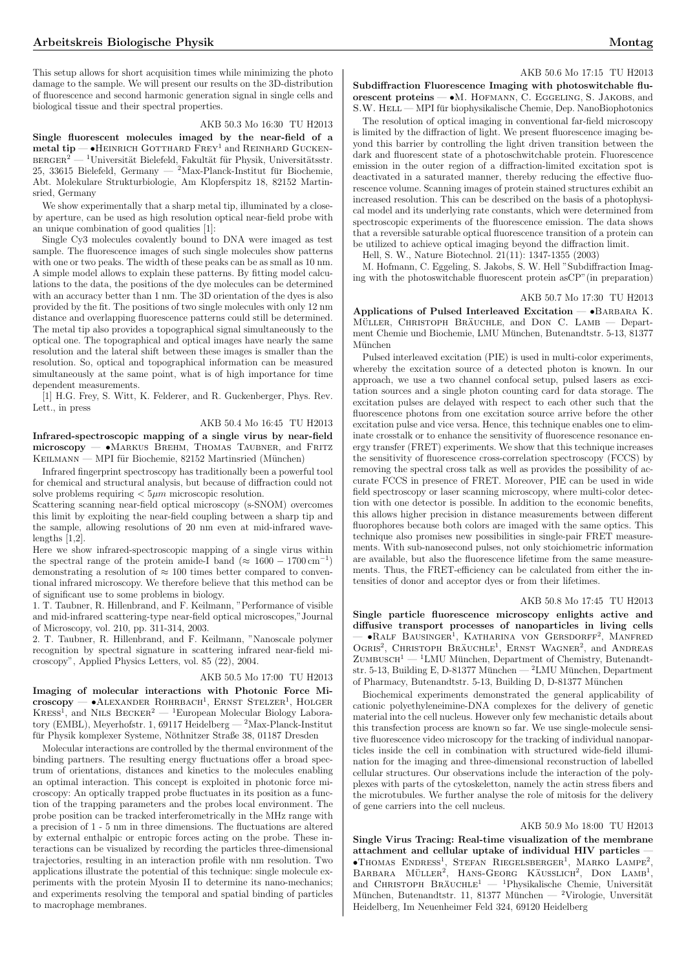This setup allows for short acquisition times while minimizing the photo damage to the sample. We will present our results on the 3D-distribution of fluorescence and second harmonic generation signal in single cells and biological tissue and their spectral properties.

#### AKB 50.3 Mo 16:30 TU H2013

Single fluorescent molecules imaged by the near-field of a  $metal tip$   $\rightarrow$  HEINRICH GOTTHARD  $F$ REY<sup>1</sup> and REINHARD GUCKEN- $\textsc{berger}^2$  —  $\rm^1$ Universität Bielefeld, Fakultät für Physik, Universitätsstr. 25, 33615 Bielefeld, Germany — <sup>2</sup>Max-Planck-Institut für Biochemie, Abt. Molekulare Strukturbiologie, Am Klopferspitz 18, 82152 Martinsried, Germany

We show experimentally that a sharp metal tip, illuminated by a closeby aperture, can be used as high resolution optical near-field probe with an unique combination of good qualities [1]:

Single Cy3 molecules covalently bound to DNA were imaged as test sample. The fluorescence images of such single molecules show patterns with one or two peaks. The width of these peaks can be as small as 10 nm. A simple model allows to explain these patterns. By fitting model calculations to the data, the positions of the dye molecules can be determined with an accuracy better than 1 nm. The 3D orientation of the dyes is also provided by the fit. The positions of two single molecules with only 12 nm distance and overlapping fluorescence patterns could still be determined. The metal tip also provides a topographical signal simultaneously to the optical one. The topographical and optical images have nearly the same resolution and the lateral shift between these images is smaller than the resolution. So, optical and topographical information can be measured simultaneously at the same point, what is of high importance for time dependent measurements.

[1] H.G. Frey, S. Witt, K. Felderer, and R. Guckenberger, Phys. Rev. Lett., in press

# AKB 50.4 Mo 16:45 TU H2013

Infrared-spectroscopic mapping of a single virus by near-field microscopy — •Markus Brehm, Thomas Taubner, and Fritz KEILMANN — MPI für Biochemie, 82152 Martinsried (München)

Infrared fingerprint spectroscopy has traditionally been a powerful tool for chemical and structural analysis, but because of diffraction could not solve problems requiring  $\lt 5\mu m$  microscopic resolution.

Scattering scanning near-field optical microscopy (s-SNOM) overcomes this limit by exploiting the near-field coupling between a sharp tip and the sample, allowing resolutions of 20 nm even at mid-infrared wavelengths [1,2].

Here we show infrared-spectroscopic mapping of a single virus within the spectral range of the protein amide-I band ( $\approx 1600 - 1700 \,\mathrm{cm}^{-1}$ ) demonstrating a resolution of  $\approx 100$  times better compared to conventional infrared microscopy. We therefore believe that this method can be of significant use to some problems in biology.

1. T. Taubner, R. Hillenbrand, and F. Keilmann, "Performance of visible and mid-infrared scattering-type near-field optical microscopes,"Journal of Microscopy, vol. 210, pp. 311-314, 2003.

2. T. Taubner, R. Hillenbrand, and F. Keilmann, "Nanoscale polymer recognition by spectral signature in scattering infrared near-field microscopy", Applied Physics Letters, vol. 85 (22), 2004.

# AKB 50.5 Mo 17:00 TU H2013

Imaging of molecular interactions with Photonic Force Mi-**CORRECTED CONSTRUSTER** CORRECTED **FOLGER** CORRECTED **FOLGER** CORRECTED **FOLGER** CORRECTED **FOLGER** CORRECTED **FOLGER** KRESS<sup>1</sup>, and NILS BECKER<sup>2</sup> — <sup>1</sup>European Molecular Biology Laboratory (EMBL), Meyerhofstr. 1, 69117 Heidelberg — <sup>2</sup>Max-Planck-Institut für Physik komplexer Systeme, Nöthnitzer Straße 38, 01187 Dresden

Molecular interactions are controlled by the thermal environment of the binding partners. The resulting energy fluctuations offer a broad spectrum of orientations, distances and kinetics to the molecules enabling an optimal interaction. This concept is exploited in photonic force microscopy: An optically trapped probe fluctuates in its position as a function of the trapping parameters and the probes local environment. The probe position can be tracked interferometrically in the MHz range with a precision of 1 - 5 nm in three dimensions. The fluctuations are altered by external enthalpic or entropic forces acting on the probe. These interactions can be visualized by recording the particles three-dimensional trajectories, resulting in an interaction profile with nm resolution. Two applications illustrate the potential of this technique: single molecule experiments with the protein Myosin II to determine its nano-mechanics; and experiments resolving the temporal and spatial binding of particles to macrophage membranes.

#### AKB 50.6 Mo 17:15 TU H2013

Subdiffraction Fluorescence Imaging with photoswitchable fluorescent proteins — •M. Hofmann, C. Eggeling, S. Jakobs, and S.W. HELL — MPI für biophysikalische Chemie, Dep. NanoBiophotonics

The resolution of optical imaging in conventional far-field microscopy is limited by the diffraction of light. We present fluorescence imaging beyond this barrier by controlling the light driven transition between the dark and fluorescent state of a photoschwitchable protein. Fluorescence emission in the outer region of a diffraction-limited excitation spot is deactivated in a saturated manner, thereby reducing the effective fluorescence volume. Scanning images of protein stained structures exhibit an increased resolution. This can be described on the basis of a photophysical model and its underlying rate constants, which were determined from spectroscopic experiments of the fluorescence emission. The data shows that a reversible saturable optical fluorescence transition of a protein can be utilized to achieve optical imaging beyond the diffraction limit.

Hell, S. W., Nature Biotechnol. 21(11): 1347-1355 (2003)

M. Hofmann, C. Eggeling, S. Jakobs, S. W. Hell "Subdiffraction Imaging with the photoswitchable fluorescent protein asCP"(in preparation)

#### AKB 50.7 Mo 17:30 TU H2013

Applications of Pulsed Interleaved Excitation  $-$  •BARBARA K. MÜLLER, CHRISTOPH BRÄUCHLE, and DON C. LAMB - Department Chemie und Biochemie, LMU München, Butenandtstr. 5-13, 81377 Munchen ¨

Pulsed interleaved excitation (PIE) is used in multi-color experiments, whereby the excitation source of a detected photon is known. In our approach, we use a two channel confocal setup, pulsed lasers as excitation sources and a single photon counting card for data storage. The excitation pulses are delayed with respect to each other such that the fluorescence photons from one excitation source arrive before the other excitation pulse and vice versa. Hence, this technique enables one to eliminate crosstalk or to enhance the sensitivity of fluorescence resonance energy transfer (FRET) experiments. We show that this technique increases the sensitivity of fluorescence cross-correlation spectroscopy (FCCS) by removing the spectral cross talk as well as provides the possibility of accurate FCCS in presence of FRET. Moreover, PIE can be used in wide field spectroscopy or laser scanning microscopy, where multi-color detection with one detector is possible. In addition to the economic benefits, this allows higher precision in distance measurements between different fluorophores because both colors are imaged with the same optics. This technique also promises new possibilities in single-pair FRET measurements. With sub-nanosecond pulses, not only stoichiometric information are available, but also the fluorescence lifetime from the same measurements. Thus, the FRET-efficiency can be calculated from either the intensities of donor and acceptor dyes or from their lifetimes.

#### AKB 50.8 Mo 17:45 TU H2013

Single particle fluorescence microscopy enlights active and diffusive transport processes of nanoparticles in living cells — •Ralf Bausinger<sup>1</sup> , Katharina von Gersdorff<sup>2</sup> , Manfred  $\sim$   $\sim$  Lale Bausinger, Natharina von Gersburff, Manfred Ogris<sup>2</sup>, Christoph Bräuchle<sup>1</sup>, Ernst Wagner<sup>2</sup>, and Andreas  $Z$ UMBUSCH<sup>1</sup> — <sup>1</sup>LMU München, Department of Chemistry, Butenandtstr. 5-13, Building E, D-81377 München —  $^2$ LMU München, Department of Pharmacy, Butenandtstr. 5-13, Building D, D-81377 Munchen ¨

Biochemical experiments demonstrated the general applicability of cationic polyethyleneimine-DNA complexes for the delivery of genetic material into the cell nucleus. However only few mechanistic details about this transfection process are known so far. We use single-molecule sensitive fluorescence video microscopy for the tracking of individual nanoparticles inside the cell in combination with structured wide-field illumination for the imaging and three-dimensional reconstruction of labelled cellular structures. Our observations include the interaction of the polyplexes with parts of the cytoskeletton, namely the actin stress fibers and the microtubules. We further analyse the role of mitosis for the delivery of gene carriers into the cell nucleus.

#### AKB 50.9 Mo 18:00 TU H2013

Single Virus Tracing: Real-time visualization of the membrane attachment and cellular uptake of individual HIV particles attachment and central uptake of mutvidual HV particles —<br>•Thomas Endress<sup>1</sup>, Stefan Riegelsberger<sup>1</sup>, Marko Lampe<sup>2</sup>, Barbara Müller<sup>2</sup>, Hans-Georg Käusslich<sup>2</sup>, Don Lamp<sup>1</sup>, and CHRISTOPH  $BRÄUCHLE<sup>1</sup>$  —  $1$ Physikalische Chemie, Universität München, Butenandtstr. 11, 81377 München — <sup>2</sup>Virologie, Unversität Heidelberg, Im Neuenheimer Feld 324, 69120 Heidelberg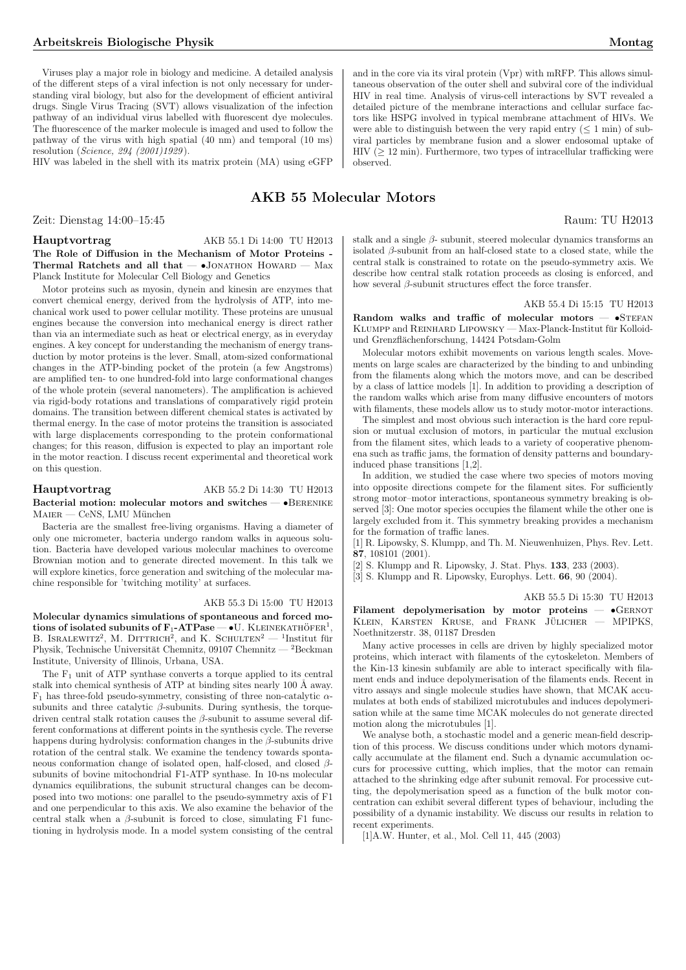Viruses play a major role in biology and medicine. A detailed analysis of the different steps of a viral infection is not only necessary for understanding viral biology, but also for the development of efficient antiviral drugs. Single Virus Tracing (SVT) allows visualization of the infection pathway of an individual virus labelled with fluorescent dye molecules. The fluorescence of the marker molecule is imaged and used to follow the pathway of the virus with high spatial (40 nm) and temporal (10 ms) resolution (Science, 294 (2001)1929 ).

HIV was labeled in the shell with its matrix protein (MA) using eGFP

# AKB 55 Molecular Motors

Zeit: Dienstag 14:00–15:45 Raum: TU H2013

Hauptvortrag AKB 55.1 Di 14:00 TU H2013 The Role of Diffusion in the Mechanism of Motor Proteins - Thermal Ratchets and all that  $\bullet$ JONATHON HOWARD  $-$  Max Planck Institute for Molecular Cell Biology and Genetics

Motor proteins such as myosin, dynein and kinesin are enzymes that convert chemical energy, derived from the hydrolysis of ATP, into mechanical work used to power cellular motility. These proteins are unusual engines because the conversion into mechanical energy is direct rather than via an intermediate such as heat or electrical energy, as in everyday engines. A key concept for understanding the mechanism of energy transduction by motor proteins is the lever. Small, atom-sized conformational changes in the ATP-binding pocket of the protein (a few Angstroms) are amplified ten- to one hundred-fold into large conformational changes of the whole protein (several nanometers). The amplification is achieved via rigid-body rotations and translations of comparatively rigid protein domains. The transition between different chemical states is activated by thermal energy. In the case of motor proteins the transition is associated with large displacements corresponding to the protein conformational changes; for this reason, diffusion is expected to play an important role in the motor reaction. I discuss recent experimental and theoretical work on this question.

# Hauptvortrag AKB 55.2 Di 14:30 TU H2013 Bacterial motion: molecular motors and switches — •Berenike MAIER — CeNS, LMU München

Bacteria are the smallest free-living organisms. Having a diameter of only one micrometer, bacteria undergo random walks in aqueous solution. Bacteria have developed various molecular machines to overcome Brownian motion and to generate directed movement. In this talk we will explore kinetics, force generation and switching of the molecular machine responsible for 'twitching motility' at surfaces.

#### AKB 55.3 Di 15:00 TU H2013

Molecular dynamics simulations of spontaneous and forced motions of isolated subunits of  $F_1$ -ATPase — •U. KLEINEKATHÖFER<sup>1</sup>, EXERCT SUPPLIES IN EXERCT AT 1  $\text{ase} \rightarrow \text{O}$ . REEINERATHOFER, <br>B. ISRALEWITZ<sup>2</sup>, M. DITTRICH<sup>2</sup>, and K. SCHULTEN<sup>2</sup> — <sup>1</sup>Institut fur Physik, Technische Universität Chemnitz, 09107 Chemnitz —  ${}^{2}$ Beckman Institute, University of Illinois, Urbana, USA.

The  $F_1$  unit of ATP synthase converts a torque applied to its central stalk into chemical synthesis of ATP at binding sites nearly 100 Å away.  $F_1$  has three-fold pseudo-symmetry, consisting of three non-catalytic  $\alpha$ subunits and three catalytic  $\beta$ -subunits. During synthesis, the torquedriven central stalk rotation causes the  $\beta$ -subunit to assume several different conformations at different points in the synthesis cycle. The reverse happens during hydrolysis: conformation changes in the  $\beta$ -subunits drive rotation of the central stalk. We examine the tendency towards spontaneous conformation change of isolated open, half-closed, and closed βsubunits of bovine mitochondrial F1-ATP synthase. In 10-ns molecular dynamics equilibrations, the subunit structural changes can be decomposed into two motions: one parallel to the pseudo-symmetry axis of F1 and one perpendicular to this axis. We also examine the behavior of the central stalk when a  $\beta$ -subunit is forced to close, simulating F1 functioning in hydrolysis mode. In a model system consisting of the central and in the core via its viral protein (Vpr) with mRFP. This allows simultaneous observation of the outer shell and subviral core of the individual HIV in real time. Analysis of virus-cell interactions by SVT revealed a detailed picture of the membrane interactions and cellular surface factors like HSPG involved in typical membrane attachment of HIVs. We were able to distinguish between the very rapid entry  $(< 1$  min) of subviral particles by membrane fusion and a slower endosomal uptake of HIV ( $\geq$  12 min). Furthermore, two types of intracellular trafficking were observed.

stalk and a single  $\beta$ - subunit, steered molecular dynamics transforms an isolated β-subunit from an half-closed state to a closed state, while the central stalk is constrained to rotate on the pseudo-symmetry axis. We describe how central stalk rotation proceeds as closing is enforced, and how several  $β$ -subunit structures effect the force transfer.

# AKB 55.4 Di 15:15 TU H2013

Random walks and traffic of molecular motors  $\bullet$ STEFAN KLUMPP and REINHARD LIPOWSKY — Max-Planck-Institut für Kolloidund Grenzflächenforschung, 14424 Potsdam-Golm

Molecular motors exhibit movements on various length scales. Movements on large scales are characterized by the binding to and unbinding from the filaments along which the motors move, and can be described by a class of lattice models [1]. In addition to providing a description of the random walks which arise from many diffusive encounters of motors with filaments, these models allow us to study motor-motor interactions.

The simplest and most obvious such interaction is the hard core repulsion or mutual exclusion of motors, in particular the mutual exclusion from the filament sites, which leads to a variety of cooperative phenomena such as traffic jams, the formation of density patterns and boundaryinduced phase transitions [1,2].

In addition, we studied the case where two species of motors moving into opposite directions compete for the filament sites. For sufficiently strong motor–motor interactions, spontaneous symmetry breaking is observed [3]: One motor species occupies the filament while the other one is largely excluded from it. This symmetry breaking provides a mechanism for the formation of traffic lanes.

[1] R. Lipowsky, S. Klumpp, and Th. M. Nieuwenhuizen, Phys. Rev. Lett. 87, 108101 (2001).

[2] S. Klumpp and R. Lipowsky, J. Stat. Phys. 133, 233 (2003).

[3] S. Klumpp and R. Lipowsky, Europhys. Lett. 66, 90 (2004).

AKB 55.5 Di 15:30 TU H2013

Filament depolymerisation by motor proteins -  $\bullet$ GERNOT KLEIN, KARSTEN KRUSE, and FRANK JÜLICHER  $-$  MPIPKS, Noethnitzerstr. 38, 01187 Dresden

Many active processes in cells are driven by highly specialized motor proteins, which interact with filaments of the cytoskeleton. Members of the Kin-13 kinesin subfamily are able to interact specifically with filament ends and induce depolymerisation of the filaments ends. Recent in vitro assays and single molecule studies have shown, that MCAK accumulates at both ends of stabilized microtubules and induces depolymerisation while at the same time MCAK molecules do not generate directed motion along the microtubules [1].

We analyse both, a stochastic model and a generic mean-field description of this process. We discuss conditions under which motors dynamically accumulate at the filament end. Such a dynamic accumulation occurs for processive cutting, which implies, that the motor can remain attached to the shrinking edge after subunit removal. For processive cutting, the depolymerisation speed as a function of the bulk motor concentration can exhibit several different types of behaviour, including the possibility of a dynamic instability. We discuss our results in relation to recent experiments.

[1]A.W. Hunter, et al., Mol. Cell 11, 445 (2003)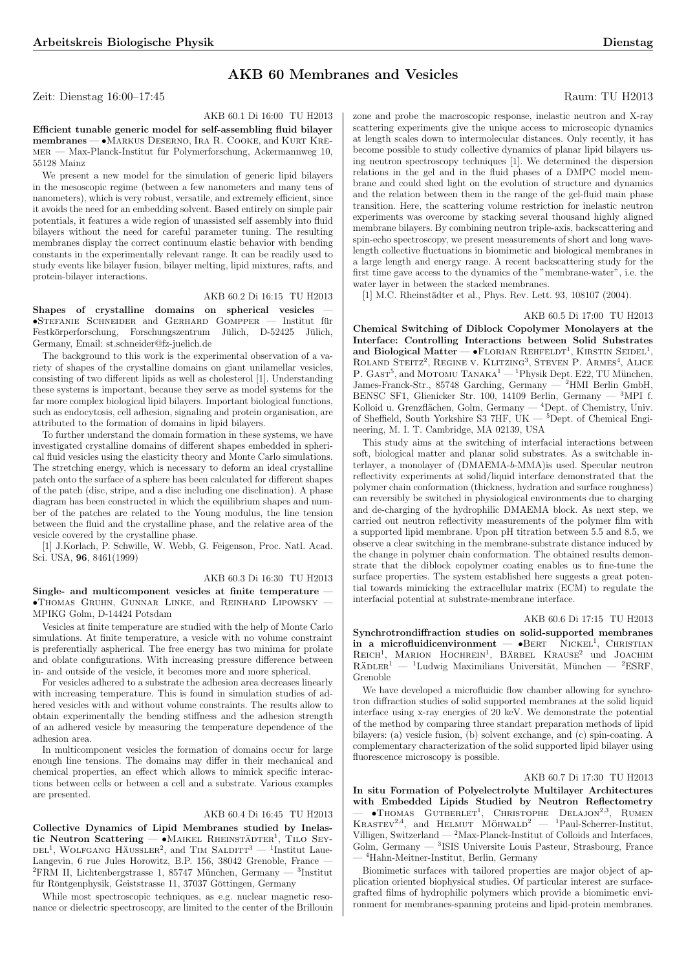# AKB 60 Membranes and Vesicles

Zeit: Dienstag 16:00–17:45 Raum: TU H2013

# AKB 60.1 Di 16:00 TU H2013

Efficient tunable generic model for self-assembling fluid bilayer membranes — •Markus Deserno, Ira R. Cooke, and Kurt Kre- $MER$  — Max-Planck-Institut für Polymerforschung, Ackermannweg 10, 55128 Mainz

We present a new model for the simulation of generic lipid bilayers in the mesoscopic regime (between a few nanometers and many tens of nanometers), which is very robust, versatile, and extremely efficient, since it avoids the need for an embedding solvent. Based entirely on simple pair potentials, it features a wide region of unassisted self assembly into fluid bilayers without the need for careful parameter tuning. The resulting membranes display the correct continuum elastic behavior with bending constants in the experimentally relevant range. It can be readily used to study events like bilayer fusion, bilayer melting, lipid mixtures, rafts, and protein-bilayer interactions.

#### AKB 60.2 Di 16:15 TU H2013

Shapes of crystalline domains on spherical vesicles  $\bullet$ STEFANIE SCHNEIDER and GERHARD GOMPPER — Institut für Festkörperforschung, Forschungszentrum Jülich, D-52425 Jülich, Germany, Email: st.schneider@fz-juelich.de

The background to this work is the experimental observation of a variety of shapes of the crystalline domains on giant unilamellar vesicles, consisting of two different lipids as well as cholesterol [1]. Understanding these systems is important, because they serve as model systems for the far more complex biological lipid bilayers. Important biological functions, such as endocytosis, cell adhesion, signaling and protein organisation, are attributed to the formation of domains in lipid bilayers.

To further understand the domain formation in these systems, we have investigated crystalline domains of different shapes embedded in spherical fluid vesicles using the elasticity theory and Monte Carlo simulations. The stretching energy, which is necessary to deform an ideal crystalline patch onto the surface of a sphere has been calculated for different shapes of the patch (disc, stripe, and a disc including one disclination). A phase diagram has been constructed in which the equilibrium shapes and number of the patches are related to the Young modulus, the line tension between the fluid and the crystalline phase, and the relative area of the vesicle covered by the crystalline phase.

[1] J.Korlach, P. Schwille, W. Webb, G. Feigenson, Proc. Natl. Acad. Sci. USA, 96, 8461(1999)

#### AKB 60.3 Di 16:30 TU H2013

Single- and multicomponent vesicles at finite temperature •Thomas Gruhn, Gunnar Linke, and Reinhard Lipowsky — MPIKG Golm, D-14424 Potsdam

Vesicles at finite temperature are studied with the help of Monte Carlo simulations. At finite temperature, a vesicle with no volume constraint is preferentially aspherical. The free energy has two minima for prolate and oblate configurations. With increasing pressure difference between in- and outside of the vesicle, it becomes more and more spherical.

For vesicles adhered to a substrate the adhesion area decreases linearly with increasing temperature. This is found in simulation studies of adhered vesicles with and without volume constraints. The results allow to obtain experimentally the bending stiffness and the adhesion strength of an adhered vesicle by measuring the temperature dependence of the adhesion area.

In multicomponent vesicles the formation of domains occur for large enough line tensions. The domains may differ in their mechanical and chemical properties, an effect which allows to mimick specific interactions between cells or between a cell and a substrate. Various examples are presented.

## AKB 60.4 Di 16:45 TU H2013

Collective Dynamics of Lipid Membranes studied by Inelas-University and the Maikel Rheinstadter in The Sey-<br>
tic Neutron Scattering → MAIKEL RHEINSTÄDTER<sup>1</sup>, TILO SEY- $\text{Delta}$ , WOLFGANG HÄUSSLER<sup>2</sup>, and TIM SALDITT<sup>3</sup> — <sup>1</sup>Institut Laue-Langevin, 6 rue Jules Horowitz, B.P. 156, 38042 Grenoble, France —  ${}^{2}$ FRM II, Lichtenbergstrasse 1, 85747 München, Germany 3 Institut für Röntgenphysik, Geiststrasse 11, 37037 Göttingen, Germany

While most spectroscopic techniques, as e.g. nuclear magnetic resonance or dielectric spectroscopy, are limited to the center of the Brillouin

zone and probe the macroscopic response, inelastic neutron and X-ray scattering experiments give the unique access to microscopic dynamics at length scales down to intermolecular distances. Only recently, it has become possible to study collective dynamics of planar lipid bilayers using neutron spectroscopy techniques [1]. We determined the dispersion relations in the gel and in the fluid phases of a DMPC model membrane and could shed light on the evolution of structure and dynamics and the relation between them in the range of the gel-fluid main phase transition. Here, the scattering volume restriction for inelastic neutron experiments was overcome by stacking several thousand highly aligned membrane bilayers. By combining neutron triple-axis, backscattering and spin-echo spectroscopy, we present measurements of short and long wavelength collective fluctuations in biomimetic and biological membranes in a large length and energy range. A recent backscattering study for the first time gave access to the dynamics of the "membrane-water", i.e. the water layer in between the stacked membranes.

[1] M.C. Rheinstädter et al., Phys. Rev. Lett. 93, 108107 (2004).

# AKB 60.5 Di 17:00 TU H2013

Chemical Switching of Diblock Copolymer Monolayers at the Interface: Controlling Interactions between Solid Substrates  $\mu$  Biological Matter — •FLORIAN REHFELDT<sup>1</sup>, KIRSTIN SEIDEL<sup>1</sup>, and Blongical Matter — TEDMAN REHELLI, KINSTIN SEIDEL,<br>ROLAND STEITZ<sup>2</sup>, REGINE V. KLITZING<sup>3</sup>, STEVEN P. ARMES<sup>4</sup>, ALICE P.  $GAST<sup>5</sup>$ , and MOTOMU TANAKA<sup>1</sup> — <sup>1</sup>Physik Dept. E22, TU München, James-Franck-Str., 85748 Garching, Germany — <sup>2</sup>HMI Berlin GmbH, BENSC SF1, Glienicker Str. 100, 14109 Berlin, Germany — <sup>3</sup>MPI f. Kolloid u. Grenzflächen, Golm, Germany  $-$  <sup>4</sup>Dept. of Chemistry, Univ. of Sheffield, South Yorkshire S3 7HF, UK —  ${}^{5}$ Dept. of Chemical Engineering, M. I. T. Cambridge, MA 02139, USA

This study aims at the switching of interfacial interactions between soft, biological matter and planar solid substrates. As a switchable interlayer, a monolayer of (DMAEMA-b-MMA)is used. Specular neutron reflectivity experiments at solid/liquid interface demonstrated that the polymer chain conformation (thickness, hydration and surface roughness) can reversibly be switched in physiological environments due to charging and de-charging of the hydrophilic DMAEMA block. As next step, we carried out neutron reflectivity measurements of the polymer film with a supported lipid membrane. Upon pH titration between 5.5 and 8.5, we observe a clear switching in the membrane-substrate distance induced by the change in polymer chain conformation. The obtained results demonstrate that the diblock copolymer coating enables us to fine-tune the surface properties. The system established here suggests a great potential towards mimicking the extracellular matrix (ECM) to regulate the interfacial potential at substrate-membrane interface.

#### AKB 60.6 Di 17:15 TU H2013

Synchrotrondiffraction studies on solid-supported membranes  $\ddot{\text{in}}$  a microfluidicenvironment  $-$  •BERT NICKEL<sup>1</sup>, CHRISTIAN  $R$ EICH<sup>1</sup>, MARION HOCHREIN<sup>1</sup>, BÄRBEL KRAUSE<sup>2</sup> und JOACHIM  $R\ddot{A}DLER^1$  $1$ Ludwig Maximilians Universität, München — <sup>2</sup>ESRF, Grenoble

We have developed a microfluidic flow chamber allowing for synchrotron diffraction studies of solid supported membranes at the solid liquid interface using x-ray energies of 20 keV. We demonstrate the potential of the method by comparing three standart preparation methods of lipid bilayers: (a) vesicle fusion, (b) solvent exchange, and (c) spin-coating. A complementary characterization of the solid supported lipid bilayer using fluorescence microscopy is possible.

## AKB 60.7 Di 17:30 TU H2013

In situ Formation of Polyelectrolyte Multilayer Architectures with Embedded Lipids Studied by Neutron Reflectometry WELL EINDERGED DRISE STAGED BY TWELFOR THERECOMELY<br>  $-$  •Thomas Gutberlet<sup>1</sup>, Christophe Delajon<sup>2,3</sup>, Rumen<br>
KRASTEV<sup>2,4</sup>, and Helmut Möhwald<sup>2</sup> — <sup>1</sup>Paul-Scherrer-Institut, Villigen, Switzerland —  $2$ Max-Planck-Institut of Colloids and Interfaces, Golm, Germany — <sup>3</sup>ISIS Universite Louis Pasteur, Strasbourg, France — <sup>4</sup>Hahn-Meitner-Institut, Berlin, Germany

Biomimetic surfaces with tailored properties are major object of application oriented biophysical studies. Of particular interest are surfacegrafted films of hydrophilic polymers which provide a biomimetic environment for membranes-spanning proteins and lipid-protein membranes.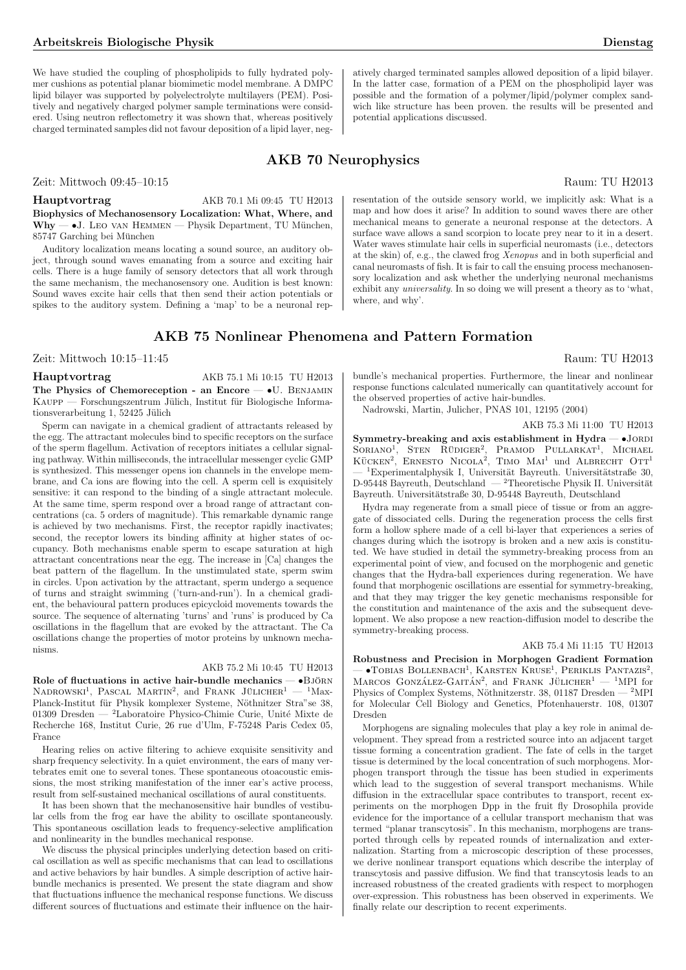We have studied the coupling of phospholipids to fully hydrated polymer cushions as potential planar biomimetic model membrane. A DMPC lipid bilayer was supported by polyelectrolyte multilayers (PEM). Positively and negatively charged polymer sample terminations were considered. Using neutron reflectometry it was shown that, whereas positively charged terminated samples did not favour deposition of a lipid layer, negatively charged terminated samples allowed deposition of a lipid bilayer. In the latter case, formation of a PEM on the phospholipid layer was possible and the formation of a polymer/lipid/polymer complex sandwich like structure has been proven. the results will be presented and potential applications discussed.

# AKB 70 Neurophysics

# Zeit: Mittwoch 09:45–10:15 Raum: TU H2013

# Hauptvortrag AKB 70.1 Mi 09:45 TU H2013

Biophysics of Mechanosensory Localization: What, Where, and  $Why - \bullet J.$  Leo van Hemmen — Physik Department, TU München, 85747 Garching bei Munchen ¨

Auditory localization means locating a sound source, an auditory object, through sound waves emanating from a source and exciting hair cells. There is a huge family of sensory detectors that all work through the same mechanism, the mechanosensory one. Audition is best known: Sound waves excite hair cells that then send their action potentials or spikes to the auditory system. Defining a 'map' to be a neuronal rep-

# AKB 75 Nonlinear Phenomena and Pattern Formation

Zeit: Mittwoch 10:15–11:45 Raum: TU H2013

# Hauptvortrag AKB 75.1 Mi 10:15 TU H2013

The Physics of Chemoreception - an Encore -  $\bullet$ U. BENJAMIN  $K_AUPP$  — Forschungszentrum Jülich, Institut für Biologische Informationsverarbeitung 1, 52425 Jülich

Sperm can navigate in a chemical gradient of attractants released by the egg. The attractant molecules bind to specific receptors on the surface of the sperm flagellum. Activation of receptors initiates a cellular signaling pathway. Within milliseconds, the intracellular messenger cyclic GMP is synthesized. This messenger opens ion channels in the envelope membrane, and Ca ions are flowing into the cell. A sperm cell is exquisitely sensitive: it can respond to the binding of a single attractant molecule. At the same time, sperm respond over a broad range of attractant concentrations (ca. 5 orders of magnitude). This remarkable dynamic range is achieved by two mechanisms. First, the receptor rapidly inactivates; second, the receptor lowers its binding affinity at higher states of occupancy. Both mechanisms enable sperm to escape saturation at high attractant concentrations near the egg. The increase in [Ca] changes the beat pattern of the flagellum. In the unstimulated state, sperm swim in circles. Upon activation by the attractant, sperm undergo a sequence of turns and straight swimming ('turn-and-run'). In a chemical gradient, the behavioural pattern produces epicycloid movements towards the source. The sequence of alternating 'turns' and 'runs' is produced by Ca oscillations in the flagellum that are evoked by the attractant. The Ca oscillations change the properties of motor proteins by unknown mechanisms.

# AKB 75.2 Mi 10:45 TU H2013

Role of fluctuations in active hair-bundle mechanics —  $\bullet {\bf B} {\it j\ddot{o}} {\bf R} {\bf N}$ NADROWSKI<sup>1</sup>, PASCAL MARTIN<sup>2</sup>, and FRANK JÜLICHER<sup>1</sup> — <sup>1</sup>Max-Planck-Institut für Physik komplexer Systeme, Nöthnitzer Stra"se 38, 01309 Dresden — <sup>2</sup>Laboratoire Physico-Chimie Curie, Unité Mixte de Recherche 168, Institut Curie, 26 rue d'Ulm, F-75248 Paris Cedex 05, France

Hearing relies on active filtering to achieve exquisite sensitivity and sharp frequency selectivity. In a quiet environment, the ears of many vertebrates emit one to several tones. These spontaneous otoacoustic emissions, the most striking manifestation of the inner ear's active process, result from self-sustained mechanical oscillations of aural constituents.

It has been shown that the mechanosensitive hair bundles of vestibular cells from the frog ear have the ability to oscillate spontaneously. This spontaneous oscillation leads to frequency-selective amplification and nonlinearity in the bundles mechanical response.

We discuss the physical principles underlying detection based on critical oscillation as well as specific mechanisms that can lead to oscillations and active behaviors by hair bundles. A simple description of active hairbundle mechanics is presented. We present the state diagram and show that fluctuations influence the mechanical response functions. We discuss different sources of fluctuations and estimate their influence on the hairresentation of the outside sensory world, we implicitly ask: What is a map and how does it arise? In addition to sound waves there are other mechanical means to generate a neuronal response at the detectors. A surface wave allows a sand scorpion to locate prey near to it in a desert. Water waves stimulate hair cells in superficial neuromasts (i.e., detectors at the skin) of, e.g., the clawed frog Xenopus and in both superficial and canal neuromasts of fish. It is fair to call the ensuing process mechanosensory localization and ask whether the underlying neuronal mechanisms exhibit any universality. In so doing we will present a theory as to 'what, where, and why'.

bundle's mechanical properties. Furthermore, the linear and nonlinear response functions calculated numerically can quantitatively account for the observed properties of active hair-bundles.

Nadrowski, Martin, Julicher, PNAS 101, 12195 (2004)

# AKB 75.3 Mi 11:00 TU H2013

Symmetry-breaking and axis establishment in Hydra  $\bullet$  JORDI  $S$ ORIANO<sup>1</sup>, STEN RÜDIGER<sup>2</sup>, PRAMOD PULLARKAT<sup>1</sup>, MICHAEL<br>KÜCKEN<sup>2</sup>, ERNESTO NICOLA<sup>2</sup>, TIMO MAI<sup>1</sup> und ALBRECHT OTT<sup>1</sup> <sup>1</sup>Experimentalphysik I, Universität Bayreuth. Universitätstraße 30, D-95448 Bayreuth, Deutschland — <sup>2</sup>Theoretische Physik II. Universität Bayreuth. Universitätstraße 30, D-95448 Bayreuth, Deutschland

Hydra may regenerate from a small piece of tissue or from an aggregate of dissociated cells. During the regeneration process the cells first form a hollow sphere made of a cell bi-layer that experiences a series of changes during which the isotropy is broken and a new axis is constituted. We have studied in detail the symmetry-breaking process from an experimental point of view, and focused on the morphogenic and genetic changes that the Hydra-ball experiences during regeneration. We have found that morphogenic oscillations are essential for symmetry-breaking, and that they may trigger the key genetic mechanisms responsible for the constitution and maintenance of the axis and the subsequent development. We also propose a new reaction-diffusion model to describe the symmetry-breaking process.

# AKB 75.4 Mi 11:15 TU H2013

Robustness and Precision in Morphogen Gradient Formation  $-$  •Tobias Bollenbach<sup>1</sup>, Karsten Kruse<sup>1</sup>, Periklis Pantazis<sup>2</sup>,  $\sim$   $\sim$  1061AS BOLLENBACH, KARSTEN KROSE, I ENIRLIS I ANTAZIS,<br>MARCOS GONZÁLEZ-GAITÁN<sup>2</sup>, and FRANK JÜLICHER<sup>1</sup> — <sup>1</sup>MPI for Physics of Complex Systems, Nöthnitzerstr. 38, 01187 Dresden —  $^2 \mathrm{MPI}$ for Molecular Cell Biology and Genetics, Pfotenhauerstr. 108, 01307 Dresden

Morphogens are signaling molecules that play a key role in animal development. They spread from a restricted source into an adjacent target tissue forming a concentration gradient. The fate of cells in the target tissue is determined by the local concentration of such morphogens. Morphogen transport through the tissue has been studied in experiments which lead to the suggestion of several transport mechanisms. While diffusion in the extracellular space contributes to transport, recent experiments on the morphogen Dpp in the fruit fly Drosophila provide evidence for the importance of a cellular transport mechanism that was termed "planar transcytosis". In this mechanism, morphogens are transported through cells by repeated rounds of internalization and externalization. Starting from a microscopic description of these processes, we derive nonlinear transport equations which describe the interplay of transcytosis and passive diffusion. We find that transcytosis leads to an increased robustness of the created gradients with respect to morphogen over-expression. This robustness has been observed in experiments. We finally relate our description to recent experiments.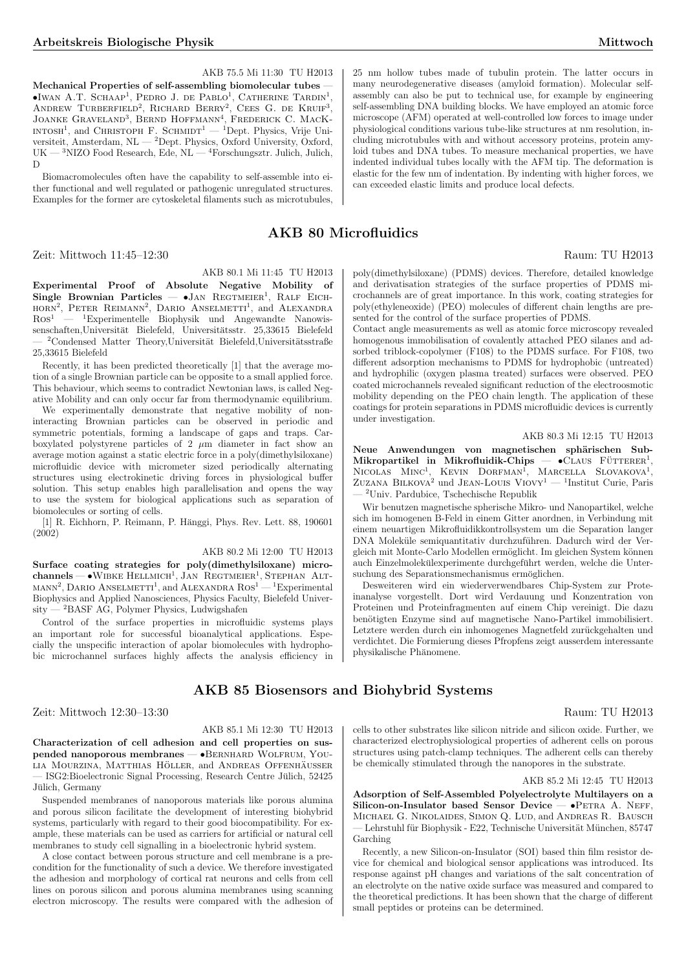# AKB 75.5 Mi 11:30 TU H2013

Mechanical Properties of self-assembling biomolecular tubes —  $\bullet$ Iwan A.T. SCHAAP<sup>1</sup>, PEDRO J. DE PABLO<sup>1</sup>, CATHERINE TARDIN<sup>1</sup>, ANDREW TURBERFIELD<sup>2</sup>, RICHARD BERRY<sup>2</sup>, CEES G. DE KRUIF<sup>3</sup>, ANDREW TURBERFIELD, RICHARD BERRI, CEES G. DE KRUIF,<br>JOANKE GRAVELAND<sup>3</sup>, BERND HOFFMANN<sup>4</sup>, FREDERICK C. MACK-INTOSH<sup>1</sup>, and CHRISTOPH F. SCHMIDT<sup>1</sup> — <sup>1</sup>Dept. Physics, Vrije Universiteit, Amsterdam, NL — <sup>2</sup>Dept. Physics, Oxford University, Oxford, UK — <sup>3</sup>NIZO Food Research, Ede, NL — <sup>4</sup>Forschungsztr. Julich, Julich, D

Biomacromolecules often have the capability to self-assemble into either functional and well regulated or pathogenic unregulated structures. Examples for the former are cytoskeletal filaments such as microtubules,

# AKB 80 Microfluidics

Zeit: Mittwoch 11:45–12:30 Raum: TU H2013

# AKB 80.1 Mi 11:45 TU H2013

Experimental Proof of Absolute Negative Mobility of Single Brownian Particles —  $\bullet$ JAN REGTMEIER<sup>1</sup>, RALF EICH- $HORN<sup>2</sup>$ , PETER REIMANN<sup>2</sup>, DARIO ANSELMETTI<sup>1</sup>, and ALEXANDRA  $R$ os<sup>1</sup> — <sup>1</sup>Experimentelle Biophysik und Angewandte Nanowissenschaften,Universität Bielefeld, Universitätsstr. 25,33615 Bielefeld  $^{2}$ Condensed Matter Theory, Universität Bielefeld, Universitätsstraße 25,33615 Bielefeld

Recently, it has been predicted theoretically [1] that the average motion of a single Brownian particle can be opposite to a small applied force. This behaviour, which seems to contradict Newtonian laws, is called Negative Mobility and can only occur far from thermodynamic equilibrium.

We experimentally demonstrate that negative mobility of noninteracting Brownian particles can be observed in periodic and symmetric potentials, forming a landscape of gaps and traps. Carboxylated polystyrene particles of 2  $\mu$ m diameter in fact show an average motion against a static electric force in a poly(dimethylsiloxane) microfluidic device with micrometer sized periodically alternating structures using electrokinetic driving forces in physiological buffer solution. This setup enables high parallelisation and opens the way to use the system for biological applications such as separation of biomolecules or sorting of cells.

[1] R. Eichhorn, P. Reimann, P. Hänggi, Phys. Rev. Lett. 88, 190601 (2002)

## AKB 80.2 Mi 12:00 TU H2013

Surface coating strategies for poly(dimethylsiloxane) microsurface coating strategies for poly(unnethylshoxane) incro-<br>channels — •WIBKE  $HELLMICH^1$ , JAN  $REGNNEIER^1$ , STEPHAN ALT-<br>MANN<sup>2</sup>, DARIO ANSELMETTI<sup>1</sup>, and ALEXANDRA  $Ros^1$ —<sup>1</sup>Experimental Biophysics and Applied Nanosciences, Physics Faculty, Bielefeld Univer $sity - 2BASF AG$ , Polymer Physics, Ludwigshafen

Control of the surface properties in microfluidic systems plays an important role for successful bioanalytical applications. Especially the unspecific interaction of apolar biomolecules with hydrophobic microchannel surfaces highly affects the analysis efficiency in

# AKB 85 Biosensors and Biohybrid Systems

Zeit: Mittwoch 12:30–13:30 Raum: TU H2013

# AKB 85.1 Mi 12:30 TU H2013

Characterization of cell adhesion and cell properties on suspended nanoporous membranes — •Bernhard Wolfrum, You-LIA MOURZINA, MATTHIAS HÖLLER, and ANDREAS OFFENHÄUSSER - ISG2: Bioelectronic Signal Processing, Research Centre Jülich, 52425 Jülich, Germany

Suspended membranes of nanoporous materials like porous alumina and porous silicon facilitate the development of interesting biohybrid systems, particularly with regard to their good biocompatibility. For example, these materials can be used as carriers for artificial or natural cell membranes to study cell signalling in a bioelectronic hybrid system.

A close contact between porous structure and cell membrane is a precondition for the functionality of such a device. We therefore investigated the adhesion and morphology of cortical rat neurons and cells from cell lines on porous silicon and porous alumina membranes using scanning electron microscopy. The results were compared with the adhesion of 25 nm hollow tubes made of tubulin protein. The latter occurs in many neurodegenerative diseases (amyloid formation). Molecular selfassembly can also be put to technical use, for example by engineering self-assembling DNA building blocks. We have employed an atomic force microscope (AFM) operated at well-controlled low forces to image under physiological conditions various tube-like structures at nm resolution, including microtubules with and without accessory proteins, protein amyloid tubes and DNA tubes. To measure mechanical properties, we have indented individual tubes locally with the AFM tip. The deformation is elastic for the few nm of indentation. By indenting with higher forces, we can exceeded elastic limits and produce local defects.

poly(dimethylsiloxane) (PDMS) devices. Therefore, detailed knowledge and derivatisation strategies of the surface properties of PDMS microchannels are of great importance. In this work, coating strategies for poly(ethyleneoxide) (PEO) molecules of different chain lengths are presented for the control of the surface properties of PDMS.

Contact angle measurements as well as atomic force microscopy revealed homogenous immobilisation of covalently attached PEO silanes and adsorbed triblock-copolymer (F108) to the PDMS surface. For F108, two different adsorption mechanisms to PDMS for hydrophobic (untreated) and hydrophilic (oxygen plasma treated) surfaces were observed. PEO coated microchannels revealed significant reduction of the electroosmotic mobility depending on the PEO chain length. The application of these coatings for protein separations in PDMS microfluidic devices is currently under investigation.

## AKB 80.3 Mi 12:15 TU H2013

Neue Anwendungen von magnetischen sphärischen Sub-Mikropartikel in Mikrofluidik-Chips — •CLAUS FÜTTERER<sup>1</sup>,  $N_{\text{INCUAS}}$   $M_{\text{INC}}^1$ ,  $K_{\text{EVIN}}$  DORFMAN<sup>1</sup>, MARCELLA SLOVAKOVA<sup>1</sup>,  $ZUZANA$  BILKOVA<sup>2</sup> und JEAN-LOUIS  $VIOVY^1$  — <sup>1</sup>Institut Curie, Paris — <sup>2</sup>Univ. Pardubice, Tschechische Republik

Wir benutzen magnetische spherische Mikro- und Nanopartikel, welche sich im homogenen B-Feld in einem Gitter anordnen, in Verbindung mit einem neuartigen Mikrofluidikkontrollsystem um die Separation langer DNA Moleküle semiquantitativ durchzuführen. Dadurch wird der Vergleich mit Monte-Carlo Modellen ermöglicht. Im gleichen System können auch Einzelmolekülexperimente durchgeführt werden, welche die Untersuchung des Separationsmechanismus ermöglichen.

Desweiteren wird ein wiederverwendbares Chip-System zur Proteinanalyse vorgestellt. Dort wird Verdauung und Konzentration von Proteinen und Proteinfragmenten auf einem Chip vereinigt. Die dazu benötigten Enzyme sind auf magnetische Nano-Partikel immobilisiert. Letztere werden durch ein inhomogenes Magnetfeld zurückgehalten und verdichtet. Die Formierung dieses Pfropfens zeigt ausserdem interessante physikalische Phänomene.

cells to other substrates like silicon nitride and silicon oxide. Further, we characterized electrophysiological properties of adherent cells on porous structures using patch-clamp techniques. The adherent cells can thereby be chemically stimulated through the nanopores in the substrate.

#### AKB 85.2 Mi 12:45 TU H2013

Adsorption of Self-Assembled Polyelectrolyte Multilayers on a Silicon-on-Insulator based Sensor Device  $\bullet$ PETRA A. NEFF, Michael G. Nikolaides, Simon Q. Lud, and Andreas R. Bausch - Lehrstuhl für Biophysik - E22, Technische Universität München, 85747 Garching

Recently, a new Silicon-on-Insulator (SOI) based thin film resistor device for chemical and biological sensor applications was introduced. Its response against pH changes and variations of the salt concentration of an electrolyte on the native oxide surface was measured and compared to the theoretical predictions. It has been shown that the charge of different small peptides or proteins can be determined.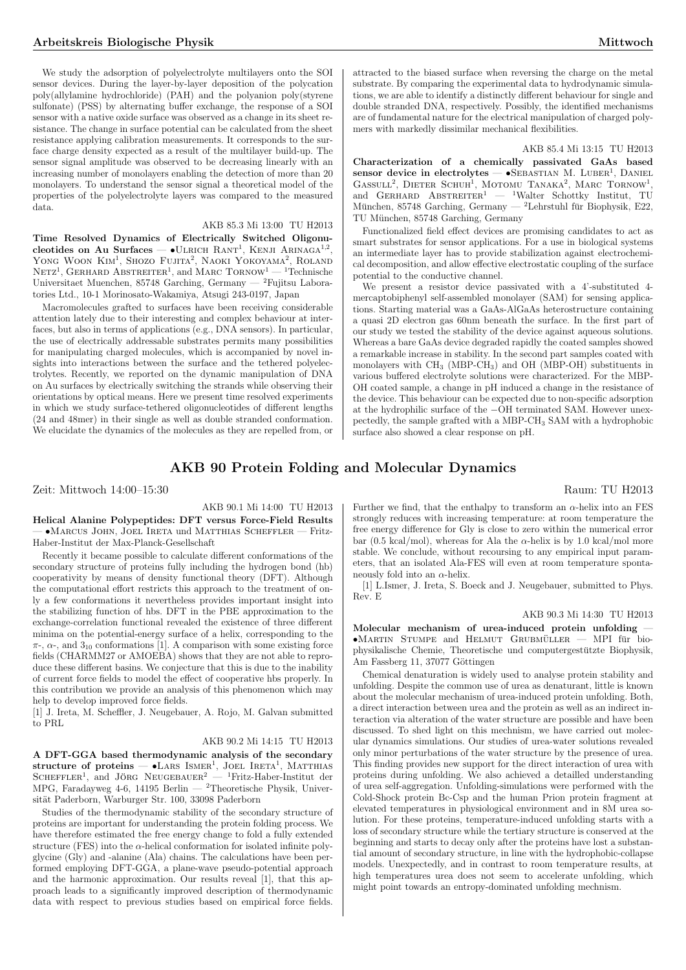We study the adsorption of polyelectrolyte multilayers onto the SOI sensor devices. During the layer-by-layer deposition of the polycation poly(allylamine hydrochloride) (PAH) and the polyanion poly(styrene sulfonate) (PSS) by alternating buffer exchange, the response of a SOI sensor with a native oxide surface was observed as a change in its sheet resistance. The change in surface potential can be calculated from the sheet resistance applying calibration measurements. It corresponds to the surface charge density expected as a result of the multilayer build-up. The sensor signal amplitude was observed to be decreasing linearly with an increasing number of monolayers enabling the detection of more than 20 monolayers. To understand the sensor signal a theoretical model of the properties of the polyelectrolyte layers was compared to the measured data.

# AKB 85.3 Mi 13:00 TU H2013

Time Resolved Dynamics of Electrically Switched Oligonu- $\frac{1}{2}$  cleotides on Au Surfaces — •ULRICH RANT<sup>1</sup>, KENJI ARINAGA<sup>1,2</sup>, YONG WOON KIM<sup>1</sup>, SHOZO FUJITA<sup>2</sup>, NAOKI YOKOYAMA<sup>2</sup>, ROLAND  $NETZ<sup>1</sup>$ , GERHARD ABSTREITER<sup>1</sup>, and MARC  $TORNow<sup>1</sup>$  – <sup>1</sup>Technische Universitaet Muenchen, 85748<br> Garching, Germany —  $^2\rm{Fujitsu}$  Laboratories Ltd., 10-1 Morinosato-Wakamiya, Atsugi 243-0197, Japan

Macromolecules grafted to surfaces have been receiving considerable attention lately due to their interesting and complex behaviour at interfaces, but also in terms of applications (e.g., DNA sensors). In particular, the use of electrically addressable substrates permits many possibilities for manipulating charged molecules, which is accompanied by novel insights into interactions between the surface and the tethered polyelectrolytes. Recently, we reported on the dynamic manipulation of DNA on Au surfaces by electrically switching the strands while observing their orientations by optical means. Here we present time resolved experiments in which we study surface-tethered oligonucleotides of different lengths (24 and 48mer) in their single as well as double stranded conformation. We elucidate the dynamics of the molecules as they are repelled from, or attracted to the biased surface when reversing the charge on the metal substrate. By comparing the experimental data to hydrodynamic simulations, we are able to identify a distinctly different behaviour for single and double stranded DNA, respectively. Possibly, the identified mechanisms are of fundamental nature for the electrical manipulation of charged polymers with markedly dissimilar mechanical flexibilities.

## AKB 85.4 Mi 13:15 TU H2013

Characterization of a chemically passivated GaAs based sensor device in electrolytes — •SEBASTIAN M. LUBER<sup>1</sup>, DANIEL GASSULL<sup>2</sup>, DIETER SCHUH<sup>1</sup>, MOTOMU TANAKA<sup>2</sup>, MARC TORNOW<sup>1</sup>, and GERHARD ABSTREITER<sup>1</sup>  $-$  <sup>1</sup>Walter Schottky Institut, TU München, 85748 Garching, Germany — <sup>2</sup>Lehrstuhl für Biophysik, E22, TU Munchen, 85748 Garching, Germany ¨

Functionalized field effect devices are promising candidates to act as smart substrates for sensor applications. For a use in biological systems an intermediate layer has to provide stabilization against electrochemical decomposition, and allow effective electrostatic coupling of the surface potential to the conductive channel.

We present a resistor device passivated with a 4'-substituted 4 mercaptobiphenyl self-assembled monolayer (SAM) for sensing applications. Starting material was a GaAs-AlGaAs heterostructure containing a quasi 2D electron gas 60nm beneath the surface. In the first part of our study we tested the stability of the device against aqueous solutions. Whereas a bare GaAs device degraded rapidly the coated samples showed a remarkable increase in stability. In the second part samples coated with monolayers with  $CH_3$  (MBP-CH<sub>3</sub>) and OH (MBP-OH) substituents in various buffered electrolyte solutions were characterized. For the MBP-OH coated sample, a change in pH induced a change in the resistance of the device. This behaviour can be expected due to non-specific adsorption at the hydrophilic surface of the −OH terminated SAM. However unexpectedly, the sample grafted with a MBP-CH<sup>3</sup> SAM with a hydrophobic surface also showed a clear response on pH.

# AKB 90 Protein Folding and Molecular Dynamics

Zeit: Mittwoch 14:00–15:30 Raum: TU H2013

# AKB 90.1 Mi 14:00 TU H2013

Helical Alanine Polypeptides: DFT versus Force-Field Results — •Marcus John, Joel Ireta und Matthias Scheffler — Fritz-Haber-Institut der Max-Planck-Gesellschaft

Recently it became possible to calculate different conformations of the secondary structure of proteins fully including the hydrogen bond (hb) cooperativity by means of density functional theory (DFT). Although the computational effort restricts this approach to the treatment of only a few conformations it nevertheless provides important insight into the stabilizing function of hbs. DFT in the PBE approximation to the exchange-correlation functional revealed the existence of three different minima on the potential-energy surface of a helix, corresponding to the  $\pi$ -,  $\alpha$ -, and  $3_{10}$  conformations [1]. A comparison with some existing force fields (CHARMM27 or AMOEBA) shows that they are not able to reproduce these different basins. We conjecture that this is due to the inability of current force fields to model the effect of cooperative hbs properly. In this contribution we provide an analysis of this phenomenon which may help to develop improved force fields.

[1] J. Ireta, M. Scheffler, J. Neugebauer, A. Rojo, M. Galvan submitted to PRL

## AKB 90.2 Mi 14:15 TU H2013

A DFT-GGA based thermodynamic analysis of the secondary  $\text{ATUATE}$  and Jorg Neugebauer<sup>2</sup> — <sup>1</sup>Fritz-Haber-Institut der Scheffler<sup>1</sup>, and Jörg Neugebauer<sup>2</sup> — <sup>1</sup>Fritz-Haber-Institut der MPG, Faradayweg 4-6, 14195 Berlin — <sup>2</sup>Theoretische Physik, Universität Paderborn, Warburger Str. 100, 33098 Paderborn

Studies of the thermodynamic stability of the secondary structure of proteins are important for understanding the protein folding process. We have therefore estimated the free energy change to fold a fully extended structure (FES) into the  $\alpha$ -helical conformation for isolated infinite polyglycine (Gly) and -alanine (Ala) chains. The calculations have been performed employing DFT-GGA, a plane-wave pseudo-potential approach and the harmonic approximation. Our results reveal [1], that this approach leads to a significantly improved description of thermodynamic data with respect to previous studies based on empirical force fields.

Further we find, that the enthalpy to transform an  $\alpha$ -helix into an FES strongly reduces with increasing temperature: at room temperature the free energy difference for Gly is close to zero within the numerical error bar (0.5 kcal/mol), whereas for Ala the  $\alpha$ -helix is by 1.0 kcal/mol more stable. We conclude, without recoursing to any empirical input parameters, that an isolated Ala-FES will even at room temperature spontaneously fold into an  $\alpha$ -helix.

[1] L.Ismer, J. Ireta, S. Boeck and J. Neugebauer, submitted to Phys. Rev. E

#### AKB 90.3 Mi 14:30 TU H2013

Molecular mechanism of urea-induced protein unfolding —  $\bullet$ Martin Stumpe and Helmut Grubmüller — MPI für biophysikalische Chemie, Theoretische und computergestutzte Biophysik, ¨ Am Fassberg 11, 37077 Göttingen

Chemical denaturation is widely used to analyse protein stability and unfolding. Despite the common use of urea as denaturant, little is known about the molecular mechanism of urea-induced protein unfolding. Both, a direct interaction between urea and the protein as well as an indirect interaction via alteration of the water structure are possible and have been discussed. To shed light on this mechnism, we have carried out molecular dynamics simulations. Our studies of urea-water solutions revealed only minor perturbations of the water structure by the presence of urea. This finding provides new support for the direct interaction of urea with proteins during unfolding. We also achieved a detailled understanding of urea self-aggregation. Unfolding-simulations were performed with the Cold-Shock protein Bc-Csp and the human Prion protein fragment at elevated temperatures in physiological environment and in 8M urea solution. For these proteins, temperature-induced unfolding starts with a loss of secondary structure while the tertiary structure is conserved at the beginning and starts to decay only after the proteins have lost a substantial amount of secondary structure, in line with the hydrophobic-collapse models. Unexpectedly, and in contrast to room temperature results, at high temperatures urea does not seem to accelerate unfolding, which might point towards an entropy-dominated unfolding mechnism.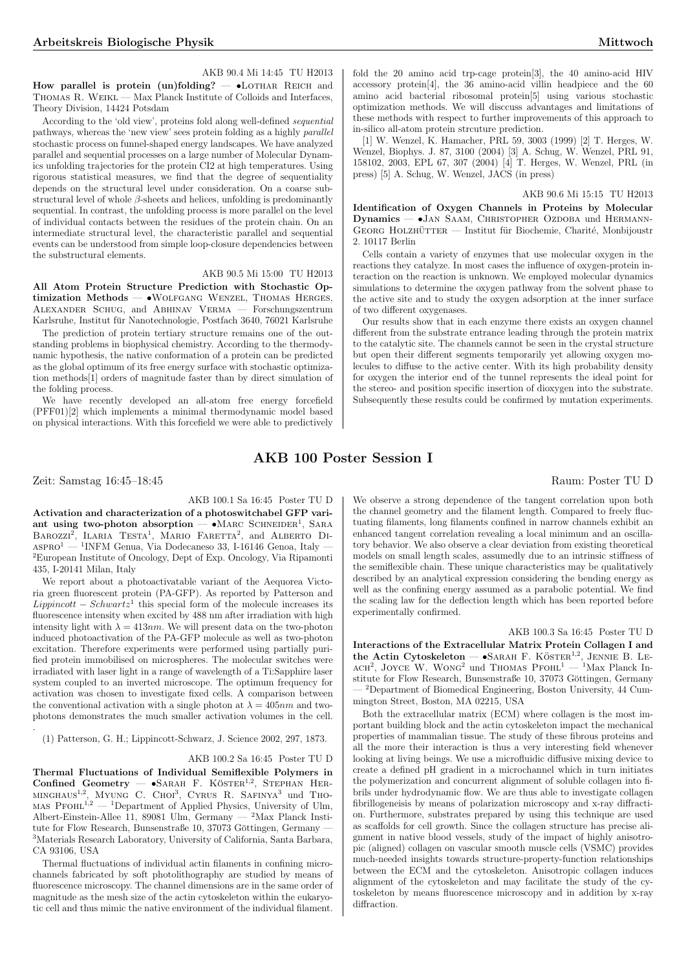# AKB 90.4 Mi 14:45 TU H2013

How parallel is protein (un)folding?  $\bullet$ LOTHAR REICH and Thomas R. Weikl — Max Planck Institute of Colloids and Interfaces, Theory Division, 14424 Potsdam

According to the 'old view', proteins fold along well-defined sequential pathways, whereas the 'new view' sees protein folding as a highly parallel stochastic process on funnel-shaped energy landscapes. We have analyzed parallel and sequential processes on a large number of Molecular Dynamics unfolding trajectories for the protein CI2 at high temperatures. Using rigorous statistical measures, we find that the degree of sequentiality depends on the structural level under consideration. On a coarse substructural level of whole  $\beta$ -sheets and helices, unfolding is predominantly sequential. In contrast, the unfolding process is more parallel on the level of individual contacts between the residues of the protein chain. On an intermediate structural level, the characteristic parallel and sequential events can be understood from simple loop-closure dependencies between the substructural elements.

## AKB 90.5 Mi 15:00 TU H2013

All Atom Protein Structure Prediction with Stochastic Optimization Methods — • WOLFGANG WENZEL, THOMAS HERGES, Alexander Schug, and Abhinav Verma — Forschungszentrum Karlsruhe, Institut für Nanotechnologie, Postfach 3640, 76021 Karlsruhe

The prediction of protein tertiary structure remains one of the outstanding problems in biophysical chemistry. According to the thermodynamic hypothesis, the native conformation of a protein can be predicted as the global optimum of its free energy surface with stochastic optimization methods[1] orders of magnitude faster than by direct simulation of the folding process.

We have recently developed an all-atom free energy forcefield (PFF01)[2] which implements a minimal thermodynamic model based on physical interactions. With this forcefield we were able to predictively fold the 20 amino acid trp-cage protein[3], the 40 amino-acid HIV accessory protein[4], the 36 amino-acid villin headpiece and the 60 amino acid bacterial ribosomal protein[5] using various stochastic optimization methods. We will disccuss advantages and limitations of these methods with respect to further improvements of this approach to in-silico all-atom protein strcuture prediction.

[1] W. Wenzel, K. Hamacher, PRL 59, 3003 (1999) [2] T. Herges, W. Wenzel, Biophys. J. 87, 3100 (2004) [3] A. Schug, W. Wenzel, PRL 91, 158102, 2003, EPL 67, 307 (2004) [4] T. Herges, W. Wenzel, PRL (in press) [5] A. Schug, W. Wenzel, JACS (in press)

### AKB 90.6 Mi 15:15 TU H2013

Identification of Oxygen Channels in Proteins by Molecular Dynamics - JAN SAAM, CHRISTOPHER OZDOBA und HERMANN- $GEORG$  HOLZHÜTTER — Institut für Biochemie, Charité, Monbijoustr 2. 10117 Berlin

Cells contain a variety of enzymes that use molecular oxygen in the reactions they catalyze. In most cases the influence of oxygen-protein interaction on the reaction is unknown. We employed molecular dynamics simulations to determine the oxygen pathway from the solvent phase to the active site and to study the oxygen adsorption at the inner surface of two different oxygenases.

Our results show that in each enzyme there exists an oxygen channel different from the substrate entrance leading through the protein matrix to the catalytic site. The channels cannot be seen in the crystal structure but open their different segments temporarily yet allowing oxygen molecules to diffuse to the active center. With its high probability density for oxygen the interior end of the tunnel represents the ideal point for the stereo- and position specific insertion of dioxygen into the substrate. Subsequently these results could be confirmed by mutation experiments.

# AKB 100 Poster Session I

Zeit: Samstag 16:45–18:45 Raum: Poster TU D

.

AKB 100.1 Sa 16:45 Poster TU D Activation and characterization of a photoswitchabel GFP variant using two-photon absorption — •MARC SCHNEIDER<sup>1</sup>, SARA ant using two-photon absorption  $-$  viviance Schweiber, SARA<br>BAROZZI<sup>2</sup>, ILARIA TESTA<sup>1</sup>, MARIO FARETTA<sup>2</sup>, and ALBERTO DI- $\textsc{asprol}$ <br/> $\,$   $\,$  1<br/>INFM Genua, Via Dodecaneso 33, I-16146 Genoa, Italy  $-$ <sup>2</sup>European Institute of Oncology, Dept of Exp. Oncology, Via Ripamonti 435, I-20141 Milan, Italy

We report about a photoactivatable variant of the Aequorea Victoria green fluorescent protein (PA-GFP). As reported by Patterson and  $Lippincott - Schwartz<sup>1</sup>$  this special form of the molecule increases its fluorescence intensity when excited by 488 nm after irradiation with high intensity light with  $\lambda = 413nm$ . We will present data on the two-photon induced photoactivation of the PA-GFP molecule as well as two-photon excitation. Therefore experiments were performed using partially purified protein immobilised on microspheres. The molecular switches were irradiated with laser light in a range of wavelength of a Ti:Sapphire laser system coupled to an inverted microscope. The optimum frequency for activation was chosen to investigate fixed cells. A comparison between the conventional activation with a single photon at  $\lambda = 405nm$  and twophotons demonstrates the much smaller activation volumes in the cell.

(1) Patterson, G. H.; Lippincott-Schwarz, J. Science 2002, 297, 1873.

#### AKB 100.2 Sa 16:45 Poster TU D

Thermal Fluctuations of Individual Semiflexible Polymers in Thermal Pructuations of mulvicual Seminexible Polymers in<br>Confined Geometry — •SARAH F. KÖSTER<sup>1,2</sup>, STEPHAN HER-MINGHAUS<sup>1,2</sup>, MYUNG C. CHOI<sup>3</sup>, CYRUS R. SAFINYA<sup>3</sup> und Tho-MAS PFOHL<sup>1,2</sup> — <sup>1</sup>Department of Applied Physics, University of Ulm, Albert-Einstein-Allee 11, 89081 Ulm, Germany — <sup>2</sup>Max Planck Institute for Flow Research, Bunsenstraße 10, 37073 Göttingen, Germany – <sup>3</sup>Materials Research Laboratory, University of California, Santa Barbara, CA 93106, USA

Thermal fluctuations of individual actin filaments in confining microchannels fabricated by soft photolithography are studied by means of fluorescence microscopy. The channel dimensions are in the same order of magnitude as the mesh size of the actin cytoskeleton within the eukaryotic cell and thus mimic the native environment of the individual filament.

We observe a strong dependence of the tangent correlation upon both the channel geometry and the filament length. Compared to freely fluctuating filaments, long filaments confined in narrow channels exhibit an enhanced tangent correlation revealing a local minimum and an oscillatory behavior. We also observe a clear deviation from existing theoretical models on small length scales, assumedly due to an intrinsic stiffness of the semiflexible chain. These unique characteristics may be qualitatively described by an analytical expression considering the bending energy as well as the confining energy assumed as a parabolic potential. We find the scaling law for the deflection length which has been reported before experimentally confirmed.

# AKB 100.3 Sa 16:45 Poster TU D

Interactions of the Extracellular Matrix Protein Collagen I and the Actin Cytoskeleton — •SARAH F. KÖSTER<sup>1,2</sup>, JENNIE B. LE- $ACH^2$ , JOYCE W. WONG<sup>2</sup> und THOMAS PFOHL<sup>1</sup> — <sup>1</sup>Max Planck Institute for Flow Research, Bunsenstraße 10, 37073 Göttingen, Germany — <sup>2</sup>Department of Biomedical Engineering, Boston University, 44 Cummington Street, Boston, MA 02215, USA

Both the extracellular matrix (ECM) where collagen is the most important building block and the actin cytoskeleton impact the mechanical properties of mammalian tissue. The study of these fibrous proteins and all the more their interaction is thus a very interesting field whenever looking at living beings. We use a microfluidic diffusive mixing device to create a defined pH gradient in a microchannel which in turn initiates the polymerization and concurrent alignment of soluble collagen into fibrils under hydrodynamic flow. We are thus able to investigate collagen fibrillogeneisis by means of polarization microscopy and x-ray diffraction. Furthermore, substrates prepared by using this technique are used as scaffolds for cell growth. Since the collagen structure has precise alignment in native blood vessels, study of the impact of highly anisotropic (aligned) collagen on vascular smooth muscle cells (VSMC) provides much-needed insights towards structure-property-function relationships between the ECM and the cytoskeleton. Anisotropic collagen induces alignment of the cytoskeleton and may facilitate the study of the cytoskeleton by means fluorescence microscopy and in addition by x-ray diffraction.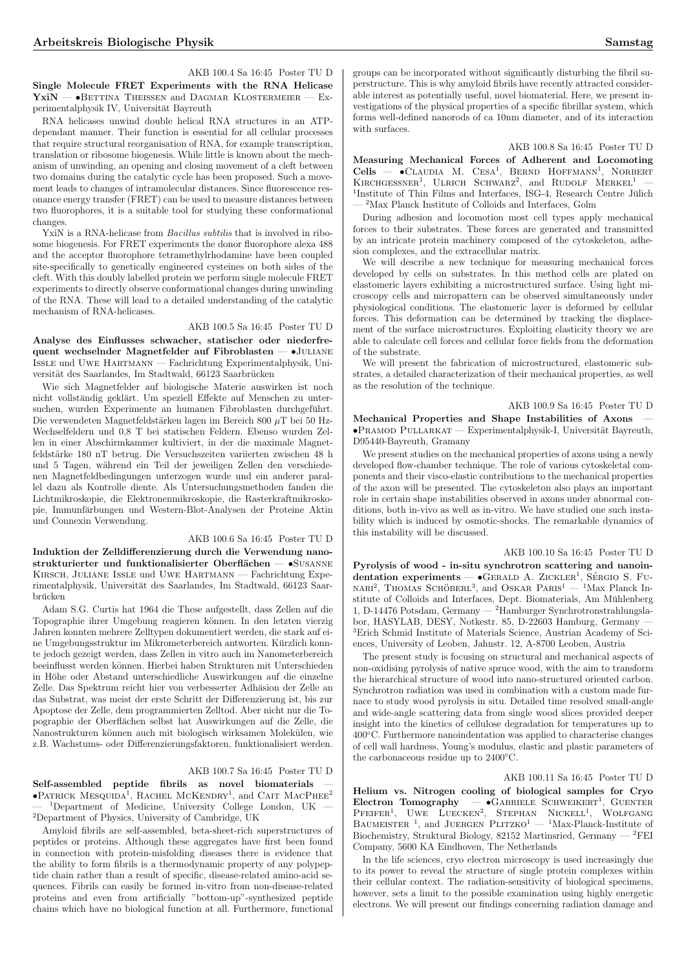AKB 100.4 Sa 16:45 Poster TU D Single Molecule FRET Experiments with the RNA Helicase  $YxiN - \bullet$ Bettina Theissen and Dagmar Klostermeier — Experimentalphysik IV, Universität Bayreuth

RNA helicases unwind double helical RNA structures in an ATPdependant manner. Their function is essential for all cellular processes that require structural reorganisation of RNA, for example transcription, translation or ribosome biogenesis. While little is known about the mechanism of unwinding, an opening and closing movement of a cleft between two domains during the catalytic cycle has been proposed. Such a movement leads to changes of intramolecular distances. Since fluorescence resonance energy transfer (FRET) can be used to measure distances between two fluorophores, it is a suitable tool for studying these conformational changes.

YxiN is a RNA-helicase from *Bacillus subtilis* that is involved in ribosome biogenesis. For FRET experiments the donor fluorophore alexa 488 and the acceptor fluorophore tetramethylrhodamine have been coupled site-specifically to genetically engineered cysteines on both sides of the cleft. With this doubly labelled protein we perform single molecule FRET experiments to directly observe conformational changes during unwinding of the RNA. These will lead to a detailed understanding of the catalytic mechanism of RNA-helicases.

# AKB 100.5 Sa 16:45 Poster TU D

Analyse des Einflusses schwacher, statischer oder niederfrequent wechselnder Magnetfelder auf Fibroblasten — •Juliane  $\overline{\mathrm{I}}$  Iss<br/>Le und Uwe Hartmann — Fachrichtung Experimentalphysik, Universität des Saarlandes, Im Stadtwald, 66123 Saarbrücken

Wie sich Magnetfelder auf biologische Materie auswirken ist noch nicht vollständig geklärt. Um speziell Effekte auf Menschen zu untersuchen, wurden Experimente an humanen Fibroblasten durchgeführt. Die verwendeten Magnetfeldstärken lagen im Bereich 800  $\mu$ T bei 50 Hz-Wechselfeldern und  $0,8$  T bei statischen Feldern. Ebenso wurden Zellen in einer Abschirmkammer kultiviert, in der die maximale Magnetfeldstärke 180 nT betrug. Die Versuchszeiten variierten zwischen 48 h und 5 Tagen, während ein Teil der jeweiligen Zellen den verschiedenen Magnetfeldbedingungen unterzogen wurde und ein anderer parallel dazu als Kontrolle diente. Als Untersuchungsmethoden fanden die Lichtmikroskopie, die Elektronenmikroskopie, die Rasterkraftmikroskopie, Immunfärbungen und Western-Blot-Analysen der Proteine Aktin und Connexin Verwendung.

#### AKB 100.6 Sa 16:45 Poster TU D

Induktion der Zelldifferenzierung durch die Verwendung nanostrukturierter und funktionalisierter Oberflächen —  $\bullet$ SUSANNE Kirsch, Juliane Issle und Uwe Hartmann — Fachrichtung Experimentalphysik, Universität des Saarlandes, Im Stadtwald, 66123 Saarbrücken

Adam S.G. Curtis hat 1964 die These aufgestellt, dass Zellen auf die Topographie ihrer Umgebung reagieren können. In den letzten vierzig Jahren konnten mehrere Zelltypen dokumentiert werden, die stark auf eine Umgebungsstruktur im Mikrometerbereich antworten. Kürzlich konnte jedoch gezeigt werden, dass Zellen in vitro auch im Nanometerbereich beeinflusst werden können. Hierbei haben Strukturen mit Unterschieden in Höhe oder Abstand unterschiedliche Auswirkungen auf die einzelne Zelle. Das Spektrum reicht hier von verbesserter Adhäsion der Zelle an das Substrat, was meist der erste Schritt der Differenzierung ist, bis zur Apoptose der Zelle, dem programmierten Zelltod. Aber nicht nur die Topographie der Oberfl¨achen selbst hat Auswirkungen auf die Zelle, die Nanostrukturen können auch mit biologisch wirksamen Molekülen, wie z.B. Wachstums- oder Differenzierungsfaktoren, funktionalisiert werden.

## AKB 100.7 Sa 16:45 Poster TU D

Self-assembled peptide fibrils as novel biomaterials  $\bullet$ Patrick Mesquida<sup>1</sup>, Rachel McKendry<sup>1</sup>, and Cait MacPhee<sup>2</sup>  $^1\rm{Department}$  of Medicine, University College London, UK <sup>2</sup>Department of Physics, University of Cambridge, UK

Amyloid fibrils are self-assembled, beta-sheet-rich superstructures of peptides or proteins. Although these aggregates have first been found in connection with protein-misfolding diseases there is evidence that the ability to form fibrils is a thermodynamic property of any polypeptide chain rather than a result of specific, disease-related amino-acid sequences. Fibrils can easily be formed in-vitro from non-disease-related proteins and even from artificially "bottom-up"-synthesized peptide chains which have no biological function at all. Furthermore, functional groups can be incorporated without significantly disturbing the fibril superstructure. This is why amyloid fibrils have recently attracted considerable interest as potentially useful, novel biomaterial. Here, we present investigations of the physical properties of a specific fibrillar system, which forms well-defined nanorods of ca 10nm diameter, and of its interaction with surfaces.

#### AKB 100.8 Sa 16:45 Poster TU D

Measuring Mechanical Forces of Adherent and Locomoting Neasuring Mechanical Porces of Adderent and Bocomoting<br>Cells — •CLAUDIA M. CESA<sup>1</sup>, BERND HOFFMANN<sup>1</sup>, NORBERT KIRCHGESSNER<sup>1</sup>, ULRICH SCHWARZ<sup>2</sup>, and RUDOLF MERKEL<sup>1</sup> —  $^{1}$ Institute of Thin Films and Interfaces, ISG-4, Research Centre Jülich — <sup>2</sup>Max Planck Institute of Colloids and Interfaces, Golm

During adhesion and locomotion most cell types apply mechanical forces to their substrates. These forces are generated and transmitted by an intricate protein machinery composed of the cytoskeleton, adhesion complexes, and the extracellular matrix.

We will describe a new technique for measuring mechanical forces developed by cells on substrates. In this method cells are plated on elastomeric layers exhibiting a microstructured surface. Using light microscopy cells and micropattern can be observed simultaneously under physiological conditions. The elastomeric layer is deformed by cellular forces. This deformation can be determined by tracking the displacement of the surface microstructures. Exploiting elasticity theory we are able to calculate cell forces and cellular force fields from the deformation of the substrate.

We will present the fabrication of microstructured, elastomeric substrates, a detailed characterization of their mechanical properties, as well as the resolution of the technique.

#### AKB 100.9 Sa 16:45 Poster TU D

Mechanical Properties and Shape Instabilities of Axons — •PRAMOD PULLARKAT — Experimentalphysik-I, Universität Bayreuth, D95440-Bayreuth, Gramany

We present studies on the mechanical properties of axons using a newly developed flow-chamber technique. The role of various cytoskeletal components and their visco-elastic contributions to the mechanical properties of the axon will be presented. The cytoskeleton also plays an important role in certain shape instabilities observed in axons under abnormal conditions, both in-vivo as well as in-vitro. We have studied one such instability which is induced by osmotic-shocks. The remarkable dynamics of this instability will be discussed.

## AKB 100.10 Sa 16:45 Poster TU D

Pyrolysis of wood - in-situ synchrotron scattering and nanoin- $\alpha$  is the must be specifically and manufacturity of the specific state of  $\bullet$ GERALD A. ZICKLER<sup>1</sup>, SÉRGIO S. FUNARI<sup>2</sup>, THOMAS SCHÖBERL<sup>3</sup>, and OSKAR PARIS<sup>1</sup> — <sup>1</sup>Max Planck In- $% \left\langle \cdot ,\cdot \right\rangle _{0}$  stitute of Colloids and Interfaces, Dept. Biomaterials, Am Mühlenberg  $% \left\langle \cdot ,\cdot \right\rangle _{0}$ 1, D-14476 Potsdam, Germany — <sup>2</sup>Hamburger Synchrotronstrahlungslabor, HASYLAB, DESY, Notkestr. 85, D-22603 Hamburg, Germany -3Erich Schmid Institute of Materials Science, Austrian Academy of Sciences, University of Leoben, Jahnstr. 12, A-8700 Leoben, Austria

The present study is focusing on structural and mechanical aspects of non-oxidising pyrolysis of native spruce wood, with the aim to transform the hierarchical structure of wood into nano-structured oriented carbon. Synchrotron radiation was used in combination with a custom made furnace to study wood pyrolysis in situ. Detailed time resolved small-angle and wide-angle scattering data from single wood slices provided deeper insight into the kinetics of cellulose degradation for temperatures up to 400◦C. Furthermore nanoindentation was applied to characterise changes of cell wall hardness, Young's modulus, elastic and plastic parameters of the carbonaceous residue up to 2400◦C.

## AKB 100.11 Sa 16:45 Poster TU D

Helium vs. Nitrogen cooling of biological samples for Cryo  $\text{Electron}$  Tomography  $\text{GABRIELE}$  SCHWEIKERT<sup>1</sup>, GUENTER **EIECLION IOIIOGLAPHY - GABRIELE SCHWEIKERT**, GOENTER<br>PFEIFER<sup>1</sup>, UWE LUECKEN<sup>2</sup>, STEPHAN NICKELL<sup>1</sup>, WOLFGANG  $B$ AUMEISTER<sup>1</sup>, and JUERGEN PLITZKO<sup>1</sup> — <sup>1</sup>Max-Planck-Institute of Biochemistry, Struktural Biology, 82152 Martinsried, Germany —  $^2$ FEI Company, 5600 KA Eindhoven, The Netherlands

In the life sciences, cryo electron microscopy is used increasingly due to its power to reveal the structure of single protein complexes within their cellular context. The radiation-sensitivity of biological specimens, however, sets a limit to the possible examination using highly energetic electrons. We will present our findings concerning radiation damage and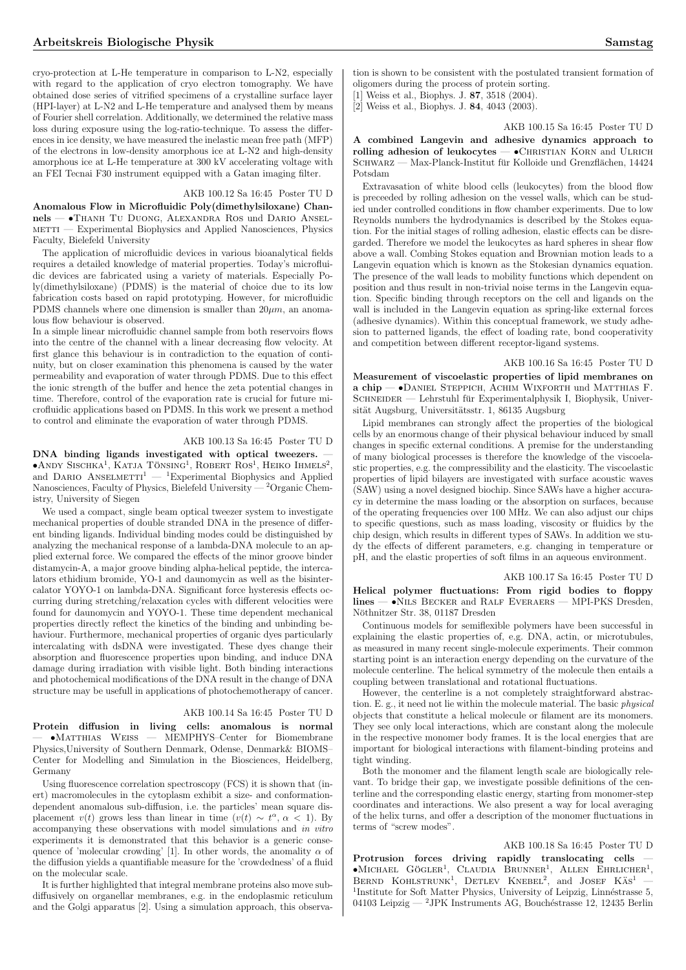cryo-protection at L-He temperature in comparison to L-N2, especially with regard to the application of cryo electron tomography. We have obtained dose series of vitrified specimens of a crystalline surface layer (HPI-layer) at L-N2 and L-He temperature and analysed them by means of Fourier shell correlation. Additionally, we determined the relative mass loss during exposure using the log-ratio-technique. To assess the differences in ice density, we have measured the inelastic mean free path (MFP) of the electrons in low-density amorphous ice at L-N2 and high-density amorphous ice at L-He temperature at 300 kV accelerating voltage with an FEI Tecnai F30 instrument equipped with a Gatan imaging filter.

#### AKB 100.12 Sa 16:45 Poster TU D

Anomalous Flow in Microfluidic Poly(dimethylsiloxane) Channels — •Thanh Tu Duong, Alexandra Ros und Dario Anselmetti — Experimental Biophysics and Applied Nanosciences, Physics Faculty, Bielefeld University

The application of microfluidic devices in various bioanalytical fields requires a detailed knowledge of material properties. Today's microfluidic devices are fabricated using a variety of materials. Especially Poly(dimethylsiloxane) (PDMS) is the material of choice due to its low fabrication costs based on rapid prototyping. However, for microfluidic PDMS channels where one dimension is smaller than  $20 \mu m$ , an anomalous flow behaviour is observed.

In a simple linear microfluidic channel sample from both reservoirs flows into the centre of the channel with a linear decreasing flow velocity. At first glance this behaviour is in contradiction to the equation of continuity, but on closer examination this phenomena is caused by the water permeability and evaporation of water through PDMS. Due to this effect the ionic strength of the buffer and hence the zeta potential changes in time. Therefore, control of the evaporation rate is crucial for future microfluidic applications based on PDMS. In this work we present a method to control and eliminate the evaporation of water through PDMS.

#### AKB 100.13 Sa 16:45 Poster TU D

DNA binding ligands investigated with optical tweezers.  $\bullet$ Andy Sischka<sup>1</sup>, Katja Tönsing<sup>1</sup>, Robert Ros<sup>1</sup>, Heiko Ihmels<sup>2</sup>, and DARIO ANSELMETTI<sup>1</sup> — <sup>1</sup>Experimental Biophysics and Applied Nanosciences, Faculty of Physics, Bielefeld University —  ${}^{2}$ Organic Chemistry, University of Siegen

We used a compact, single beam optical tweezer system to investigate mechanical properties of double stranded DNA in the presence of different binding ligands. Individual binding modes could be distinguished by analyzing the mechanical response of a lambda-DNA molecule to an applied external force. We compared the effects of the minor groove binder distamycin-A, a major groove binding alpha-helical peptide, the intercalators ethidium bromide, YO-1 and daunomycin as well as the bisintercalator YOYO-1 on lambda-DNA. Significant force hysteresis effects occurring during stretching/relaxation cycles with different velocities were found for daunomycin and YOYO-1. These time dependent mechanical properties directly reflect the kinetics of the binding and unbinding behaviour. Furthermore, mechanical properties of organic dyes particularly intercalating with dsDNA were investigated. These dyes change their absorption and fluorescence properties upon binding, and induce DNA damage during irradiation with visible light. Both binding interactions and photochemical modifications of the DNA result in the change of DNA structure may be usefull in applications of photochemotherapy of cancer.

# AKB 100.14 Sa 16:45 Poster TU D

Protein diffusion in living cells: anomalous is normal — •Matthias Weiss — MEMPHYS–Center for Biomembrane Physics,University of Southern Denmark, Odense, Denmark& BIOMS– Center for Modelling and Simulation in the Biosciences, Heidelberg, Germany

Using fluorescence correlation spectroscopy (FCS) it is shown that (inert) macromolecules in the cytoplasm exhibit a size- and conformationdependent anomalous sub-diffusion, i.e. the particles' mean square displacement  $v(t)$  grows less than linear in time  $(v(t) \sim t^{\alpha}, \alpha < 1)$ . By accompanying these observations with model simulations and in vitro experiments it is demonstrated that this behavior is a generic consequence of 'molecular crowding' [1]. In other words, the anomality  $\alpha$  of the diffusion yields a quantifiable measure for the 'crowdedness' of a fluid on the molecular scale.

It is further highlighted that integral membrane proteins also move subdiffusively on organellar membranes, e.g. in the endoplasmic reticulum and the Golgi apparatus [2]. Using a simulation approach, this observation is shown to be consistent with the postulated transient formation of oligomers during the process of protein sorting.

[1] Weiss et al., Biophys. J. 87, 3518 (2004).

[2] Weiss et al., Biophys. J. 84, 4043 (2003).

AKB 100.15 Sa 16:45 Poster TU D

A combined Langevin and adhesive dynamics approach to rolling adhesion of leukocytes -  $\bullet$ CHRISTIAN KORN and ULRICH SCHWARZ — Max-Planck-Institut für Kolloide und Grenzflächen, 14424 Potsdam

Extravasation of white blood cells (leukocytes) from the blood flow is preceeded by rolling adhesion on the vessel walls, which can be studied under controlled conditions in flow chamber experiments. Due to low Reynolds numbers the hydrodynamics is described by the Stokes equation. For the initial stages of rolling adhesion, elastic effects can be disregarded. Therefore we model the leukocytes as hard spheres in shear flow above a wall. Combing Stokes equation and Brownian motion leads to a Langevin equation which is known as the Stokesian dynamics equation. The presence of the wall leads to mobility functions which dependent on position and thus result in non-trivial noise terms in the Langevin equation. Specific binding through receptors on the cell and ligands on the wall is included in the Langevin equation as spring-like external forces (adhesive dynamics). Within this conceptual framework, we study adhesion to patterned ligands, the effect of loading rate, bond cooperativity and competition between different receptor-ligand systems.

#### AKB 100.16 Sa 16:45 Poster TU D

Measurement of viscoelastic properties of lipid membranes on a chip — •Daniel Steppich, Achim Wixforth und Matthias F. SCHNEIDER — Lehrstuhl für Experimentalphysik I, Biophysik, Universität Augsburg, Universitätsstr. 1, 86135 Augsburg

Lipid membranes can strongly affect the properties of the biological cells by an enormous change of their physical behaviour induced by small changes in specific external conditions. A premise for the understanding of many biological processes is therefore the knowledge of the viscoelastic properties, e.g. the compressibility and the elasticity. The viscoelastic properties of lipid bilayers are investigated with surface acoustic waves (SAW) using a novel designed biochip. Since SAWs have a higher accuracy in determine the mass loading or the absorption on surfaces, because of the operating frequencies over 100 MHz. We can also adjust our chips to specific questions, such as mass loading, viscosity or fluidics by the chip design, which results in different types of SAWs. In addition we study the effects of different parameters, e.g. changing in temperature or pH, and the elastic properties of soft films in an aqueous environment.

# AKB 100.17 Sa 16:45 Poster TU D Helical polymer fluctuations: From rigid bodies to floppy lines — •Nils Becker and Ralf Everaers — MPI-PKS Dresden, Nöthnitzer Str. 38, 01187 Dresden

Continuous models for semiflexible polymers have been successful in explaining the elastic properties of, e.g. DNA, actin, or microtubules, as measured in many recent single-molecule experiments. Their common starting point is an interaction energy depending on the curvature of the molecule centerline. The helical symmetry of the molecule then entails a coupling between translational and rotational fluctuations.

However, the centerline is a not completely straightforward abstraction. E. g., it need not lie within the molecule material. The basic physical objects that constitute a helical molecule or filament are its monomers. They see only local interactions, which are constant along the molecule in the respective monomer body frames. It is the local energies that are important for biological interactions with filament-binding proteins and tight winding.

Both the monomer and the filament length scale are biologically relevant. To bridge their gap, we investigate possible definitions of the centerline and the corresponding elastic energy, starting from monomer-step coordinates and interactions. We also present a way for local averaging of the helix turns, and offer a description of the monomer fluctuations in terms of "screw modes".

#### AKB 100.18 Sa 16:45 Poster TU D

Protrusion forces driving rapidly translocating cells •Michael Gögler<sup>1</sup>, Claudia Brunner<sup>1</sup>, Allen Ehrlicher<sup>1</sup>, Bernd Kohlstrunk<sup>1</sup>, Detlev Knebel<sup>2</sup>, and Josef Käs<sup>1</sup> — <sup>1</sup>Institute for Soft Matter Physics, University of Leipzig, Linnéstrasse 5, 04103 Leipzig — <sup>2</sup>JPK Instruments AG, Bouchéstrasse 12, 12435 Berlin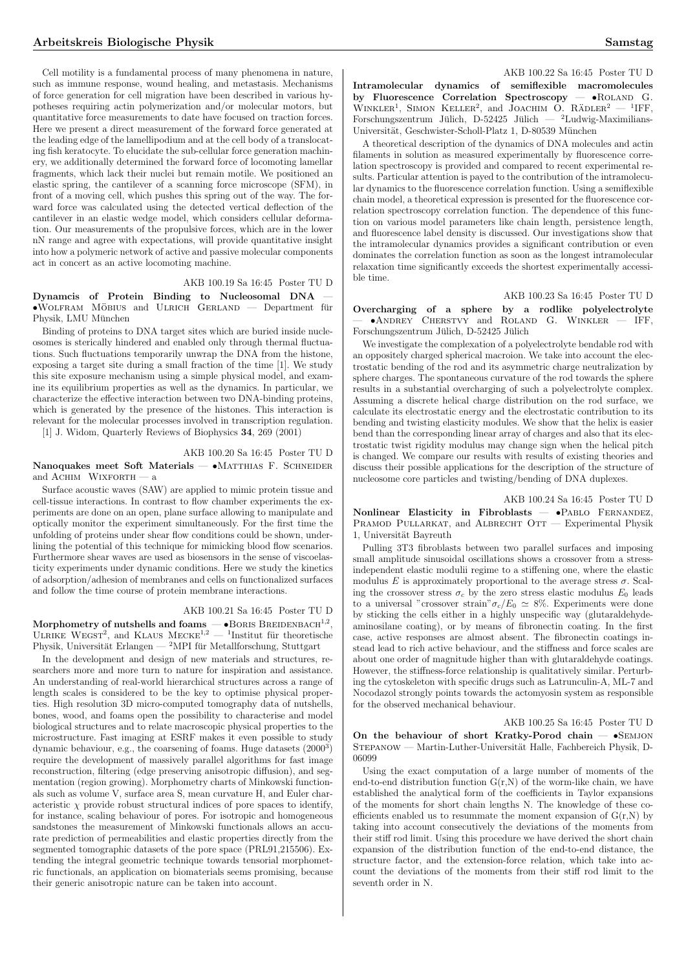Cell motility is a fundamental process of many phenomena in nature, such as immune response, wound healing, and metastasis. Mechanisms of force generation for cell migration have been described in various hypotheses requiring actin polymerization and/or molecular motors, but quantitative force measurements to date have focused on traction forces. Here we present a direct measurement of the forward force generated at the leading edge of the lamellipodium and at the cell body of a translocating fish keratocyte. To elucidate the sub-cellular force generation machinery, we additionally determined the forward force of locomoting lamellar fragments, which lack their nuclei but remain motile. We positioned an elastic spring, the cantilever of a scanning force microscope (SFM), in front of a moving cell, which pushes this spring out of the way. The forward force was calculated using the detected vertical deflection of the cantilever in an elastic wedge model, which considers cellular deformation. Our measurements of the propulsive forces, which are in the lower nN range and agree with expectations, will provide quantitative insight into how a polymeric network of active and passive molecular components act in concert as an active locomoting machine.

#### AKB 100.19 Sa 16:45 Poster TU D

Dynamcis of Protein Binding to Nucleosomal DNA —  $\bullet$ WOLFRAM MÖBIUS and ULRICH GERLAND — Department für Physik, LMU München

Binding of proteins to DNA target sites which are buried inside nucleosomes is sterically hindered and enabled only through thermal fluctuations. Such fluctuations temporarily unwrap the DNA from the histone, exposing a target site during a small fraction of the time [1]. We study this site exposure mechanism using a simple physical model, and examine its equilibrium properties as well as the dynamics. In particular, we characterize the effective interaction between two DNA-binding proteins, which is generated by the presence of the histones. This interaction is relevant for the molecular processes involved in transcription regulation.

[1] J. Widom, Quarterly Reviews of Biophysics 34, 269 (2001)

# AKB 100.20 Sa 16:45 Poster TU D

Nanoquakes meet Soft Materials — •MATTHIAS F. SCHNEIDER and  $A$ CHIM WIXFORTH — a

Surface acoustic waves (SAW) are applied to mimic protein tissue and cell-tissue interactions. In contrast to flow chamber experiments the experiments are done on an open, plane surface allowing to manipulate and optically monitor the experiment simultaneously. For the first time the unfolding of proteins under shear flow conditions could be shown, underlining the potential of this technique for mimicking blood flow scenarios. Furthermore shear waves are used as biosensors in the sense of viscoelasticity experiments under dynamic conditions. Here we study the kinetics of adsorption/adhesion of membranes and cells on functionalized surfaces and follow the time course of protein membrane interactions.

# AKB 100.21 Sa 16:45 Poster TU D

Morphometry of nutshells and foams  $-$  •Boris Breidenbach<sup>1,2</sup>, ULRIKE WEGST<sup>2</sup>, and KLAUS  $MECKE^{1,2}$  — <sup>1</sup>Institut für theoretische Physik, Universität Erlangen — <sup>2</sup>MPI für Metallforschung, Stuttgart

In the development and design of new materials and structures, researchers more and more turn to nature for inspiration and assistance. An understanding of real-world hierarchical structures across a range of length scales is considered to be the key to optimise physical properties. High resolution 3D micro-computed tomography data of nutshells, bones, wood, and foams open the possibility to characterise and model biological structures and to relate macroscopic physical properties to the microstructure. Fast imaging at ESRF makes it even possible to study dynamic behaviour, e.g., the coarsening of foams. Huge datasets (2000<sup>3</sup>) require the development of massively parallel algorithms for fast image reconstruction, filtering (edge preserving anisotropic diffusion), and segmentation (region growing). Morphometry charts of Minkowski functionals such as volume V, surface area S, mean curvature H, and Euler characteristic  $\chi$  provide robust structural indices of pore spaces to identify, for instance, scaling behaviour of pores. For isotropic and homogeneous sandstones the measurement of Minkowski functionals allows an accurate prediction of permeabilities and elastic properties directly from the segmented tomographic datasets of the pore space (PRL91,215506). Extending the integral geometric technique towards tensorial morphometric functionals, an application on biomaterials seems promising, because their generic anisotropic nature can be taken into account.

#### AKB 100.22 Sa 16:45 Poster TU D

Intramolecular dynamics of semiflexible macromolecules<br>by Fluorescence Correlation Spectroscopy –  $\bullet$ ROLAND G. by Fluorescence Correlation Spectroscopy  $WINKLER<sup>1</sup>$ , SIMON KELLER<sup>2</sup>, and JOACHIM O. RÄDLER<sup>2</sup>  $-$  <sup>1</sup>IFF, Forschungszentrum Jülich, D-52425 Jülich — <sup>2</sup>Ludwig-Maximilians-Universität, Geschwister-Scholl-Platz 1, D-80539 München

A theoretical description of the dynamics of DNA molecules and actin filaments in solution as measured experimentally by fluorescence correlation spectroscopy is provided and compared to recent experimental results. Particular attention is payed to the contribution of the intramolecular dynamics to the fluorescence correlation function. Using a semiflexible chain model, a theoretical expression is presented for the fluorescence correlation spectroscopy correlation function. The dependence of this function on various model parameters like chain length, persistence length, and fluorescence label density is discussed. Our investigations show that the intramolecular dynamics provides a significant contribution or even dominates the correlation function as soon as the longest intramolecular relaxation time significantly exceeds the shortest experimentally accessible time.

### AKB 100.23 Sa 16:45 Poster TU D

Overcharging of a sphere by a rodlike polyelectrolyte — •Andrey Cherstvy and Roland G. Winkler — IFF, Forschungszentrum Jülich, D-52425 Jülich

We investigate the complexation of a polyelectrolyte bendable rod with an oppositely charged spherical macroion. We take into account the electrostatic bending of the rod and its asymmetric charge neutralization by sphere charges. The spontaneous curvature of the rod towards the sphere results in a substantial overcharging of such a polyelectrolyte complex. Assuming a discrete helical charge distribution on the rod surface, we calculate its electrostatic energy and the electrostatic contribution to its bending and twisting elasticity modules. We show that the helix is easier bend than the corresponding linear array of charges and also that its electrostatic twist rigidity modulus may change sign when the helical pitch is changed. We compare our results with results of existing theories and discuss their possible applications for the description of the structure of nucleosome core particles and twisting/bending of DNA duplexes.

AKB 100.24 Sa 16:45 Poster TU D Nonlinear Elasticity in Fibroblasts  $\bullet$ PABLO FERNANDEZ, PRAMOD PULLARKAT, and ALBRECHT OTT - Experimental Physik 1, Universität Bayreuth

Pulling 3T3 fibroblasts between two parallel surfaces and imposing small amplitude sinusoidal oscillations shows a crossover from a stressindependent elastic modulii regime to a stiffening one, where the elastic modulus E is approximately proportional to the average stress  $\sigma$ . Scaling the crossover stress  $\sigma_c$  by the zero stress elastic modulus  $E_0$  leads to a universal "crossover strain" $\sigma_c/E_0 \simeq 8\%$ . Experiments were done by sticking the cells either in a highly unspecific way (glutaraldehydeaminosilane coating), or by means of fibronectin coating. In the first case, active responses are almost absent. The fibronectin coatings instead lead to rich active behaviour, and the stiffness and force scales are about one order of magnitude higher than with glutaraldehyde coatings. However, the stiffness-force relationship is qualitatively similar. Perturbing the cytoskeleton with specific drugs such as Latrunculin-A, ML-7 and Nocodazol strongly points towards the actomyosin system as responsible for the observed mechanical behaviour.

## AKB 100.25 Sa 16:45 Poster TU D

On the behaviour of short Kratky-Porod chain -  $\bullet$ SEMJON STEPANOW — Martin-Luther-Universität Halle, Fachbereich Physik, D-06099

Using the exact computation of a large number of moments of the end-to-end distribution function  $G(r,N)$  of the worm-like chain, we have established the analytical form of the coefficients in Taylor expansions of the moments for short chain lengths N. The knowledge of these coefficients enabled us to resummate the moment expansion of  $G(r,N)$  by taking into account consecutively the deviations of the moments from their stiff rod limit. Using this procedure we have derived the short chain expansion of the distribution function of the end-to-end distance, the structure factor, and the extension-force relation, which take into account the deviations of the moments from their stiff rod limit to the seventh order in N.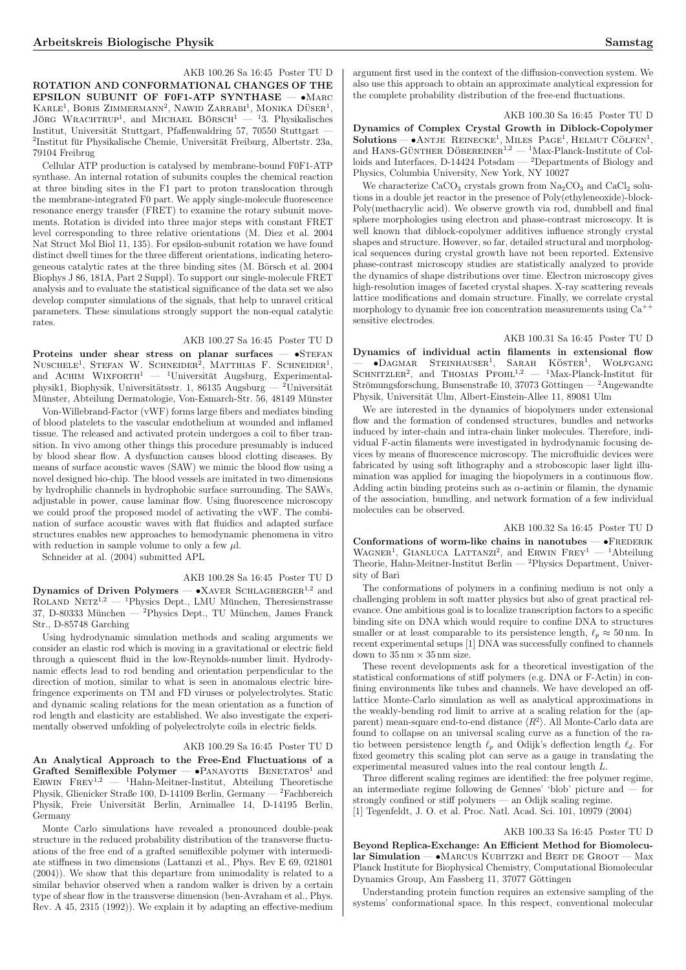AKB 100.26 Sa 16:45 Poster TU D ROTATION AND CONFORMATIONAL CHANGES OF THE EPSILON SUBUNIT OF F0F1-ATP SYNTHASE -  $\bullet$ MARC EPSILON SUBUNIT OF F0F1-ATP SYNTHASE KARLE<sup>1</sup>, BORIS ZIMMERMANN<sup>2</sup>, NAWID ZARRABI<sup>1</sup>, MONIKA DÜSER<sup>1</sup>,  $J\ddot{o}_{RG}$  WRACHTRUP<sup>1</sup>, and MICHAEL BÖRSCH<sup>1</sup> — <sup>1</sup>3. Physikalisches Institut, Universität Stuttgart, Pfaffenwaldring 57, 70550 Stuttgart  $^{2}$ Institut für Physikalische Chemie, Universität Freiburg, Albertstr. 23a, 79104 Freibrug

Cellular ATP production is catalysed by membrane-bound F0F1-ATP synthase. An internal rotation of subunits couples the chemical reaction at three binding sites in the F1 part to proton translocation through the membrane-integrated F0 part. We apply single-molecule fluorescence resonance energy transfer (FRET) to examine the rotary subunit movements. Rotation is divided into three major steps with constant FRET level corresponding to three relative orientations (M. Diez et al. 2004 Nat Struct Mol Biol 11, 135). For epsilon-subunit rotation we have found distinct dwell times for the three different orientations, indicating heterogeneous catalytic rates at the three binding sites (M. Börsch et al.  $2004$ Biophys J 86, 181A, Part 2 Suppl). To support our single-molecule FRET analysis and to evaluate the statistical significance of the data set we also develop computer simulations of the signals, that help to unravel critical parameters. These simulations strongly support the non-equal catalytic rates.

# AKB 100.27 Sa 16:45 Poster TU D

Proteins under shear stress on planar surfaces  $\bullet$ STEFAN  $N$ USCHELE<sup>1</sup>, STEFAN W. SCHNEIDER<sup>2</sup>, MATTHIAS F. SCHNEIDER<sup>1</sup>, and ACHIM WIXFORTH<sup>1</sup> — <sup>1</sup>Universität Augsburg, Experimentalphysik1, Biophysik, Universitätsstr. 1, 86135 Augsburg — <sup>2</sup>Universität Münster, Abteilung Dermatologie, Von-Esmarch-Str. 56, 48149 Münster

Von-Willebrand-Factor (vWF) forms large fibers and mediates binding of blood platelets to the vascular endothelium at wounded and inflamed tissue. The released and activated protein undergoes a coil to fiber transition. In vivo among other things this procedure presumably is induced by blood shear flow. A dysfunction causes blood clotting diseases. By means of surface acoustic waves (SAW) we mimic the blood flow using a novel designed bio-chip. The blood vessels are imitated in two dimensions by hydrophilic channels in hydrophobic surface surrounding. The SAWs, adjustable in power, cause laminar flow. Using fluorescence microscopy we could proof the proposed model of activating the vWF. The combination of surface acoustic waves with flat fluidics and adapted surface structures enables new approaches to hemodynamic phenomena in vitro with reduction in sample volume to only a few  $\mu$ .

Schneider at al. (2004) submitted APL

# AKB 100.28 Sa 16:45 Poster TU D

Dynamics of Driven Polymers  $- \bullet$ XAVER SCHLAGBERGER<sup>1,2</sup> and ROLAND NETZ<sup>1,2</sup> — <sup>1</sup>Physics Dept., LMU München, Theresienstrasse 37, D-80333 München — <sup>2</sup>Physics Dept., TU München, James Franck Str., D-85748 Garching

Using hydrodynamic simulation methods and scaling arguments we consider an elastic rod which is moving in a gravitational or electric field through a quiescent fluid in the low-Reynolds-number limit. Hydrodynamic effects lead to rod bending and orientation perpendicular to the direction of motion, similar to what is seen in anomalous electric birefringence experiments on TM and FD viruses or polyelectrolytes. Static and dynamic scaling relations for the mean orientation as a function of rod length and elasticity are established. We also investigate the experimentally observed unfolding of polyelectrolyte coils in electric fields.

# AKB 100.29 Sa 16:45 Poster TU D

An Analytical Approach to the Free-End Fluctuations of a Grafted Semiflexible Polymer — •PANAYOTIS BENETATOS<sup>1</sup> and ERWIN FREY<sup>1,2</sup> — <sup>1</sup>Hahn-Meitner-Institut, Abteilung Theoretische ERWIN FREY<sup>1,2</sup> — <sup>1</sup>Hahn-Meitner-Institut, Abteilung Theoretische Physik, Glienicker Straße 100, D-14109 Berlin, Germany — <sup>2</sup>Fachbereich Physik, Freie Universität Berlin, Arnimallee 14, D-14195 Berlin, Germany

Monte Carlo simulations have revealed a pronounced double-peak structure in the reduced probability distribution of the transverse fluctuations of the free end of a grafted semiflexible polymer with intermediate stiffness in two dimensions (Lattanzi et al., Phys. Rev E 69, 021801 (2004)). We show that this departure from unimodality is related to a similar behavior observed when a random walker is driven by a certain type of shear flow in the transverse dimension (ben-Avraham et al., Phys. Rev. A 45, 2315 (1992)). We explain it by adapting an effective-medium argument first used in the context of the diffusion-convection system. We also use this approach to obtain an approximate analytical expression for the complete probability distribution of the free-end fluctuations.

#### AKB 100.30 Sa 16:45 Poster TU D

Dynamics of Complex Crystal Growth in Diblock-Copolymer  $Solutions$   $\rightarrow$  ANTJE REINECKE<sup>1</sup>, MILES PAGE<sup>1</sup>, HELMUT CÖLFEN<sup>1</sup>,  $300000 \text{ m}$   $\rightarrow$  ANTLE TRENECKE, MILES TAGE, HELMOT COLFEN, and HANS-GÜNTHER DÖBEREINER<sup>1,2</sup> — <sup>1</sup>Max-Planck-Institute of Colloids and Interfaces, D-14424 Potsdam — <sup>2</sup>Departments of Biology and Physics, Columbia University, New York, NY 10027

We characterize  $CaCO<sub>3</sub>$  crystals grown from  $Na<sub>2</sub>CO<sub>3</sub>$  and  $CaCl<sub>2</sub>$  solutions in a double jet reactor in the presence of Poly(ethyleneoxide)-block-Poly(methacrylic acid). We observe growth via rod, dumbbell and final sphere morphologies using electron and phase-contrast microscopy. It is well known that diblock-copolymer additives influence strongly crystal shapes and structure. However, so far, detailed structural and morphological sequences during crystal growth have not been reported. Extensive phase-contrast microscopy studies are statistically analyzed to provide the dynamics of shape distributions over time. Electron microscopy gives high-resolution images of faceted crystal shapes. X-ray scattering reveals lattice modifications and domain structure. Finally, we correlate crystal morphology to dynamic free ion concentration measurements using  $Ca^{++}$ sensitive electrodes.

AKB 100.31 Sa 16:45 Poster TU D

Dynamics of individual actin filaments in extensional flow  $\rightarrow$  •Dagmar Steinhauser<sup>1</sup>, Sarah Köster<sup>1</sup>, Wolfgang<br>SCHNITZLER<sup>2</sup>, and THOMAS PFOHL<sup>1,2</sup> — <sup>1</sup>Max-Planck-Institut für Strömungsforschung, Bunsenstraße 10, 37073 Göttingen — <sup>2</sup>Angewandte Physik, Universität Ulm, Albert-Einstein-Allee 11, 89081 Ulm

We are interested in the dynamics of biopolymers under extensional flow and the formation of condensed structures, bundles and networks induced by inter-chain and intra-chain linker molecules. Therefore, individual F-actin filaments were investigated in hydrodynamic focusing devices by means of fluorescence microscopy. The microfluidic devices were fabricated by using soft lithography and a stroboscopic laser light illumination was applied for imaging the biopolymers in a continuous flow. Adding actin binding proteins such as  $\alpha$ -actinin or filamin, the dynamic of the association, bundling, and network formation of a few individual molecules can be observed.

# AKB 100.32 Sa 16:45 Poster TU D

Conformations of worm-like chains in nanotubes  $-$  •FREDERIK USING MAGNER<sup>1</sup>, GIANLUCA LATTANZI<sup>2</sup>, and ERWIN FREY<sup>1</sup> — <sup>1</sup>Abteilung Theorie, Hahn-Meitner-Institut Berlin — <sup>2</sup>Physics Department, University of Bari

The conformations of polymers in a confining medium is not only a challenging problem in soft matter physics but also of great practical relevance. One ambitious goal is to localize transcription factors to a specific binding site on DNA which would require to confine DNA to structures smaller or at least comparable to its persistence length,  $\ell_p \approx 50$  nm. In recent experimental setups [1] DNA was successfully confined to channels down to  $35 \,\mathrm{nm} \times 35 \,\mathrm{nm}$  size.

These recent developments ask for a theoretical investigation of the statistical conformations of stiff polymers (e.g. DNA or F-Actin) in confining environments like tubes and channels. We have developed an offlattice Monte-Carlo simulation as well as analytical approximations in the weakly-bending rod limit to arrive at a scaling relation for the (apparent) mean-square end-to-end distance  $\langle R^2 \rangle$ . All Monte-Carlo data are found to collapse on an universal scaling curve as a function of the ratio between persistence length  $\ell_p$  and Odijk's deflection length  $\ell_d$ . For fixed geometry this scaling plot can serve as a gauge in translating the experimental measured values into the real contour length L.

Three different scaling regimes are identified: the free polymer regime, an intermediate regime following de Gennes' 'blob' picture and — for strongly confined or stiff polymers — an Odijk scaling regime. [1] Tegenfeldt, J. O. et al. Proc. Natl. Acad. Sci. 101, 10979 (2004)

# AKB 100.33 Sa 16:45 Poster TU D

Beyond Replica-Exchange: An Efficient Method for Biomolecular Simulation — •MARCUS KUBITZKI and BERT DE GROOT — Max Planck Institute for Biophysical Chemistry, Computational Biomolecular Dynamics Group, Am Fassberg 11, 37077 Göttingen

Understanding protein function requires an extensive sampling of the systems' conformational space. In this respect, conventional molecular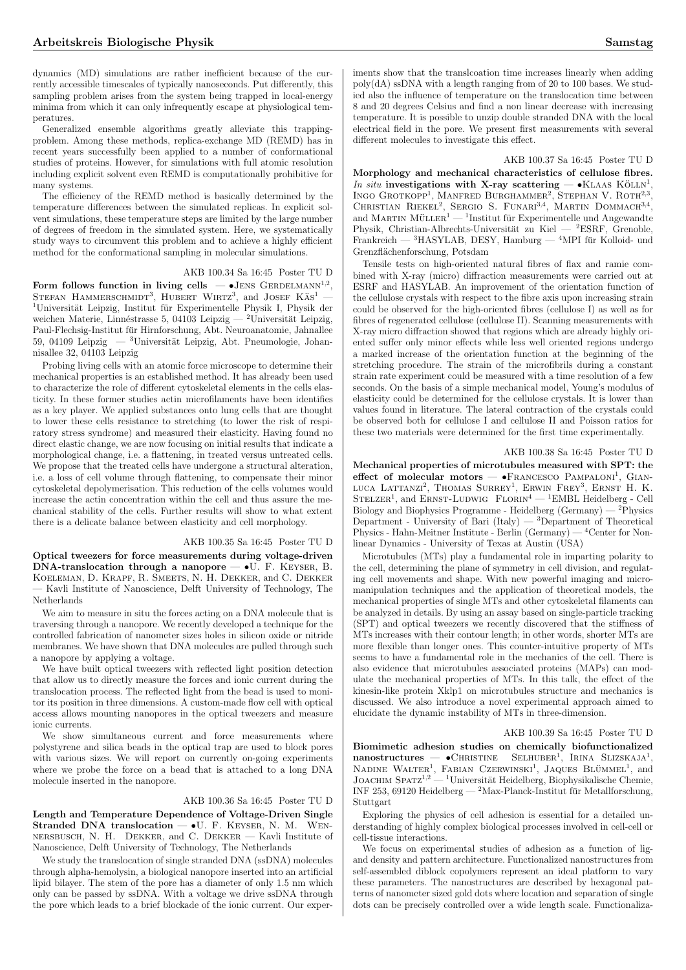dynamics (MD) simulations are rather inefficient because of the currently accessible timescales of typically nanoseconds. Put differently, this sampling problem arises from the system being trapped in local-energy minima from which it can only infrequently escape at physiological temperatures.

Generalized ensemble algorithms greatly alleviate this trappingproblem. Among these methods, replica-exchange MD (REMD) has in recent years successfully been applied to a number of conformational studies of proteins. However, for simulations with full atomic resolution including explicit solvent even REMD is computationally prohibitive for many systems.

The efficiency of the REMD method is basically determined by the temperature differences between the simulated replicas. In explicit solvent simulations, these temperature steps are limited by the large number of degrees of freedom in the simulated system. Here, we systematically study ways to circumvent this problem and to achieve a highly efficient method for the conformational sampling in molecular simulations.

# AKB 100.34 Sa 16:45 Poster TU D

Form follows function in living cells  $-$  •JENS GERDELMANN<sup>1,2</sup>, FOLIH IOHOWS THILLION IN HVIIII CENS —  $\bullet$  JENS GERDELMANN,  $1$ Universität Leipzig, Institut für Experimentelle Physik I, Physik der weichen Materie, Linnéstrasse 5, 04103 Leipzig — <sup>2</sup>Universität Leipzig, Paul-Flechsig-Institut fur Hirnforschung, Abt. Neuroanatomie, Jahnallee ¨ 59, 04109 Leipzig — <sup>3</sup>Universität Leipzig, Abt. Pneumologie, Johannisallee 32, 04103 Leipzig

Probing living cells with an atomic force microscope to determine their mechanical properties is an established method. It has already been used to characterize the role of different cytoskeletal elements in the cells elasticity. In these former studies actin microfilaments have been identifies as a key player. We applied substances onto lung cells that are thought to lower these cells resistance to stretching (to lower the risk of respiratory stress syndrome) and measured their elasticity. Having found no direct elastic change, we are now focusing on initial results that indicate a morphological change, i.e. a flattening, in treated versus untreated cells. We propose that the treated cells have undergone a structural alteration, i.e. a loss of cell volume through flattening, to compensate their minor cytoskeletal depolymerisation. This reduction of the cells volumes would increase the actin concentration within the cell and thus assure the mechanical stability of the cells. Further results will show to what extent there is a delicate balance between elasticity and cell morphology.

#### AKB 100.35 Sa 16:45 Poster TU D

Optical tweezers for force measurements during voltage-driven DNA-translocation through a nanopore — •U. F. Keyser, B. Koeleman, D. Krapf, R. Smeets, N. H. Dekker, and C. Dekker — Kavli Institute of Nanoscience, Delft University of Technology, The Netherlands

We aim to measure in situ the forces acting on a DNA molecule that is traversing through a nanopore. We recently developed a technique for the controlled fabrication of nanometer sizes holes in silicon oxide or nitride membranes. We have shown that DNA molecules are pulled through such a nanopore by applying a voltage.

We have built optical tweezers with reflected light position detection that allow us to directly measure the forces and ionic current during the translocation process. The reflected light from the bead is used to monitor its position in three dimensions. A custom-made flow cell with optical access allows mounting nanopores in the optical tweezers and measure ionic currents.

We show simultaneous current and force measurements where polystyrene and silica beads in the optical trap are used to block pores with various sizes. We will report on currently on-going experiments where we probe the force on a bead that is attached to a long DNA molecule inserted in the nanopore.

#### AKB 100.36 Sa 16:45 Poster TU D

Length and Temperature Dependence of Voltage-Driven Single Stranded DNA translocation - U. F. KEYSER, N. M. WENnersbusch, N. H. Dekker, and C. Dekker — Kavli Institute of Nanoscience, Delft University of Technology, The Netherlands

We study the translocation of single stranded DNA (ssDNA) molecules through alpha-hemolysin, a biological nanopore inserted into an artificial lipid bilayer. The stem of the pore has a diameter of only 1.5 nm which only can be passed by ssDNA. With a voltage we drive ssDNA through the pore which leads to a brief blockade of the ionic current. Our experiments show that the translcoation time increases linearly when adding  $poly(dA)$  ssDNA with a length ranging from of 20 to 100 bases. We studied also the influence of temperature on the translocation time between 8 and 20 degrees Celsius and find a non linear decrease with increasing temperature. It is possible to unzip double stranded DNA with the local electrical field in the pore. We present first measurements with several different molecules to investigate this effect.

#### AKB 100.37 Sa 16:45 Poster TU D

Morphology and mechanical characteristics of cellulose fibres. In situ investigations with X-ray scattering  $-$  •KLAAS KÖLLN<sup>1</sup>, INGO GROTKOPP<sup>1</sup>, MANFRED BURGHAMMER<sup>2</sup>, STEPHAN V. ROTH<sup>2,3</sup>, CHRISTIAN RIEKEL<sup>2</sup>, SERGIO S. FUNARI<sup>3,4</sup>, MARTIN DOMMACH<sup>3,4</sup>,  $M_{\text{ARTIN}}$   $M_{\text{ULER}}^1$   $1_{\text{Institut}}$  für Experimentelle und Angewandte Physik, Christian-Albrechts-Universität zu Kiel — <sup>2</sup>ESRF, Grenoble, Frankreich — <sup>3</sup>HASYLAB, DESY, Hamburg — <sup>4</sup>MPI für Kolloid- und Grenzflächenforschung, Potsdam

Tensile tests on high-oriented natural fibres of flax and ramie combined with X-ray (micro) diffraction measurements were carried out at ESRF and HASYLAB. An improvement of the orientation function of the cellulose crystals with respect to the fibre axis upon increasing strain could be observed for the high-oriented fibres (cellulose I) as well as for fibres of regenerated cellulose (cellulose II). Scanning measurements with X-ray micro diffraction showed that regions which are already highly oriented suffer only minor effects while less well oriented regions undergo a marked increase of the orientation function at the beginning of the stretching procedure. The strain of the microfibrils during a constant strain rate experiment could be measured with a time resolution of a few seconds. On the basis of a simple mechanical model, Young's modulus of elasticity could be determined for the cellulose crystals. It is lower than values found in literature. The lateral contraction of the crystals could be observed both for cellulose I and cellulose II and Poisson ratios for these two materials were determined for the first time experimentally.

#### AKB 100.38 Sa 16:45 Poster TU D

Mechanical properties of microtubules measured with SPT: the mechanical properties of inicrotubules ineasured with St 1, the<br>effect of molecular motors — •FRANCESCO PAMPALONI<sup>1</sup>, GIAN-LUCA LATTANZI<sup>2</sup>, THOMAS SURREY<sup>1</sup>, ERWIN FREY<sup>3</sup>, ERNST H. K. STELZER<sup>1</sup>, and ERNST-LUDWIG FLORIN<sup>4</sup> — <sup>1</sup>EMBL Heidelberg - Cell Biology and Biophysics Programme - Heidelberg (Germany) —  $^{2}$ Physics Department - University of Bari (Italy) —  ${}^{3}$ Department of Theoretical Physics - Hahn-Meitner Institute - Berlin (Germany) —  ${}^{4}$ Center for Nonlinear Dynamics - University of Texas at Austin (USA)

Microtubules (MTs) play a fundamental role in imparting polarity to the cell, determining the plane of symmetry in cell division, and regulating cell movements and shape. With new powerful imaging and micromanipulation techniques and the application of theoretical models, the mechanical properties of single MTs and other cytoskeletal filaments can be analyzed in details. By using an assay based on single-particle tracking (SPT) and optical tweezers we recently discovered that the stiffness of MTs increases with their contour length; in other words, shorter MTs are more flexible than longer ones. This counter-intuitive property of MTs seems to have a fundamental role in the mechanics of the cell. There is also evidence that microtubules associated proteins (MAPs) can modulate the mechanical properties of MTs. In this talk, the effect of the kinesin-like protein Xklp1 on microtubules structure and mechanics is discussed. We also introduce a novel experimental approach aimed to elucidate the dynamic instability of MTs in three-dimension.

## AKB 100.39 Sa 16:45 Poster TU D

Biomimetic adhesion studies on chemically biofunctionalized  $\text{nonmetric}$  aniesion staties on chemically biomicromanzed<br>nanostructures —  $\bullet$ CHRISTINE SELHUBER<sup>1</sup>, IRINA SLIZSKAJA<sup>1</sup>,  $N$ ADINE WALTER<sup>1</sup>, FABIAN CZERWINSKI<sup>1</sup>, JAQUES BLÜMMEL<sup>1</sup>, and JOACHIM SPATZ<sup>1,2</sup> — <sup>1</sup>Universität Heidelberg, Biophysikalische Chemie, INF 253, 69120 Heidelberg —  ${}^{2}$ Max-Planck-Institut für Metallforschung, Stuttgart

Exploring the physics of cell adhesion is essential for a detailed understanding of highly complex biological processes involved in cell-cell or cell-tissue interactions.

We focus on experimental studies of adhesion as a function of ligand density and pattern architecture. Functionalized nanostructures from self-assembled diblock copolymers represent an ideal platform to vary these parameters. The nanostructures are described by hexagonal patterns of nanometer sized gold dots where location and separation of single dots can be precisely controlled over a wide length scale. Functionaliza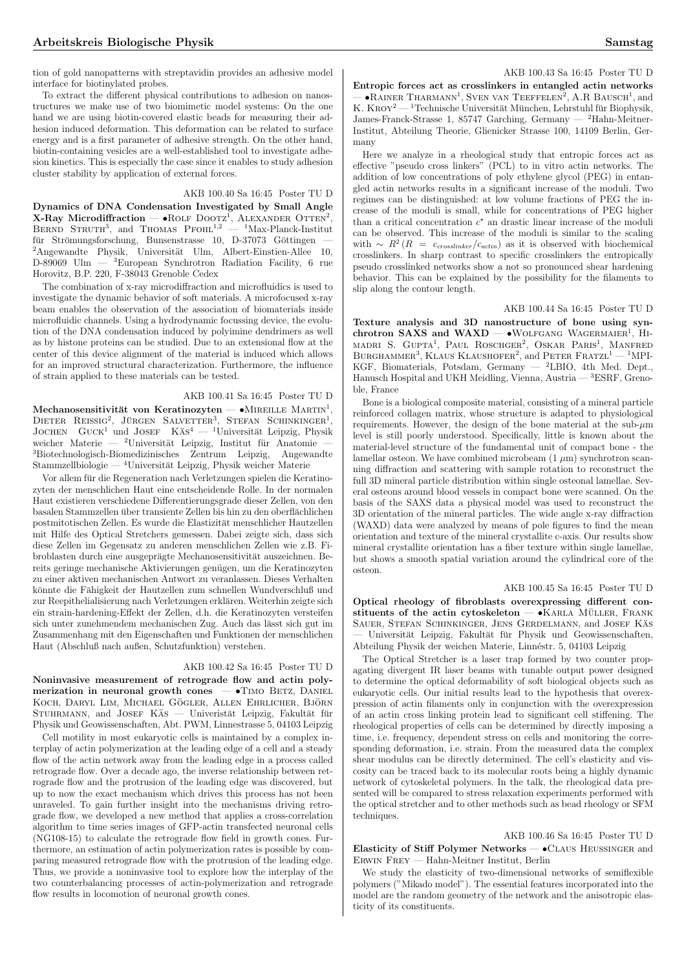tion of gold nanopatterns with streptavidin provides an adhesive model interface for biotinylated probes.

To extract the different physical contributions to adhesion on nanostructures we make use of two biomimetic model systems: On the one hand we are using biotin-covered elastic beads for measuring their adhesion induced deformation. This deformation can be related to surface energy and is a first parameter of adhesive strength. On the other hand, biotin-containing vesicles are a well-established tool to investigate adhesion kinetics. This is especially the case since it enables to study adhesion cluster stability by application of external forces.

# AKB 100.40 Sa 16:45 Poster TU D

Dynamics of DNA Condensation Investigated by Small Angle  $X$ -Ray Microdiffraction — •ROLF DOOTZ<sup>1</sup>, ALEXANDER OTTEN<sup>2</sup>,  $B$ ERND STRUTH<sup>3</sup>, and THOMAS PFOHL<sup>1,2</sup> — <sup>1</sup>Max-Planck-Institut <code>BERND</code> <code>STRUTH</code><sup>3</sup>, and <code>THOMAS</code> <code>PFOHL</code><sup>1,2</sup>  $-$  <code> $^1$ Max-Planck-Institut für <code>Strömungsforschung</code>, Bunsenstrasse 10, D-37073 Göttingen —</code> <sup>2</sup>Angewandte Physik, Universität Ulm, Albert-Einstien-Allee 10, D-89069 Ulm  $-$ <sup>3</sup>European Synchrotron Badiation Eacility 6 rue  ${}^{3}$ European Synchrotron Radiation Facility, 6 rue Horovitz, B.P. 220, F-38043 Grenoble Cedex

The combination of x-ray microdiffraction and microfluidics is used to investigate the dynamic behavior of soft materials. A microfocused x-ray beam enables the observation of the association of biomaterials inside microfluidic channels. Using a hydrodynamic focussing device, the evolution of the DNA condensation induced by polyimine dendrimers as well as by histone proteins can be studied. Due to an extensional flow at the center of this device alignment of the material is induced which allows for an improved structural characterization. Furthermore, the influence of strain applied to these materials can be tested.

#### AKB 100.41 Sa 16:45 Poster TU D

Mechanosensitivität von Keratinozyten — •MIREILLE MARTIN<sup>1</sup>, Mechanosenshivitat von Kerathozyten – Winkellee MAKTIN, JOCHEN GUCK<sup>1</sup> und JOSEF KÄS<sup>4</sup> — <sup>1</sup>Universität Leipzig, Physik weicher Materie — <sup>2</sup>Universität Leipzig, Institut für Anatomie <sup>3</sup>Biotechnologisch-Biomedizinisches Zentrum Leipzig, Angewandte Stammzellbiologie — <sup>4</sup>Universität Leipzig, Physik weicher Materie

Vor allem fur die Regeneration nach Verletzungen spielen die Keratino- ¨ zyten der menschlichen Haut eine entscheidende Rolle. In der normalen Haut existieren verschiedene Differentierungsgrade dieser Zellen, von den basalen Stammzellen über transiente Zellen bis hin zu den oberflächlichen postmitotischen Zellen. Es wurde die Elastizität menschlicher Hautzellen mit Hilfe des Optical Stretchers gemessen. Dabei zeigte sich, dass sich diese Zellen im Gegensatz zu anderen menschlichen Zellen wie z.B. Fibroblasten durch eine ausgeprägte Mechanosensitivität auszeichnen. Bereits geringe mechanische Aktivierungen genügen, um die Keratinozyten zu einer aktiven mechanischen Antwort zu veranlassen. Dieses Verhalten könnte die Fähigkeit der Hautzellen zum schnellen Wundverschluß und zur Reepithelialisierung nach Verletzungen erklären. Weiterhin zeigte sich ein strain-hardening-Effekt der Zellen, d.h. die Keratinozyten versteifen sich unter zunehmendem mechanischen Zug. Auch das lässt sich gut im Zusammenhang mit den Eigenschaften und Funktionen der menschlichen Haut (Abschluß nach außen, Schutzfunktion) verstehen.

# AKB 100.42 Sa 16:45 Poster TU D

Noninvasive measurement of retrograde flow and actin polymerization in neuronal growth cones  $-$  •Timo Betz, DANIEL KOCH, DARYL LIM, MICHAEL GÖGLER, ALLEN EHRLICHER, BJÖRN STUHRMANN, and JOSEF KÄS — Univeristät Leipzig, Fakultät für Physik und Geowissenschaften, Abt. PWM, Linnestrasse 5, 04103 Leipzig

Cell motility in most eukaryotic cells is maintained by a complex interplay of actin polymerization at the leading edge of a cell and a steady flow of the actin network away from the leading edge in a process called retrograde flow. Over a decade ago, the inverse relationship between retrograde flow and the protrusion of the leading edge was discovered, but up to now the exact mechanism which drives this process has not been unraveled. To gain further insight into the mechanisms driving retrograde flow, we developed a new method that applies a cross-correlation algorithm to time series images of GFP-actin transfected neuronal cells (NG108-15) to calculate the retrograde flow field in growth cones. Furthermore, an estimation of actin polymerization rates is possible by comparing measured retrograde flow with the protrusion of the leading edge. Thus, we provide a noninvasive tool to explore how the interplay of the two counterbalancing processes of actin-polymerization and retrograde flow results in locomotion of neuronal growth cones.

# AKB 100.43 Sa 16:45 Poster TU D

Entropic forces act as crosslinkers in entangled actin networks  $\sim$  **•RAINER THARMANN<sup>1</sup>**, SVEN VAN TEEFFELEN<sup>2</sup>, A.R. BAUSCH<sup>1</sup>, and K. KROY $^2-$  Technische Universität München, Lehrstuhl für Biophysik, James-Franck-Strasse 1, 85747 Garching, Germany — <sup>2</sup>Hahn-Meitner-Institut, Abteilung Theorie, Glienicker Strasse 100, 14109 Berlin, Germany

Here we analyze in a rheological study that entropic forces act as effective "pseudo cross linkers" (PCL) to in vitro actin networks. The addition of low concentrations of poly ethylene glycol (PEG) in entangled actin networks results in a significant increase of the moduli. Two regimes can be distinguished: at low volume fractions of PEG the increase of the moduli is small, while for concentrations of PEG higher than a critical concentration  $c^*$  an drastic linear increase of the moduli can be observed. This increase of the moduli is similar to the scaling with ~  $R^2 (R = c_{crosslinker}/c_{actin})$  as it is observed with biochemical crosslinkers. In sharp contrast to specific crosslinkers the entropically pseudo crosslinked networks show a not so pronounced shear hardening behavior. This can be explained by the possibility for the filaments to slip along the contour length.

AKB 100.44 Sa 16:45 Poster TU D

Texture analysis and 3D nanostructure of bone using synchrotron SAXS and WAXD — •WOLFGANG WAGERMAIER<sup>1</sup>, HI-MADRI S. GUPTA<sup>1</sup>, PAUL ROSCHGER<sup>2</sup>, OSKAR PARIS<sup>1</sup>, MANFRED MADAT 5. GOFTA, TAOL TROSCHGER, GSKAR TAKES, MANFRED KGF, Biomaterials, Potsdam, Germany — <sup>2</sup>LBIO, 4th Med. Dept., Hanusch Hospital and UKH Meidling, Vienna, Austria — <sup>3</sup>ESRF, Grenoble, France

Bone is a biological composite material, consisting of a mineral particle reinforced collagen matrix, whose structure is adapted to physiological requirements. However, the design of the bone material at the sub- $\mu$ m level is still poorly understood. Specifically, little is known about the material-level structure of the fundamental unit of compact bone - the lamellar osteon. We have combined microbeam  $(1 \mu m)$  synchrotron scanning diffraction and scattering with sample rotation to reconstruct the full 3D mineral particle distribution within single osteonal lamellae. Several osteons around blood vessels in compact bone were scanned. On the basis of the SAXS data a physical model was used to reconstruct the 3D orientation of the mineral particles. The wide angle x-ray diffraction (WAXD) data were analyzed by means of pole figures to find the mean orientation and texture of the mineral crystallite c-axis. Our results show mineral crystallite orientation has a fiber texture within single lamellae, but shows a smooth spatial variation around the cylindrical core of the osteon.

## AKB 100.45 Sa 16:45 Poster TU D

Optical rheology of fibroblasts overexpressing different constituents of the actin cytoskeleton —  $\bullet$ KARLA MÜLLER, FRANK Sauer, Stefan Schinkinger, Jens Gerdelmann, and Josef Kas¨ Universität Leipzig, Fakultät für Physik und Geowissenschaften, Abteilung Physik der weichen Materie, Linnéstr. 5, 04103 Leipzig

The Optical Stretcher is a laser trap formed by two counter propagating divergent IR laser beams with tunable output power designed to determine the optical deformability of soft biological objects such as eukaryotic cells. Our initial results lead to the hypothesis that overexpression of actin filaments only in conjunction with the overexpression of an actin cross linking protein lead to significant cell stiffening. The rheological properties of cells can be determined by directly imposing a time, i.e. frequency, dependent stress on cells and monitoring the corresponding deformation, i.e. strain. From the measured data the complex shear modulus can be directly determined. The cell's elasticity and viscosity can be traced back to its molecular roots being a highly dynamic network of cytoskeletal polymers. In the talk, the rheological data presented will be compared to stress relaxation experiments performed with the optical stretcher and to other methods such as bead rheology or SFM techniques.

AKB 100.46 Sa 16:45 Poster TU D Elasticity of Stiff Polymer Networks — •Claus Heussinger and Erwin Frey — Hahn-Meitner Institut, Berlin

We study the elasticity of two-dimensional networks of semiflexible polymers ("Mikado model"). The essential features incorporated into the model are the random geometry of the network and the anisotropic elasticity of its constituents.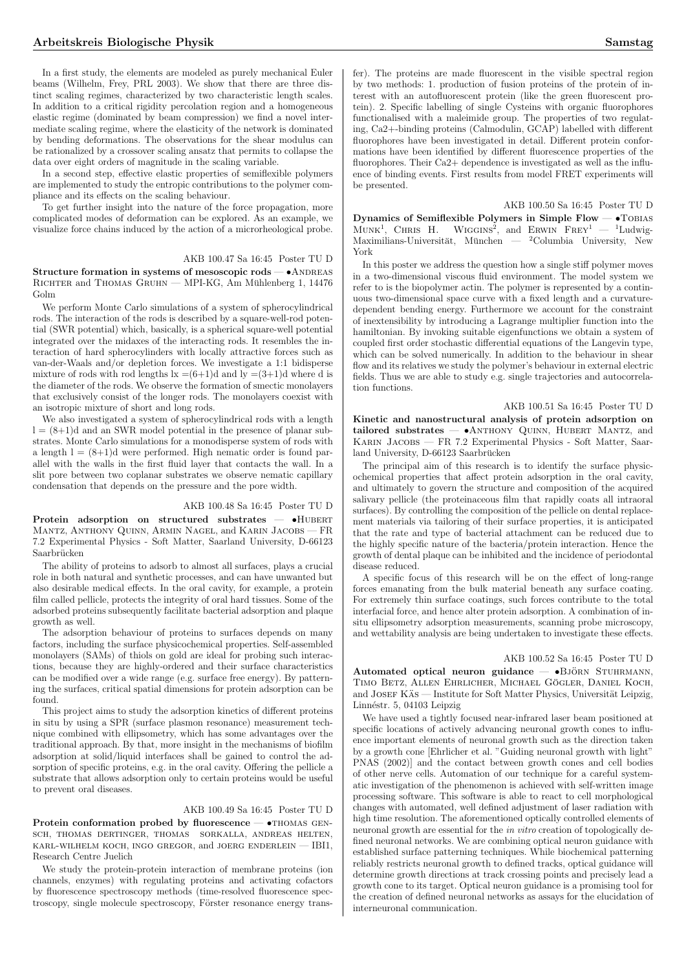In a first study, the elements are modeled as purely mechanical Euler beams (Wilhelm, Frey, PRL 2003). We show that there are three distinct scaling regimes, characterized by two characteristic length scales. In addition to a critical rigidity percolation region and a homogeneous elastic regime (dominated by beam compression) we find a novel intermediate scaling regime, where the elasticity of the network is dominated by bending deformations. The observations for the shear modulus can be rationalized by a crossover scaling ansatz that permits to collapse the data over eight orders of magnitude in the scaling variable.

In a second step, effective elastic properties of semiflexible polymers are implemented to study the entropic contributions to the polymer compliance and its effects on the scaling behaviour.

To get further insight into the nature of the force propagation, more complicated modes of deformation can be explored. As an example, we visualize force chains induced by the action of a microrheological probe.

# AKB 100.47 Sa 16:45 Poster TU D

Structure formation in systems of mesoscopic rods  $- \bullet$  ANDREAS RICHTER and THOMAS GRUHN — MPI-KG, Am Mühlenberg 1, 14476 Golm

We perform Monte Carlo simulations of a system of spherocylindrical rods. The interaction of the rods is described by a square-well-rod potential (SWR potential) which, basically, is a spherical square-well potential integrated over the midaxes of the interacting rods. It resembles the interaction of hard spherocylinders with locally attractive forces such as van-der-Waals and/or depletion forces. We investigate a 1:1 bidisperse mixture of rods with rod lengths  $k = (6+1)d$  and  $l = (3+1)d$  where d is the diameter of the rods. We observe the formation of smectic monolayers that exclusively consist of the longer rods. The monolayers coexist with an isotropic mixture of short and long rods.

We also investigated a system of spherocylindrical rods with a length  $l = (8+1)d$  and an SWR model potential in the presence of planar substrates. Monte Carlo simulations for a monodisperse system of rods with a length  $l = (8+1)d$  were performed. High nematic order is found parallel with the walls in the first fluid layer that contacts the wall. In a slit pore between two coplanar substrates we observe nematic capillary condensation that depends on the pressure and the pore width.

#### AKB 100.48 Sa 16:45 Poster TU D

Protein adsorption on structured substrates -  $\bullet$ HUBERT Mantz, Anthony Quinn, Armin Nagel, and Karin Jacobs — FR 7.2 Experimental Physics - Soft Matter, Saarland University, D-66123 Saarbrücken

The ability of proteins to adsorb to almost all surfaces, plays a crucial role in both natural and synthetic processes, and can have unwanted but also desirable medical effects. In the oral cavity, for example, a protein film called pellicle, protects the integrity of oral hard tissues. Some of the adsorbed proteins subsequently facilitate bacterial adsorption and plaque growth as well.

The adsorption behaviour of proteins to surfaces depends on many factors, including the surface physicochemical properties. Self-assembled monolayers (SAMs) of thiols on gold are ideal for probing such interactions, because they are highly-ordered and their surface characteristics can be modified over a wide range (e.g. surface free energy). By patterning the surfaces, critical spatial dimensions for protein adsorption can be found.

This project aims to study the adsorption kinetics of different proteins in situ by using a SPR (surface plasmon resonance) measurement technique combined with ellipsometry, which has some advantages over the traditional approach. By that, more insight in the mechanisms of biofilm adsorption at solid/liquid interfaces shall be gained to control the adsorption of specific proteins, e.g. in the oral cavity. Offering the pellicle a substrate that allows adsorption only to certain proteins would be useful to prevent oral diseases.

#### AKB 100.49 Sa 16:45 Poster TU D

Protein conformation probed by fluorescence  $\bullet$ THOMAS GENsch, thomas dertinger, thomas sorkalla, andreas helten, karl-wilhelm koch, ingo gregor, and joerg enderlein — IBI1, Research Centre Juelich

We study the protein-protein interaction of membrane proteins (ion channels, enzymes) with regulating proteins and activating cofactors by fluorescence spectroscopy methods (time-resolved fluorescence spectroscopy, single molecule spectroscopy, Förster resonance energy transfer). The proteins are made fluorescent in the visible spectral region by two methods: 1. production of fusion proteins of the protein of interest with an autofluorescent protein (like the green fluorescent protein). 2. Specific labelling of single Cysteins with organic fluorophores functionalised with a maleimide group. The properties of two regulating, Ca2+-binding proteins (Calmodulin, GCAP) labelled with different fluorophores have been investigated in detail. Different protein conformations have been identified by different fluorescence properties of the fluorophores. Their Ca2+ dependence is investigated as well as the influence of binding events. First results from model FRET experiments will be presented.

AKB 100.50 Sa 16:45 Poster TU D

Dynamics of Semiflexible Polymers in Simple Flow — •Tobias  $My$  names of Semmexible 1 of the s in Simple Flow  $-$  1 Obliks<br>MUNK<sup>1</sup>, CHRIS H. WIGGINS<sup>2</sup>, and ERWIN FREY<sup>1</sup>  $-$  <sup>1</sup>Ludwig-Maximilians-Universität, München — <sup>2</sup>Columbia University, New York

In this poster we address the question how a single stiff polymer moves in a two-dimensional viscous fluid environment. The model system we refer to is the biopolymer actin. The polymer is represented by a continuous two-dimensional space curve with a fixed length and a curvaturedependent bending energy. Furthermore we account for the constraint of inextensibility by introducing a Lagrange multiplier function into the hamiltonian. By invoking suitable eigenfunctions we obtain a system of coupled first order stochastic differential equations of the Langevin type, which can be solved numerically. In addition to the behaviour in shear flow and its relatives we study the polymer's behaviour in external electric fields. Thus we are able to study e.g. single trajectories and autocorrelation functions.

#### AKB 100.51 Sa 16:45 Poster TU D

Kinetic and nanostructural analysis of protein adsorption on tailored substrates —  $\bullet$ ANTHONY QUINN, HUBERT MANTZ, and Karin Jacobs — FR 7.2 Experimental Physics - Soft Matter, Saarland University, D-66123 Saarbrücken

The principal aim of this research is to identify the surface physicochemical properties that affect protein adsorption in the oral cavity, and ultimately to govern the structure and composition of the acquired salivary pellicle (the proteinaceous film that rapidly coats all intraoral surfaces). By controlling the composition of the pellicle on dental replacement materials via tailoring of their surface properties, it is anticipated that the rate and type of bacterial attachment can be reduced due to the highly specific nature of the bacteria/protein interaction. Hence the growth of dental plaque can be inhibited and the incidence of periodontal disease reduced.

A specific focus of this research will be on the effect of long-range forces emanating from the bulk material beneath any surface coating. For extremely thin surface coatings, such forces contribute to the total interfacial force, and hence alter protein adsorption. A combination of insitu ellipsometry adsorption measurements, scanning probe microscopy, and wettability analysis are being undertaken to investigate these effects.

#### AKB 100.52 Sa 16:45 Poster TU D

Automated optical neuron guidance  $\bullet$ BJÖRN STUHRMANN, TIMO BETZ, ALLEN EHRLICHER, MICHAEL GÖGLER, DANIEL KOCH, and JOSEF KÄS — Institute for Soft Matter Physics, Universität Leipzig, Linnéstr. 5, 04103 Leipzig

We have used a tightly focused near-infrared laser beam positioned at specific locations of actively advancing neuronal growth cones to influence important elements of neuronal growth such as the direction taken by a growth cone [Ehrlicher et al. "Guiding neuronal growth with light" PNAS (2002)] and the contact between growth cones and cell bodies of other nerve cells. Automation of our technique for a careful systematic investigation of the phenomenon is achieved with self-written image processing software. This software is able to react to cell morphological changes with automated, well defined adjustment of laser radiation with high time resolution. The aforementioned optically controlled elements of neuronal growth are essential for the *in vitro* creation of topologically defined neuronal networks. We are combining optical neuron guidance with established surface patterning techniques. While biochemical patterning reliably restricts neuronal growth to defined tracks, optical guidance will determine growth directions at track crossing points and precisely lead a growth cone to its target. Optical neuron guidance is a promising tool for the creation of defined neuronal networks as assays for the elucidation of interneuronal communication.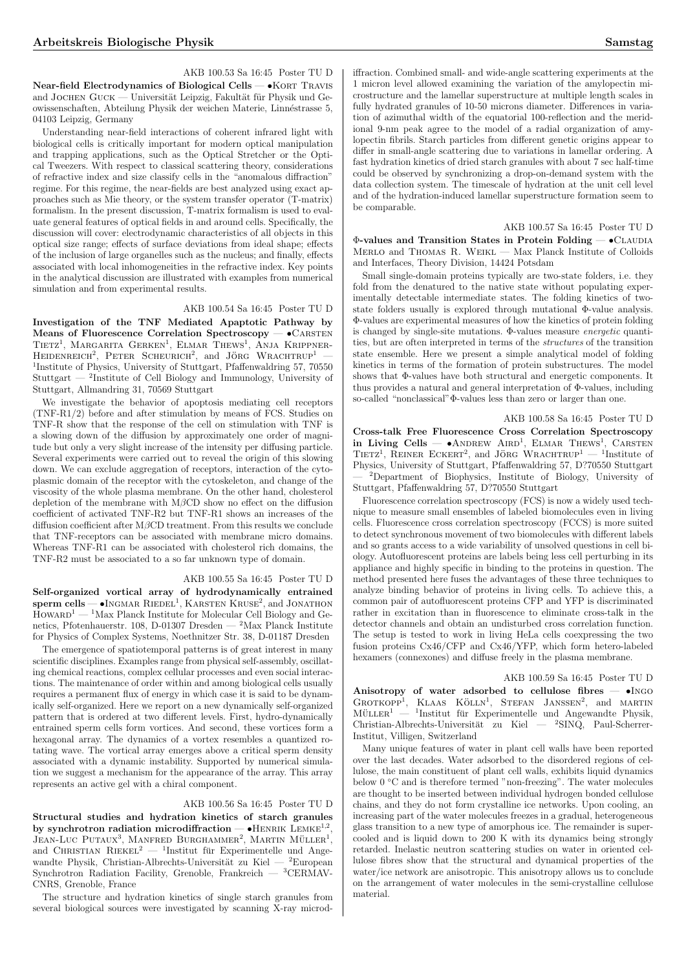AKB 100.53 Sa 16:45 Poster TU D Near-field Electrodynamics of Biological Cells — • KORT TRAVIS and JOCHEN  $G$ UCK — Universität Leipzig, Fakultät für Physik und Geowissenschaften, Abteilung Physik der weichen Materie, Linn´estrasse 5, 04103 Leipzig, Germany

Understanding near-field interactions of coherent infrared light with biological cells is critically important for modern optical manipulation and trapping applications, such as the Optical Stretcher or the Optical Tweezers. With respect to classical scattering theory, considerations of refractive index and size classify cells in the "anomalous diffraction" regime. For this regime, the near-fields are best analyzed using exact approaches such as Mie theory, or the system transfer operator (T-matrix) formalism. In the present discussion, T-matrix formalism is used to evaluate general features of optical fields in and around cells. Specifically, the discussion will cover: electrodynamic characteristics of all objects in this optical size range; effects of surface deviations from ideal shape; effects of the inclusion of large organelles such as the nucleus; and finally, effects associated with local inhomogeneities in the refractive index. Key points in the analytical discussion are illustrated with examples from numerical simulation and from experimental results.

# AKB 100.54 Sa 16:45 Poster TU D

Investigation of the TNF Mediated Apaptotic Pathway by Means of Fluorescence Correlation Spectroscopy —  $\bullet$  CARSTEN Means of Friorescence Correlation Spectroscopy — CARSTEN<br>TIETZ<sup>1</sup>, MARGARITA GERKEN<sup>1</sup>, ELMAR THEWS<sup>1</sup>, ANJA KRIPPNER- $HEDENREICH<sup>2</sup>$ , PETER SCHEURICH<sup>2</sup>, and JÖRG WRACHTRUP<sup>1</sup> — <sup>1</sup>Institute of Physics, University of Stuttgart, Pfaffenwaldring 57, 70550 Stuttgart — <sup>2</sup> Institute of Cell Biology and Immunology, University of Stuttgart, Allmandring 31, 70569 Stuttgart

We investigate the behavior of apoptosis mediating cell receptors (TNF-R1/2) before and after stimulation by means of FCS. Studies on TNF-R show that the response of the cell on stimulation with TNF is a slowing down of the diffusion by approximately one order of magnitude but only a very slight increase of the intensity per diffusing particle. Several experiments were carried out to reveal the origin of this slowing down. We can exclude aggregation of receptors, interaction of the cytoplasmic domain of the receptor with the cytoskeleton, and change of the viscosity of the whole plasma membrane. On the other hand, cholesterol depletion of the membrane with  $M\beta$ CD show no effect on the diffusion coefficient of activated TNF-R2 but TNF-R1 shows an increases of the diffusion coefficient after MβCD treatment. From this results we conclude that TNF-receptors can be associated with membrane micro domains. Whereas TNF-R1 can be associated with cholesterol rich domains, the TNF-R2 must be associated to a so far unknown type of domain.

#### AKB 100.55 Sa 16:45 Poster TU D

Self-organized vortical array of hydrodynamically entrained sperm cells — •Ingmar Riedel<sup>1</sup>, Karsten Kruse<sup>2</sup>, and Jonathon  $\text{HowARD}^1$  — <sup>1</sup>Max Planck Institute for Molecular Cell Biology and Genetics, Pfotenhauerstr. 108, D-01307 Dresden — <sup>2</sup>Max Planck Institute for Physics of Complex Systems, Noethnitzer Str. 38, D-01187 Dresden

The emergence of spatiotemporal patterns is of great interest in many scientific disciplines. Examples range from physical self-assembly, oscillating chemical reactions, complex cellular processes and even social interactions. The maintenance of order within and among biological cells usually requires a permanent flux of energy in which case it is said to be dynamically self-organized. Here we report on a new dynamically self-organized pattern that is ordered at two different levels. First, hydro-dynamically entrained sperm cells form vortices. And second, these vortices form a hexagonal array. The dynamics of a vortex resembles a quantized rotating wave. The vortical array emerges above a critical sperm density associated with a dynamic instability. Supported by numerical simulation we suggest a mechanism for the appearance of the array. This array represents an active gel with a chiral component.

#### AKB 100.56 Sa 16:45 Poster TU D

Structural studies and hydration kinetics of starch granules by synchrotron radiation microdiffraction  $-\bullet$ HENRIK LEMKE<sup>1,2</sup>,  $J$ ean-Luc Putaux<sup>3</sup>, Manfred Burghammer<sup>2</sup>, Martin Müller<sup>1</sup>,  $\sigma$  and CHRISTIAN RIEKEL<sup>2</sup> — <sup>1</sup>Institut für Experimentelle und Angewandte Physik, Christian-Albrechts-Universität zu Kiel —  $^2$ European Synchrotron Radiation Facility, Grenoble, Frankreich —  ${}^{3}$ CERMAV-CNRS, Grenoble, France

The structure and hydration kinetics of single starch granules from several biological sources were investigated by scanning X-ray microdiffraction. Combined small- and wide-angle scattering experiments at the 1 micron level allowed examining the variation of the amylopectin microstructure and the lamellar superstructure at multiple length scales in fully hydrated granules of 10-50 microns diameter. Differences in variation of azimuthal width of the equatorial 100-reflection and the meridional 9-nm peak agree to the model of a radial organization of amylopectin fibrils. Starch particles from different genetic origins appear to differ in small-angle scattering due to variations in lamellar ordering. A fast hydration kinetics of dried starch granules with about 7 sec half-time could be observed by synchronizing a drop-on-demand system with the data collection system. The timescale of hydration at the unit cell level and of the hydration-induced lamellar superstructure formation seem to be comparable.

## AKB 100.57 Sa 16:45 Poster TU D

Φ-values and Transition States in Protein Folding — •Claudia Merlo and Thomas R. Weikl — Max Planck Institute of Colloids and Interfaces, Theory Division, 14424 Potsdam

Small single-domain proteins typically are two-state folders, i.e. they fold from the denatured to the native state without populating experimentally detectable intermediate states. The folding kinetics of twostate folders usually is explored through mutational Φ-value analysis. Φ-values are experimental measures of how the kinetics of protein folding is changed by single-site mutations. Φ-values measure energetic quantities, but are often interpreted in terms of the structures of the transition state ensemble. Here we present a simple analytical model of folding kinetics in terms of the formation of protein substructures. The model shows that Φ-values have both structural and energetic components. It thus provides a natural and general interpretation of Φ-values, including so-called "nonclassical"Φ-values less than zero or larger than one.

#### AKB 100.58 Sa 16:45 Poster TU D

Cross-talk Free Fluorescence Cross Correlation Spectroscopy official and the Francescence Cross Correlation Spectroscopy<br>in Living Cells —  $\bullet$ ANDREW AIRD<sup>1</sup>, ELMAR THEWS<sup>1</sup>, CARSTEN  $T$ IETZ<sup>1</sup>, REINER ECKERT<sup>2</sup>, and JÖRG WRACHTRUP<sup>1</sup> — <sup>1</sup>Institute of Physics, University of Stuttgart, Pfaffenwaldring 57, D?70550 Stuttgart — <sup>2</sup>Department of Biophysics, Institute of Biology, University of Stuttgart, Pfaffenwaldring 57, D?70550 Stuttgart

Fluorescence correlation spectroscopy (FCS) is now a widely used technique to measure small ensembles of labeled biomolecules even in living cells. Fluorescence cross correlation spectroscopy (FCCS) is more suited to detect synchronous movement of two biomolecules with different labels and so grants access to a wide variability of unsolved questions in cell biology. Autofluorescent proteins are labels being less cell perturbing in its appliance and highly specific in binding to the proteins in question. The method presented here fuses the advantages of these three techniques to analyze binding behavior of proteins in living cells. To achieve this, a common pair of autofluorescent proteins CFP and YFP is discriminated rather in excitation than in fluorescence to eliminate cross-talk in the detector channels and obtain an undisturbed cross correlation function. The setup is tested to work in living HeLa cells coexpressing the two fusion proteins Cx46/CFP and Cx46/YFP, which form hetero-labeled hexamers (connexones) and diffuse freely in the plasma membrane.

# AKB 100.59 Sa 16:45 Poster TU D

Anisotropy of water adsorbed to cellulose fibres — •Ingo GROTKOPP  $N_{\text{HMS}}$ , KLAAS KÖLLN<sup>1</sup>, STEFAN JANSSEN<sup>2</sup>, and MARTIN  $MÜLLER<sup>1</sup>$  — <sup>1</sup>  $1$ Institut für Experimentelle und Angewandte Physik, Christian-Albrechts-Universität zu Kiel — <sup>2</sup>SINQ, Paul-Scherrer-Institut, Villigen, Switzerland

Many unique features of water in plant cell walls have been reported over the last decades. Water adsorbed to the disordered regions of cellulose, the main constituent of plant cell walls, exhibits liquid dynamics below  $0 °C$  and is therefore termed "non-freezing". The water molecules are thought to be inserted between individual hydrogen bonded cellulose chains, and they do not form crystalline ice networks. Upon cooling, an increasing part of the water molecules freezes in a gradual, heterogeneous glass transition to a new type of amorphous ice. The remainder is supercooled and is liquid down to 200 K with its dynamics being strongly retarded. Inelastic neutron scattering studies on water in oriented cellulose fibres show that the structural and dynamical properties of the water/ice network are anisotropic. This anisotropy allows us to conclude on the arrangement of water molecules in the semi-crystalline cellulose material.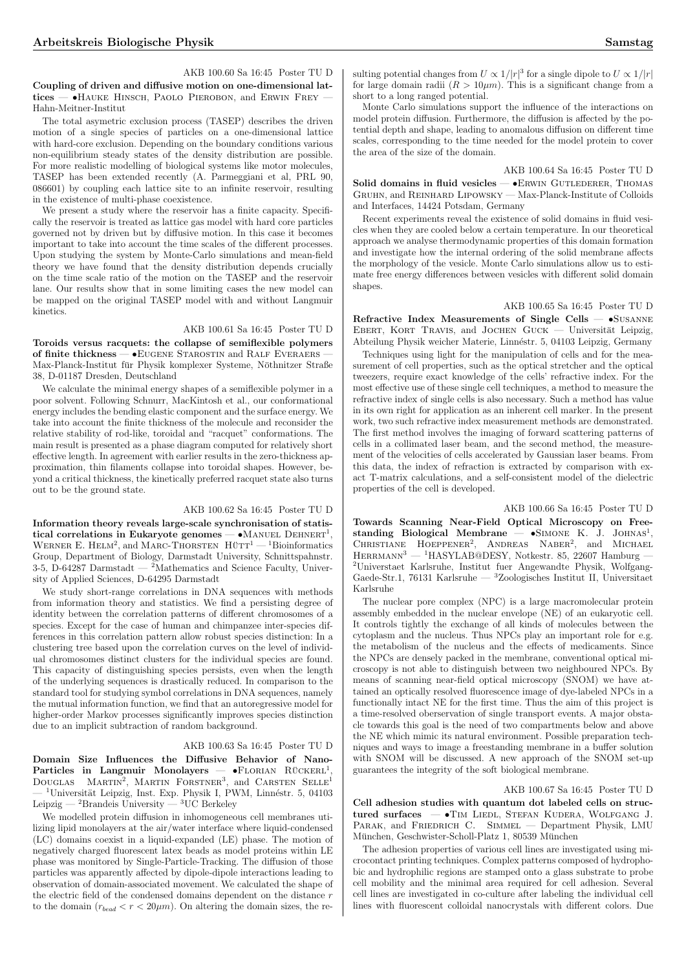AKB 100.60 Sa 16:45 Poster TU D Coupling of driven and diffusive motion on one-dimensional lattices — •HAUKE HINSCH, PAOLO PIEROBON, and ERWIN FREY Hahn-Meitner-Institut

The total asymetric exclusion process (TASEP) describes the driven motion of a single species of particles on a one-dimensional lattice with hard-core exclusion. Depending on the boundary conditions various non-equilibrium steady states of the density distribution are possible. For more realistic modelling of biological systems like motor molecules, TASEP has been extended recently (A. Parmeggiani et al, PRL 90, 086601) by coupling each lattice site to an infinite reservoir, resulting in the existence of multi-phase coexistence.

We present a study where the reservoir has a finite capacity. Specifically the reservoir is treated as lattice gas model with hard core particles governed not by driven but by diffusive motion. In this case it becomes important to take into account the time scales of the different processes. Upon studying the system by Monte-Carlo simulations and mean-field theory we have found that the density distribution depends crucially on the time scale ratio of the motion on the TASEP and the reservoir lane. Our results show that in some limiting cases the new model can be mapped on the original TASEP model with and without Langmuir kinetics.

#### AKB 100.61 Sa 16:45 Poster TU D

Toroids versus racquets: the collapse of semiflexible polymers of finite thickness — • EUGENE STAROSTIN and RALF EVERAERS -Max-Planck-Institut für Physik komplexer Systeme, Nöthnitzer Straße 38, D-01187 Dresden, Deutschland

We calculate the minimal energy shapes of a semiflexible polymer in a poor solvent. Following Schnurr, MacKintosh et al., our conformational energy includes the bending elastic component and the surface energy. We take into account the finite thickness of the molecule and reconsider the relative stability of rod-like, toroidal and "racquet" conformations. The main result is presented as a phase diagram computed for relatively short effective length. In agreement with earlier results in the zero-thickness approximation, thin filaments collapse into toroidal shapes. However, beyond a critical thickness, the kinetically preferred racquet state also turns out to be the ground state.

# AKB 100.62 Sa 16:45 Poster TU D

Information theory reveals large-scale synchronisation of statistical correlations in Eukaryote genomes  $- \bullet$ MANUEL DEHNERT<sup>1</sup>, tical correlations in Eukaryote genomes — • MANUEL DEHNERT<sup>1</sup>, WERNER E. HELM<sup>2</sup>, and MARC-THORSTEN HUTT<sup>1</sup> — <sup>1</sup>Bioinformatics Group, Department of Biology, Darmstadt University, Schnittspahnstr. 3-5,  $\hat{D}$ -64287 Darmstadt — <sup>2</sup>Mathematics and Science Faculty, University of Applied Sciences, D-64295 Darmstadt

We study short-range correlations in DNA sequences with methods from information theory and statistics. We find a persisting degree of identity between the correlation patterns of different chromosomes of a species. Except for the case of human and chimpanzee inter-species differences in this correlation pattern allow robust species distinction: In a clustering tree based upon the correlation curves on the level of individual chromosomes distinct clusters for the individual species are found. This capacity of distinguishing species persists, even when the length of the underlying sequences is drastically reduced. In comparison to the standard tool for studying symbol correlations in DNA sequences, namely the mutual information function, we find that an autoregressive model for higher-order Markov processes significantly improves species distinction due to an implicit subtraction of random background.

# AKB 100.63 Sa 16:45 Poster TU D

Domain Size Influences the Diffusive Behavior of Nano-Particles in Langmuir Monolayers — •FLORIAN RÜCKERL<sup>1</sup>, DOUGLAS MARTIN<sup>2</sup>, MARTIN FORSTNER<sup>3</sup>, and CARSTEN SELLE<sup>1</sup>  $^1 \rm{Universität}$  Leipzig, Inst. Exp. Physik I, PWM, Linnéstr. 5, 04103 Leipzig —  $^2$ Brandeis University —  $^3$ UC Berkeley

We modelled protein diffusion in inhomogeneous cell membranes utilizing lipid monolayers at the air/water interface where liquid-condensed (LC) domains coexist in a liquid-expanded (LE) phase. The motion of negatively charged fluorescent latex beads as model proteins within LE phase was monitored by Single-Particle-Tracking. The diffusion of those particles was apparently affected by dipole-dipole interactions leading to observation of domain-associated movement. We calculated the shape of the electric field of the condensed domains dependent on the distance  $r$ to the domain  $(r_{bead} < r < 20 \mu m)$ . On altering the domain sizes, the re-

sulting potential changes from  $U \propto 1/|r|^3$  for a single dipole to  $U \propto 1/|r|$ for large domain radii  $(R > 10 \mu m)$ . This is a significant change from a short to a long ranged potential.

Monte Carlo simulations support the influence of the interactions on model protein diffusion. Furthermore, the diffusion is affected by the potential depth and shape, leading to anomalous diffusion on different time scales, corresponding to the time needed for the model protein to cover the area of the size of the domain.

AKB 100.64 Sa 16:45 Poster TU D

Solid domains in fluid vesicles - • ERWIN GUTLEDERER, THOMAS Gruhn, and Reinhard Lipowsky — Max-Planck-Institute of Colloids and Interfaces, 14424 Potsdam, Germany

Recent experiments reveal the existence of solid domains in fluid vesicles when they are cooled below a certain temperature. In our theoretical approach we analyse thermodynamic properties of this domain formation and investigate how the internal ordering of the solid membrane affects the morphology of the vesicle. Monte Carlo simulations allow us to estimate free energy differences between vesicles with different solid domain shapes.

AKB 100.65 Sa 16:45 Poster TU D Refractive Index Measurements of Single Cells — •Susanne EBERT, KORT TRAVIS, and JOCHEN GUCK — Universität Leipzig, Abteilung Physik weicher Materie, Linnéstr. 5, 04103 Leipzig, Germany

Techniques using light for the manipulation of cells and for the measurement of cell properties, such as the optical stretcher and the optical tweezers, require exact knowledge of the cells' refractive index. For the most effective use of these single cell techniques, a method to measure the refractive index of single cells is also necessary. Such a method has value in its own right for application as an inherent cell marker. In the present work, two such refractive index measurement methods are demonstrated. The first method involves the imaging of forward scattering patterns of cells in a collimated laser beam, and the second method, the measurement of the velocities of cells accelerated by Gaussian laser beams. From this data, the index of refraction is extracted by comparison with exact T-matrix calculations, and a self-consistent model of the dielectric properties of the cell is developed.

#### AKB 100.66 Sa 16:45 Poster TU D

Towards Scanning Near-Field Optical Microscopy on Free-Towards Scaling Near-Field Optical Microscopy on Free-<br>standing Biological Membrane —  $\bullet$ SIMONE K. J. JOHNAS<sup>1</sup>, CHRISTIANE HOEPPENER<sup>2</sup>, ANDREAS NABER<sup>2</sup>, and MICHAEL  $HERRMANN<sup>3</sup>$  — <sup>1</sup>HASYLAB@DESY, Notkestr. 85, 22607 Hamburg 2Universtaet Karlsruhe, Institut fuer Angewandte Physik, Wolfgang-Gaede-Str.1, 76131 Karlsruhe — <sup>3</sup>Zoologisches Institut II, Universitaet Karlsruhe

The nuclear pore complex (NPC) is a large macromolecular protein assembly embedded in the nuclear envelope (NE) of an eukaryotic cell. It controls tightly the exchange of all kinds of molecules between the cytoplasm and the nucleus. Thus NPCs play an important role for e.g. the metabolism of the nucleus and the effects of medicaments. Since the NPCs are densely packed in the membrane, conventional optical microscopy is not able to distinguish between two neighboured NPCs. By means of scanning near-field optical microscopy (SNOM) we have attained an optically resolved fluorescence image of dye-labeled NPCs in a functionally intact NE for the first time. Thus the aim of this project is a time-resolved oberservation of single transport events. A major obstacle towards this goal is the need of two compartments below and above the NE which mimic its natural environment. Possible preparation techniques and ways to image a freestanding membrane in a buffer solution with SNOM will be discussed. A new approach of the SNOM set-up guarantees the integrity of the soft biological membrane.

### AKB 100.67 Sa 16:45 Poster TU D

Cell adhesion studies with quantum dot labeled cells on structured surfaces — •TIM LIEDL, STEFAN KUDERA, WOLFGANG J. PARAK, and FRIEDRICH C. SIMMEL — Department Physik, LMU München, Geschwister-Scholl-Platz 1, 80539 München

The adhesion properties of various cell lines are investigated using microcontact printing techniques. Complex patterns composed of hydrophobic and hydrophilic regions are stamped onto a glass substrate to probe cell mobility and the minimal area required for cell adhesion. Several cell lines are investigated in co-culture after labeling the individual cell lines with fluorescent colloidal nanocrystals with different colors. Due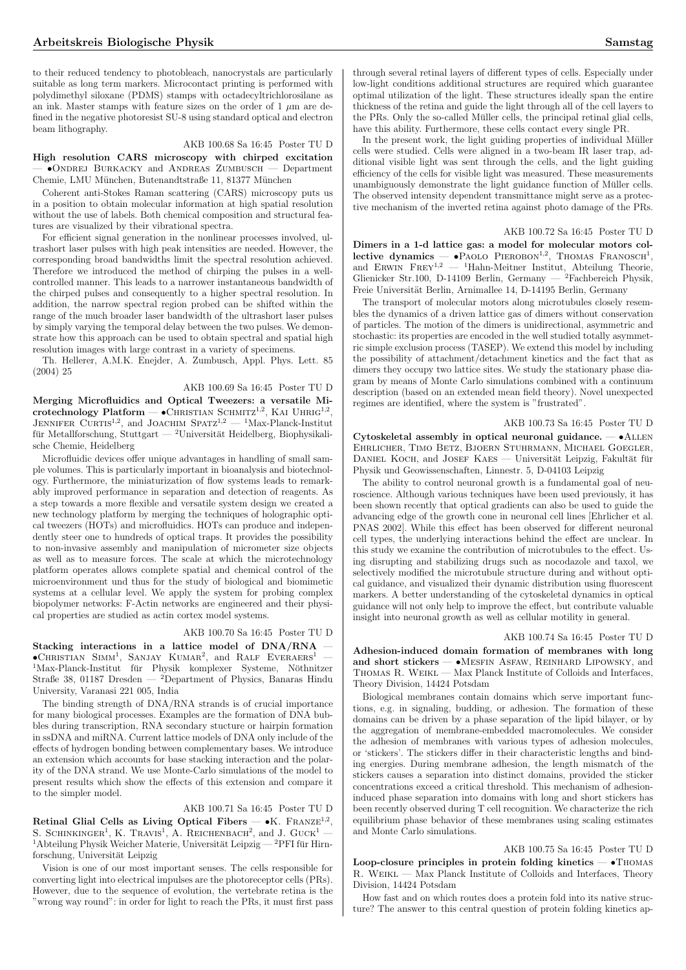to their reduced tendency to photobleach, nanocrystals are particularly suitable as long term markers. Microcontact printing is performed with polydimethyl siloxane (PDMS) stamps with octadecyltrichlorosilane as an ink. Master stamps with feature sizes on the order of  $1 \mu m$  are defined in the negative photoresist SU-8 using standard optical and electron beam lithography.

# AKB 100.68 Sa 16:45 Poster TU D

High resolution CARS microscopy with chirped excitation — •Ondrej Burkacky and Andreas Zumbusch — Department Chemie, LMU München, Butenandtstraße 11, 81377 München

Coherent anti-Stokes Raman scattering (CARS) microscopy puts us in a position to obtain molecular information at high spatial resolution without the use of labels. Both chemical composition and structural features are visualized by their vibrational spectra.

For efficient signal generation in the nonlinear processes involved, ultrashort laser pulses with high peak intensities are needed. However, the corresponding broad bandwidths limit the spectral resolution achieved. Therefore we introduced the method of chirping the pulses in a wellcontrolled manner. This leads to a narrower instantaneous bandwidth of the chirped pulses and consequently to a higher spectral resolution. In addition, the narrow spectral region probed can be shifted within the range of the much broader laser bandwidth of the ultrashort laser pulses by simply varying the temporal delay between the two pulses. We demonstrate how this approach can be used to obtain spectral and spatial high resolution images with large contrast in a variety of specimens.

Th. Hellerer, A.M.K. Enejder, A. Zumbusch, Appl. Phys. Lett. 85 (2004) 25

## AKB 100.69 Sa 16:45 Poster TU D

Merging Microfluidics and Optical Tweezers: a versatile Miortechnology Platform — •CHRISTIAN SCHMITZ<sup>1,2</sup>, KAI UHRIG<sup>1,2</sup>,  $JENNIFER$  CURTIS<sup>1,2</sup>, and JOACHIM SPATZ<sup>1,2</sup> — <sup>1</sup>Max-Planck-Institut für Metallforschung, Stuttgart —  $^2$ Universität Heidelberg, Biophysikalische Chemie, Heidelberg

Microfluidic devices offer unique advantages in handling of small sample volumes. This is particularly important in bioanalysis and biotechnology. Furthermore, the miniaturization of flow systems leads to remarkably improved performance in separation and detection of reagents. As a step towards a more flexible and versatile system design we created a new technology platform by merging the techniques of holographic optical tweezers (HOTs) and microfluidics. HOTs can produce and independently steer one to hundreds of optical traps. It provides the possibility to non-invasive assembly and manipulation of micrometer size objects as well as to measure forces. The scale at which the microtechnology platform operates allows complete spatial and chemical control of the microenvironment und thus for the study of biological and biomimetic systems at a cellular level. We apply the system for probing complex biopolymer networks: F-Actin networks are engineered and their physical properties are studied as actin cortex model systems.

### AKB 100.70 Sa 16:45 Poster TU D

Stacking interactions in a lattice model of DNA/RNA •CHRISTIAN SIMM<sup>1</sup>, SANJAY KUMAR<sup>2</sup>, and RALF EVERAERS<sup>1</sup> —  $1$ Max-Planck-Institut für Physik komplexer Systeme, Nöthnitzer Straße 38, 01187 Dresden — <sup>2</sup>Department of Physics, Banaras Hindu University, Varanasi 221 005, India

The binding strength of DNA/RNA strands is of crucial importance for many biological processes. Examples are the formation of DNA bubbles during transcription, RNA secondary stucture or hairpin formation in ssDNA and miRNA. Current lattice models of DNA only include of the effects of hydrogen bonding between complementary bases. We introduce an extension which accounts for base stacking interaction and the polarity of the DNA strand. We use Monte-Carlo simulations of the model to present results which show the effects of this extension and compare it to the simpler model.

# AKB 100.71 Sa 16:45 Poster TU D

Retinal Glial Cells as Living Optical Fibers — •K. FRANZE<sup>1,2</sup>, **S.** SCHINKINGER<sup>1</sup>, K. TRAVIS<sup>1</sup>, A. REICHENBACH<sup>2</sup>, and J. GUCK<sup>1</sup> —  $^{\rm 1}$ Abteilung Physik Weicher Materie, Universität Leipzig —  $^{\rm 2}$ PFI für Hirnforschung, Universität Leipzig

Vision is one of our most important senses. The cells responsible for converting light into electrical impulses are the photoreceptor cells (PRs). However, due to the sequence of evolution, the vertebrate retina is the "wrong way round": in order for light to reach the PRs, it must first pass

through several retinal layers of different types of cells. Especially under low-light conditions additional structures are required which guarantee optimal utilization of the light. These structures ideally span the entire thickness of the retina and guide the light through all of the cell layers to the PRs. Only the so-called Müller cells, the principal retinal glial cells, have this ability. Furthermore, these cells contact every single PR.

In the present work, the light guiding properties of individual Müller cells were studied. Cells were aligned in a two-beam IR laser trap, additional visible light was sent through the cells, and the light guiding efficiency of the cells for visible light was measured. These measurements unambiguously demonstrate the light guidance function of Müller cells. The observed intensity dependent transmittance might serve as a protective mechanism of the inverted retina against photo damage of the PRs.

## AKB 100.72 Sa 16:45 Poster TU D

Dimers in a 1-d lattice gas: a model for molecular motors col-Different dynamics —  $\bullet$  PAOLO PIEROBON<sup>1,2</sup>, THOMAS FRANOSCH<sup>1</sup>, and ERWIN FREY<sup>1,2</sup> — <sup>1</sup>Hahn-Meitner Institut, Abteilung Theorie, Glienicker Str.100, D-14109 Berlin, Germany — <sup>2</sup>Fachbereich Physik, Freie Universität Berlin, Arnimallee 14, D-14195 Berlin, Germany

The transport of molecular motors along microtubules closely resembles the dynamics of a driven lattice gas of dimers without conservation of particles. The motion of the dimers is unidirectional, asymmetric and stochastic: its properties are encoded in the well studied totally asymmetric simple exclusion process (TASEP). We extend this model by including the possibility of attachment/detachment kinetics and the fact that as dimers they occupy two lattice sites. We study the stationary phase diagram by means of Monte Carlo simulations combined with a continuum description (based on an extended mean field theory). Novel unexpected regimes are identified, where the system is "frustrated".

## AKB 100.73 Sa 16:45 Poster TU D

Cytoskeletal assembly in optical neuronal guidance.  $- \cdot$  ALLEN Ehrlicher, Timo Betz, Bjoern Stuhrmann, Michael Goegler, DANIEL KOCH, and JOSEF KAES — Universität Leipzig, Fakultät für Physik und Geowissenschaften, Linnestr. 5, D-04103 Leipzig

The ability to control neuronal growth is a fundamental goal of neuroscience. Although various techniques have been used previously, it has been shown recently that optical gradients can also be used to guide the advancing edge of the growth cone in neuronal cell lines [Ehrlicher et al. PNAS 2002]. While this effect has been observed for different neuronal cell types, the underlying interactions behind the effect are unclear. In this study we examine the contribution of microtubules to the effect. Using disrupting and stabilizing drugs such as nocodazole and taxol, we selectively modified the microtubule structure during and without optical guidance, and visualized their dynamic distribution using fluorescent markers. A better understanding of the cytoskeletal dynamics in optical guidance will not only help to improve the effect, but contribute valuable insight into neuronal growth as well as cellular motility in general.

## AKB 100.74 Sa 16:45 Poster TU D

Adhesion-induced domain formation of membranes with long and short stickers -  $\bullet$ MESFIN ASFAW, REINHARD LIPOWSKY, and Thomas R. Weikl — Max Planck Institute of Colloids and Interfaces, Theory Division, 14424 Potsdam

Biological membranes contain domains which serve important functions, e.g. in signaling, budding, or adhesion. The formation of these domains can be driven by a phase separation of the lipid bilayer, or by the aggregation of membrane-embedded macromolecules. We consider the adhesion of membranes with various types of adhesion molecules, or 'stickers'. The stickers differ in their characteristic lengths and binding energies. During membrane adhesion, the length mismatch of the stickers causes a separation into distinct domains, provided the sticker concentrations exceed a critical threshold. This mechanism of adhesioninduced phase separation into domains with long and short stickers has been recently observed during T cell recognition. We characterize the rich equilibrium phase behavior of these membranes using scaling estimates and Monte Carlo simulations.

# AKB 100.75 Sa 16:45 Poster TU D

Loop-closure principles in protein folding kinetics  $\bullet$  Thomas R. Weikl — Max Planck Institute of Colloids and Interfaces, Theory Division, 14424 Potsdam

How fast and on which routes does a protein fold into its native structure? The answer to this central question of protein folding kinetics ap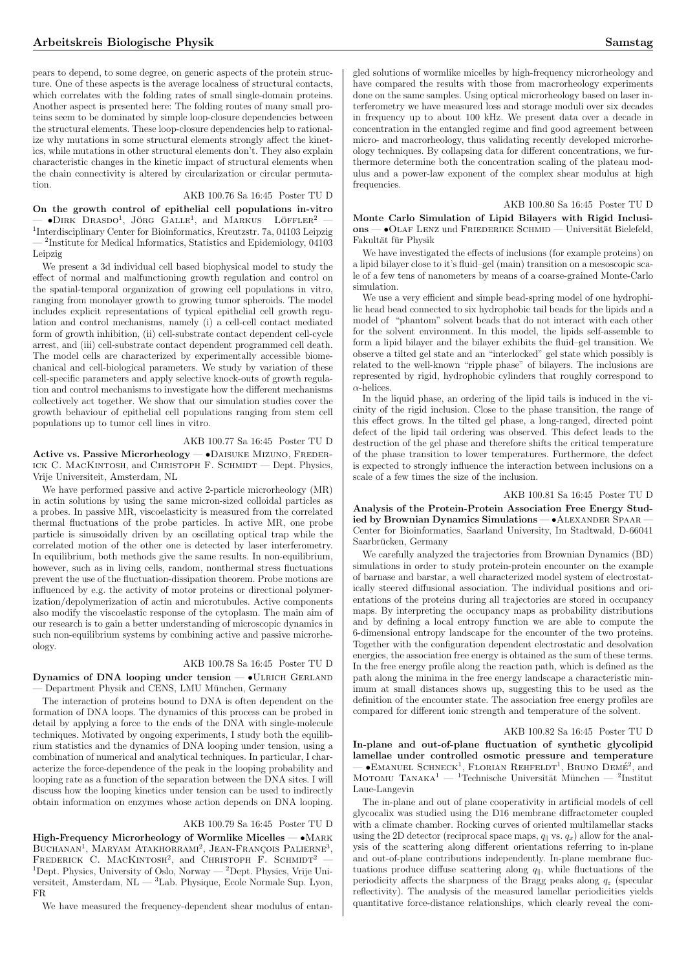pears to depend, to some degree, on generic aspects of the protein structure. One of these aspects is the average localness of structural contacts, which correlates with the folding rates of small single-domain proteins. Another aspect is presented here: The folding routes of many small proteins seem to be dominated by simple loop-closure dependencies between the structural elements. These loop-closure dependencies help to rationalize why mutations in some structural elements strongly affect the kinetics, while mutations in other structural elements don't. They also explain characteristic changes in the kinetic impact of structural elements when the chain connectivity is altered by circularization or circular permutation.

## AKB 100.76 Sa 16:45 Poster TU D

On the growth control of epithelial cell populations in-vitro

 $\sim$  •DIRK DRASDO<sup>1</sup>, JÖRG GALLE<sup>1</sup>, and MARKUS LÖFFLER<sup>2</sup> — 1 Interdisciplinary Center for Bioinformatics, Kreutzstr. 7a, 04103 Leipzig — <sup>2</sup> Institute for Medical Informatics, Statistics and Epidemiology, 04103 Leipzig

We present a 3d individual cell based biophysical model to study the effect of normal and malfunctioning growth regulation and control on the spatial-temporal organization of growing cell populations in vitro, ranging from monolayer growth to growing tumor spheroids. The model includes explicit representations of typical epithelial cell growth regulation and control mechanisms, namely (i) a cell-cell contact mediated form of growth inhibition, (ii) cell-substrate contact dependent cell-cycle arrest, and (iii) cell-substrate contact dependent programmed cell death. The model cells are characterized by experimentally accessible biomechanical and cell-biological parameters. We study by variation of these cell-specific parameters and apply selective knock-outs of growth regulation and control mechanisms to investigate how the different mechanisms collectively act together. We show that our simulation studies cover the growth behaviour of epithelial cell populations ranging from stem cell populations up to tumor cell lines in vitro.

## AKB 100.77 Sa 16:45 Poster TU D

Active vs. Passive Microrheology - · DAISUKE MIZUNO, FREDER-ICK C. MACKINTOSH, and CHRISTOPH F. SCHMIDT — Dept. Physics, Vrije Universiteit, Amsterdam, NL

We have performed passive and active 2-particle microrheology (MR) in actin solutions by using the same micron-sized colloidal particles as a probes. In passive MR, viscoelasticity is measured from the correlated thermal fluctuations of the probe particles. In active MR, one probe particle is sinusoidally driven by an oscillating optical trap while the correlated motion of the other one is detected by laser interferometry. In equilibrium, both methods give the same results. In non-equilibrium, however, such as in living cells, random, nonthermal stress fluctuations prevent the use of the fluctuation-dissipation theorem. Probe motions are influenced by e.g. the activity of motor proteins or directional polymerization/depolymerization of actin and microtubules. Active components also modify the viscoelastic response of the cytoplasm. The main aim of our research is to gain a better understanding of microscopic dynamics in such non-equilibrium systems by combining active and passive microrheology.

# AKB 100.78 Sa 16:45 Poster TU D

Dynamics of DNA looping under tension -  $\bullet$ ULRICH GERLAND Department Physik and CENS, LMU München, Germany

The interaction of proteins bound to DNA is often dependent on the formation of DNA loops. The dynamics of this process can be probed in detail by applying a force to the ends of the DNA with single-molecule techniques. Motivated by ongoing experiments, I study both the equilibrium statistics and the dynamics of DNA looping under tension, using a combination of numerical and analytical techniques. In particular, I characterize the force-dependence of the peak in the looping probability and looping rate as a function of the separation between the DNA sites. I will discuss how the looping kinetics under tension can be used to indirectly obtain information on enzymes whose action depends on DNA looping.

# AKB 100.79 Sa 16:45 Poster TU D

High-Frequency Microrheology of Wormlike Micelles —  $\bullet$ MARK **BUCHANAN<sup>1</sup>**, MARYAM ATAKHORRAMI<sup>2</sup>, JEAN-FRANÇOIS PALIERNE<sup>3</sup>,  $P$ <sub>KEDERICK</sub> C. MACKINTOSH<sup>2</sup>, and CHRISTOPH F. SCHMIDT<sup>2</sup> – <sup>1</sup>Dept. Physics, University of Oslo, Norway — <sup>2</sup>Dept. Physics, Vrije Universiteit, Amsterdam, NL — <sup>3</sup>Lab. Physique, Ecole Normale Sup. Lyon, FR

We have measured the frequency-dependent shear modulus of entan-

gled solutions of wormlike micelles by high-frequency microrheology and have compared the results with those from macrorheology experiments done on the same samples. Using optical microrheology based on laser interferometry we have measured loss and storage moduli over six decades in frequency up to about 100 kHz. We present data over a decade in concentration in the entangled regime and find good agreement between micro- and macrorheology, thus validating recently developed microrheology techniques. By collapsing data for different concentrations, we furthermore determine both the concentration scaling of the plateau modulus and a power-law exponent of the complex shear modulus at high frequencies.

AKB 100.80 Sa 16:45 Poster TU D

Monte Carlo Simulation of Lipid Bilayers with Rigid Inclusi $ons - \bullet$ OLAF LENZ und FRIEDERIKE SCHMID — Universität Bielefeld, Fakultät für Physik

We have investigated the effects of inclusions (for example proteins) on a lipid bilayer close to it's fluid–gel (main) transition on a mesoscopic scale of a few tens of nanometers by means of a coarse-grained Monte-Carlo simulation.

We use a very efficient and simple bead-spring model of one hydrophilic head bead connected to six hydrophobic tail beads for the lipids and a model of "phantom" solvent beads that do not interact with each other for the solvent environment. In this model, the lipids self-assemble to form a lipid bilayer and the bilayer exhibits the fluid–gel transition. We observe a tilted gel state and an "interlocked" gel state which possibly is related to the well-known "ripple phase" of bilayers. The inclusions are represented by rigid, hydrophobic cylinders that roughly correspond to  $\alpha$ -helices.

In the liquid phase, an ordering of the lipid tails is induced in the vicinity of the rigid inclusion. Close to the phase transition, the range of this effect grows. In the tilted gel phase, a long-ranged, directed point defect of the lipid tail ordering was observed. This defect leads to the destruction of the gel phase and therefore shifts the critical temperature of the phase transition to lower temperatures. Furthermore, the defect is expected to strongly influence the interaction between inclusions on a scale of a few times the size of the inclusion.

## AKB 100.81 Sa 16:45 Poster TU D

Analysis of the Protein-Protein Association Free Energy Studied by Brownian Dynamics Simulations — • ALEXANDER SPAAR Center for Bioinformatics, Saarland University, Im Stadtwald, D-66041 Saarbrücken, Germany

We carefully analyzed the trajectories from Brownian Dynamics (BD) simulations in order to study protein-protein encounter on the example of barnase and barstar, a well characterized model system of electrostatically steered diffusional association. The individual positions and orientations of the proteins during all trajectories are stored in occupancy maps. By interpreting the occupancy maps as probability distributions and by defining a local entropy function we are able to compute the 6-dimensional entropy landscape for the encounter of the two proteins. Together with the configuration dependent electrostatic and desolvation energies, the association free energy is obtained as the sum of these terms. In the free energy profile along the reaction path, which is defined as the path along the minima in the free energy landscape a characteristic minimum at small distances shows up, suggesting this to be used as the definition of the encounter state. The association free energy profiles are compared for different ionic strength and temperature of the solvent.

#### AKB 100.82 Sa 16:45 Poster TU D

In-plane and out-of-plane fluctuation of synthetic glycolipid lamellae under controlled osmotic pressure and temperature  $-$  •EMANUEL SCHNECK<sup>1</sup>, FLORIAN REHFELDT<sup>1</sup>, BRUNO DEMÉ<sup>2</sup>, and  $\overline{\text{Morom}}$  Tanaka<sup>1</sup> — <sup>1</sup>Technische Universität München — <sup>2</sup>Institut Morowu Tanaka<sup>1</sup> — <sup>1</sup>Technische Universität München — <sup>2</sup>Institut Laue-Langevin

The in-plane and out of plane cooperativity in artificial models of cell glycocalix was studied using the D16 membrane diffractometer coupled with a climate chamber. Rocking curves of oriented multilamellar stacks using the 2D detector (reciprocal space maps,  $q_{\parallel}$  vs.  $q_x$ ) allow for the analysis of the scattering along different orientations referring to in-plane and out-of-plane contributions independently. In-plane membrane fluctuations produce diffuse scattering along  $q_{\parallel}$ , while fluctuations of the periodicity affects the sharpness of the Bragg peaks along  $q_z$  (specular reflectivity). The analysis of the measured lamellar periodicities yields quantitative force-distance relationships, which clearly reveal the com-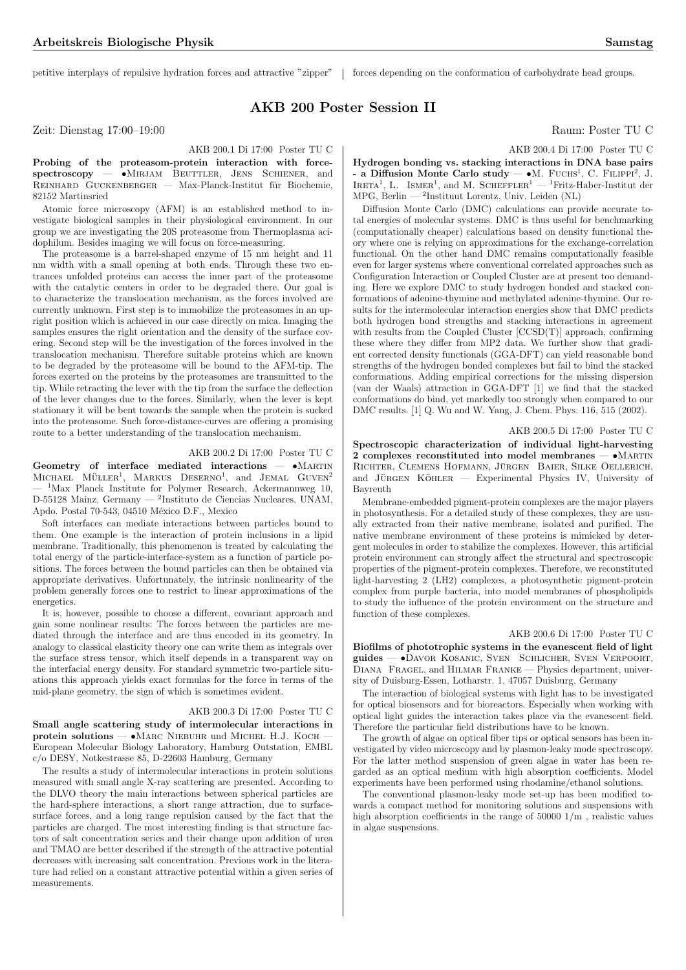petitive interplays of repulsive hydration forces and attractive "zipper" forces depending on the conformation of carbohydrate head groups.

# AKB 200 Poster Session II

Zeit: Dienstag 17:00–19:00 Raum: Poster TU C

# AKB 200.1 Di 17:00 Poster TU C

Probing of the proteasom-protein interaction with forcespectroscopy — •Mirjam Beuttler, Jens Schiener, and  $R$ EINHARD GUCKENBERGER — Max-Planck-Institut für Biochemie. 82152 Martinsried

Atomic force microscopy (AFM) is an established method to investigate biological samples in their physiological environment. In our group we are investigating the 20S proteasome from Thermoplasma acidophilum. Besides imaging we will focus on force-measuring.

The proteasome is a barrel-shaped enzyme of 15 nm height and 11 nm width with a small opening at both ends. Through these two entrances unfolded proteins can access the inner part of the proteasome with the catalytic centers in order to be degraded there. Our goal is to characterize the translocation mechanism, as the forces involved are currently unknown. First step is to immobilize the proteasomes in an upright position which is achieved in our case directly on mica. Imaging the samples ensures the right orientation and the density of the surface covering. Second step will be the investigation of the forces involved in the translocation mechanism. Therefore suitable proteins which are known to be degraded by the proteasome will be bound to the AFM-tip. The forces exerted on the proteins by the proteasomes are transmitted to the tip. While retracting the lever with the tip from the surface the deflection of the lever changes due to the forces. Similarly, when the lever is kept stationary it will be bent towards the sample when the protein is sucked into the proteasome. Such force-distance-curves are offering a promising route to a better understanding of the translocation mechanism.

## AKB 200.2 Di 17:00 Poster TU C

Geometry of interface mediated interactions  $- \bullet$ MARTIN MICHAEL MÜLLER<sup>1</sup>, MARKUS DESERNO<sup>1</sup>, and JEMAL GUVEN<sup>2</sup> <sup>1</sup>Max Planck Institute for Polymer Research, Ackermannweg 10, D-55128 Mainz, Germany — <sup>2</sup> Instituto de Ciencias Nucleares, UNAM, Apdo. Postal 70-543, 04510 México D.F., Mexico

Soft interfaces can mediate interactions between particles bound to them. One example is the interaction of protein inclusions in a lipid membrane. Traditionally, this phenomenon is treated by calculating the total energy of the particle-interface-system as a function of particle positions. The forces between the bound particles can then be obtained via appropriate derivatives. Unfortunately, the intrinsic nonlinearity of the problem generally forces one to restrict to linear approximations of the energetics.

It is, however, possible to choose a different, covariant approach and gain some nonlinear results: The forces between the particles are mediated through the interface and are thus encoded in its geometry. In analogy to classical elasticity theory one can write them as integrals over the surface stress tensor, which itself depends in a transparent way on the interfacial energy density. For standard symmetric two-particle situations this approach yields exact formulas for the force in terms of the mid-plane geometry, the sign of which is sometimes evident.

#### AKB 200.3 Di 17:00 Poster TU C

Small angle scattering study of intermolecular interactions in protein solutions — •Marc Niebuhr und Michel H.J. Koch — European Molecular Biology Laboratory, Hamburg Outstation, EMBL c/o DESY, Notkestrasse 85, D-22603 Hamburg, Germany

The results a study of intermolecular interactions in protein solutions measured with small angle X-ray scattering are presented. According to the DLVO theory the main interactions between spherical particles are the hard-sphere interactions, a short range attraction, due to surfacesurface forces, and a long range repulsion caused by the fact that the particles are charged. The most interesting finding is that structure factors of salt concentration series and their change upon addition of urea and TMAO are better described if the strength of the attractive potential decreases with increasing salt concentration. Previous work in the literature had relied on a constant attractive potential within a given series of measurements.

AKB 200.4 Di 17:00 Poster TU C

Hydrogen bonding vs. stacking interactions in DNA base pairs  $\frac{1}{2}$  a Diffusion Monte Carlo study  $\frac{1}{2}$  M. FUCHS<sup>1</sup>, C. FILIPPI<sup>2</sup>, J. **EXECUTE:** THE TATA IN THE CALL THE CALL THAT A LIKE TA<sup>1</sup>, L. ISMER<sup>1</sup>, and M. SCHEFFLER<sup>1</sup> — <sup>1</sup>Fritz-Haber-Institut der MPG, Berlin — <sup>2</sup> Instituut Lorentz, Univ. Leiden (NL)

Diffusion Monte Carlo (DMC) calculations can provide accurate total energies of molecular systems. DMC is thus useful for benchmarking (computationally cheaper) calculations based on density functional theory where one is relying on approximations for the exchange-correlation functional. On the other hand DMC remains computationally feasible even for larger systems where conventional correlated approaches such as Configuration Interaction or Coupled Cluster are at present too demanding. Here we explore DMC to study hydrogen bonded and stacked conformations of adenine-thymine and methylated adenine-thymine. Our results for the intermolecular interaction energies show that DMC predicts both hydrogen bond strengths and stacking interactions in agreement with results from the Coupled Cluster  $[CCSD(T)]$  approach, confirming these where they differ from MP2 data. We further show that gradient corrected density functionals (GGA-DFT) can yield reasonable bond strengths of the hydrogen bonded complexes but fail to bind the stacked conformations. Adding empirical corrections for the missing dispersion (van der Waals) attraction in GGA-DFT [1] we find that the stacked conformations do bind, yet markedly too strongly when compared to our DMC results. [1] Q. Wu and W. Yang, J. Chem. Phys. 116, 515 (2002).

#### AKB 200.5 Di 17:00 Poster TU C

Spectroscopic characterization of individual light-harvesting 2 complexes reconstituted into model membranes — •Martin RICHTER, CLEMENS HOFMANN, JÜRGEN BAIER, SILKE OELLERICH, and JÜRGEN KÖHLER  $-$  Experimental Physics IV, University of Bayreuth

Membrane-embedded pigment-protein complexes are the major players in photosynthesis. For a detailed study of these complexes, they are usually extracted from their native membrane, isolated and purified. The native membrane environment of these proteins is mimicked by detergent molecules in order to stabilize the complexes. However, this artificial protein environment can strongly affect the structural and spectroscopic properties of the pigment-protein complexes. Therefore, we reconstituted light-harvesting 2 (LH2) complexes, a photosynthetic pigment-protein complex from purple bacteria, into model membranes of phospholipids to study the influence of the protein environment on the structure and function of these complexes.

# AKB 200.6 Di 17:00 Poster TU C

Biofilms of phototrophic systems in the evanescent field of light guides — •Davor Kosanic, Sven Schlicher, Sven Verpoort, Diana Fragel, and Hilmar Franke — Physics department, university of Duisburg-Essen, Lotharstr. 1, 47057 Duisburg, Germany

The interaction of biological systems with light has to be investigated for optical biosensors and for bioreactors. Especially when working with optical light guides the interaction takes place via the evanescent field. Therefore the particular field distributions have to be known.

The growth of algae on optical fiber tips or optical sensors has been investigated by video microscopy and by plasmon-leaky mode spectroscopy. For the latter method suspension of green algae in water has been regarded as an optical medium with high absorption coefficients. Model experiments have been performed using rhodamine/ethanol solutions.

The conventional plasmon-leaky mode set-up has been modified towards a compact method for monitoring solutions and suspensions with high absorption coefficients in the range of  $50000 \frac{1}{m}$ , realistic values in algae suspensions.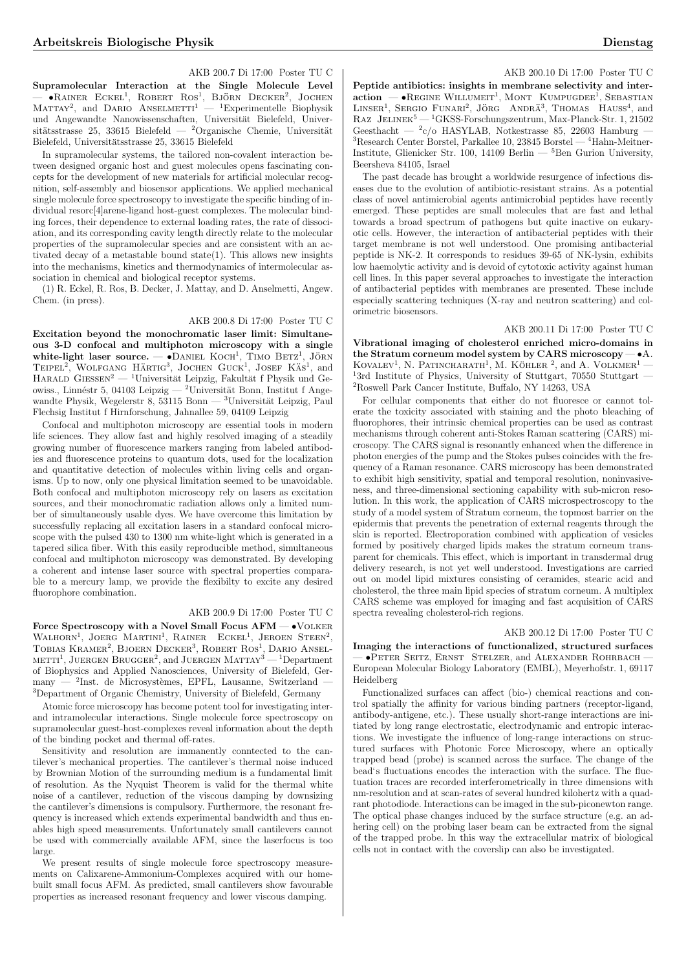#### AKB 200.7 Di 17:00 Poster TU C

Supramolecular Interaction at the Single Molecule Level Supramofectual interaction at the Single Molecule Level<br>
→ •RAINER ECKEL<sup>1</sup>, ROBERT ROS<sup>1</sup>, BJÖRN DECKER<sup>2</sup>, JOCHEN MATTAY<sup>2</sup>, and DARIO ANSELMETTI<sup>1</sup> — <sup>1</sup>Experimentelle Biophysik MATTAY<sup>2</sup>, and DARIO ANSELMETTI<sup>1</sup> — <sup>1</sup>Experimentelle Biophysik und Angewandte Nanowissenschaften, Universität Bielefeld, Universitätsstrasse 25, 33615 Bielefeld — <sup>2</sup>Organische Chemie, Universität Bielefeld, Universitätsstrasse 25, 33615 Bielefeld

In supramolecular systems, the tailored non-covalent interaction between designed organic host and guest molecules opens fascinating concepts for the development of new materials for artificial molecular recognition, self-assembly and biosensor applications. We applied mechanical single molecule force spectroscopy to investigate the specific binding of individual resorc[4]arene-ligand host-guest complexes. The molecular binding forces, their dependence to external loading rates, the rate of dissociation, and its corresponding cavity length directly relate to the molecular properties of the supramolecular species and are consistent with an activated decay of a metastable bound state(1). This allows new insights into the mechanisms, kinetics and thermodynamics of intermolecular association in chemical and biological receptor systems.

(1) R. Eckel, R. Ros, B. Decker, J. Mattay, and D. Anselmetti, Angew. Chem. (in press).

# AKB 200.8 Di 17:00 Poster TU C

Excitation beyond the monochromatic laser limit: Simultaneous 3-D confocal and multiphoton microscopy with a single white-light laser source.  $\rightarrow$  DANIEL KOCH<sup>1</sup>, TIMO BETZ<sup>1</sup>, JÖRN  $TEPEL<sup>2</sup>$ , WOLFGANG HÄRTIG<sup>3</sup>, JOCHEN GUCK<sup>1</sup>, JOSEF KÄS<sup>1</sup>, and HARALD GIESSEN<sup>2</sup> — <sup>1</sup>Universität Leipzig, Fakultät f Physik und Geowiss., Linnéstr 5, 04103 Leipzig — <sup>2</sup>Universität Bonn, Institut f Angewandte Physik, Wegelerstr 8, 53115 Bonn —  $^3$ Universität Leipzig, Paul Flechsig Institut f Hirnforschung, Jahnallee 59, 04109 Leipzig

Confocal and multiphoton microscopy are essential tools in modern life sciences. They allow fast and highly resolved imaging of a steadily growing number of fluorescence markers ranging from labeled antibodies and fluorescence proteins to quantum dots, used for the localization and quantitative detection of molecules within living cells and organisms. Up to now, only one physical limitation seemed to be unavoidable. Both confocal and multiphoton microscopy rely on lasers as excitation sources, and their monochromatic radiation allows only a limited number of simultaneously usable dyes. We have overcome this limitation by successfully replacing all excitation lasers in a standard confocal microscope with the pulsed 430 to 1300 nm white-light which is generated in a tapered silica fiber. With this easily reproducible method, simultaneous confocal and multiphoton microscopy was demonstrated. By developing a coherent and intense laser source with spectral properties comparable to a mercury lamp, we provide the flexibilty to excite any desired fluorophore combination.

## AKB 200.9 Di 17:00 Poster TU C

Force Spectroscopy with a Novel Small Focus AFM — •Volker WALHORN<sup>1</sup>, JOERG MARTINI<sup>1</sup>, RAINER ECKEL<sup>1</sup>, JEROEN STEEN<sup>2</sup>, WALHONN, JOENG MARTINI, TAINER ECREE, JEROEN STEEN,<br>TOBIAS KRAMER<sup>2</sup>, BJOERN DECKER<sup>3</sup>, ROBERT ROS<sup>1</sup>, DARIO ANSEL-10BIAS KRAMER, BJOERN DECKER, ROBERT ROS, DARIO ANSEL-<br>METTI<sup>1</sup>, JUERGEN BRUGGER<sup>2</sup>, and JUERGEN MATTAY<sup>3</sup> — <sup>1</sup>Department of Biophysics and Applied Nanosciences, University of Bielefeld, Ger $manv -$ <sup>2</sup>Inst. de Microsystèmes, EPFL, Lausanne, Switzerland <sup>3</sup>Department of Organic Chemistry, University of Bielefeld, Germany

Atomic force microscopy has become potent tool for investigating interand intramolecular interactions. Single molecule force spectroscopy on supramolecular guest-host-complexes reveal information about the depth of the binding pocket and thermal off-rates.

Sensitivity and resolution are immanently conntected to the cantilever's mechanical properties. The cantilever's thermal noise induced by Brownian Motion of the surrounding medium is a fundamental limit of resolution. As the Nyquist Theorem is valid for the thermal white noise of a cantilever, reduction of the viscous damping by downsizing the cantilever's dimensions is compulsory. Furthermore, the resonant frequency is increased which extends experimental bandwidth and thus enables high speed measurements. Unfortunately small cantilevers cannot be used with commercially available AFM, since the laserfocus is too large.

We present results of single molecule force spectroscopy measurements on Calixarene-Ammonium-Complexes acquired with our homebuilt small focus AFM. As predicted, small cantilevers show favourable properties as increased resonant frequency and lower viscous damping.

#### AKB 200.10 Di 17:00 Poster TU C

Peptide antibiotics: insights in membrane selectivity and inter- $\mathbf{r}$  epide antibiotics. Hisigns in membrane selectivity and inter-<br>action  $\mathbf{r}$  . REGINE WILLUMEIT<sup>1</sup>, MONT KUMPUGDEE<sup>1</sup>, SEBASTIAN  $L$ INSER<sup>1</sup>, SERGIO FUNARI<sup>2</sup>, JÖRG ANDRÄ<sup>3</sup>, THOMAS HAUSS<sup>4</sup>, and RAZ JELINEK<sup>5</sup> — <sup>1</sup>GKSS-Forschungszentrum, Max-Planck-Str. 1, 21502 Geesthacht —  $^2c$ /o HASYLAB, Notkestrasse 85, 22603 Hamburg – <sup>3</sup>Research Center Borstel, Parkallee 10, 23845 Borstel — <sup>4</sup>Hahn-Meitner-Institute, Glienicker Str. 100, 14109 Berlin — <sup>5</sup>Ben Gurion University, Beersheva 84105, Israel

The past decade has brought a worldwide resurgence of infectious diseases due to the evolution of antibiotic-resistant strains. As a potential class of novel antimicrobial agents antimicrobial peptides have recently emerged. These peptides are small molecules that are fast and lethal towards a broad spectrum of pathogens but quite inactive on eukaryotic cells. However, the interaction of antibacterial peptides with their target membrane is not well understood. One promising antibacterial peptide is NK-2. It corresponds to residues 39-65 of NK-lysin, exhibits low haemolytic activity and is devoid of cytotoxic activity against human cell lines. In this paper several approaches to investigate the interaction of antibacterial peptides with membranes are presented. These include especially scattering techniques (X-ray and neutron scattering) and colorimetric biosensors.

## AKB 200.11 Di 17:00 Poster TU C

Vibrational imaging of cholesterol enriched micro-domains in the Stratum corneum model system by CARS microscopy — •A.  $KovALEV<sup>1</sup>$ , N. PATINCHARATH<sup>1</sup>, M. KÖHLER<sup>2</sup>, and A. VOLKMER<sup>1</sup> —  $13rd$  Institute of Physics, University of Stuttgart, 70550 Stuttgart — <sup>2</sup>Roswell Park Cancer Institute, Buffalo, NY 14263, USA

For cellular components that either do not fluoresce or cannot tolerate the toxicity associated with staining and the photo bleaching of fluorophores, their intrinsic chemical properties can be used as contrast mechanisms through coherent anti-Stokes Raman scattering (CARS) microscopy. The CARS signal is resonantly enhanced when the difference in photon energies of the pump and the Stokes pulses coincides with the frequency of a Raman resonance. CARS microscopy has been demonstrated to exhibit high sensitivity, spatial and temporal resolution, noninvasiveness, and three-dimensional sectioning capability with sub-micron resolution. In this work, the application of CARS microspectroscopy to the study of a model system of Stratum corneum, the topmost barrier on the epidermis that prevents the penetration of external reagents through the skin is reported. Electroporation combined with application of vesicles formed by positively charged lipids makes the stratum corneum transparent for chemicals. This effect, which is important in transdermal drug delivery research, is not yet well understood. Investigations are carried out on model lipid mixtures consisting of ceramides, stearic acid and cholesterol, the three main lipid species of stratum corneum. A multiplex CARS scheme was employed for imaging and fast acquisition of CARS spectra revealing cholesterol-rich regions.

#### AKB 200.12 Di 17:00 Poster TU C

Imaging the interactions of functionalized, structured surfaces — •Peter Seitz, Ernst Stelzer, and Alexander Rohrbach — European Molecular Biology Laboratory (EMBL), Meyerhofstr. 1, 69117 Heidelberg

Functionalized surfaces can affect (bio-) chemical reactions and control spatially the affinity for various binding partners (receptor-ligand, antibody-antigene, etc.). These usually short-range interactions are initiated by long range electrostatic, electrodynamic and entropic interactions. We investigate the influence of long-range interactions on structured surfaces with Photonic Force Microscopy, where an optically trapped bead (probe) is scanned across the surface. The change of the bead's fluctuations encodes the interaction with the surface. The fluctuation traces are recorded interferometrically in three dimensions with nm-resolution and at scan-rates of several hundred kilohertz with a quadrant photodiode. Interactions can be imaged in the sub-piconewton range. The optical phase changes induced by the surface structure (e.g. an adhering cell) on the probing laser beam can be extracted from the signal of the trapped probe. In this way the extracellular matrix of biological cells not in contact with the coverslip can also be investigated.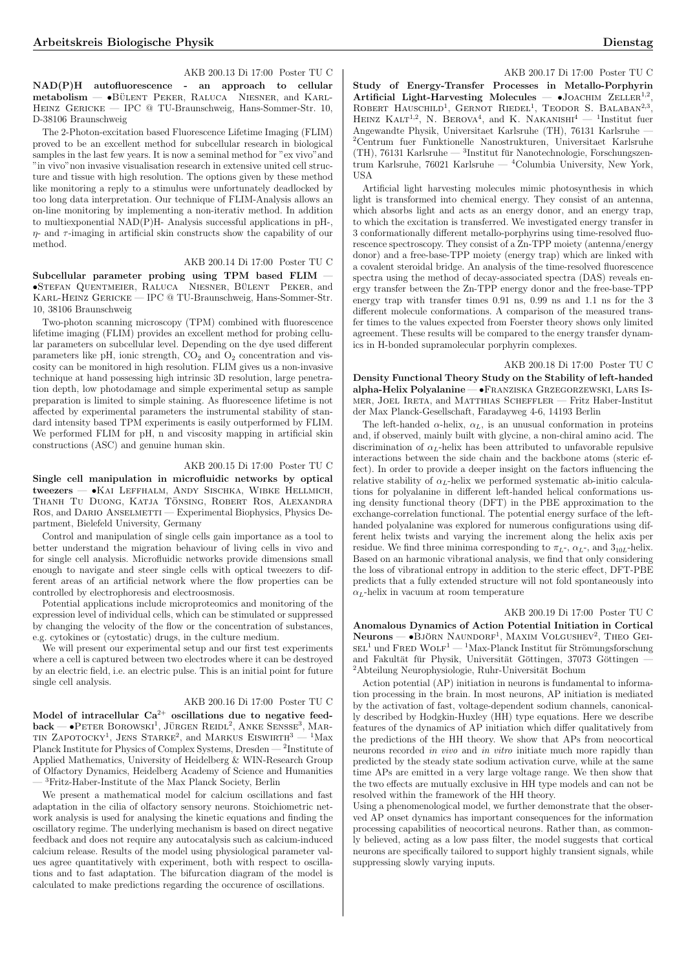## AKB 200.13 Di 17:00 Poster TU C

NAD(P)H autofluorescence - an approach to cellular  $metabo$ lism  $\bullet$ BÜLENT PEKER, RALUCA NIESNER, and KARL-Heinz Gericke — IPC @ TU-Braunschweig, Hans-Sommer-Str. 10, D-38106 Braunschweig

The 2-Photon-excitation based Fluorescence Lifetime Imaging (FLIM) proved to be an excellent method for subcellular research in biological samples in the last few years. It is now a seminal method for "ex vivo"and "in vivo"non invasive visualisation research in extensive united cell structure and tissue with high resolution. The options given by these method like monitoring a reply to a stimulus were unfortunately deadlocked by too long data interpretation. Our technique of FLIM-Analysis allows an on-line monitoring by implementing a non-iterativ method. In addition to multiexponential NAD(P)H- Analysis successful applications in pH-,  $\eta$ - and  $\tau$ -imaging in artificial skin constructs show the capability of our method.

# AKB 200.14 Di 17:00 Poster TU C

Subcellular parameter probing using TPM based FLIM — •STEFAN QUENTMEIER, RALUCA NIESNER, BÜLENT PEKER, and Karl-Heinz Gericke — IPC @ TU-Braunschweig, Hans-Sommer-Str. 10, 38106 Braunschweig

Two-photon scanning microscopy (TPM) combined with fluorescence lifetime imaging (FLIM) provides an excellent method for probing cellular parameters on subcellular level. Depending on the dye used different parameters like pH, ionic strength,  $CO<sub>2</sub>$  and  $O<sub>2</sub>$  concentration and viscosity can be monitored in high resolution. FLIM gives us a non-invasive technique at hand possessing high intrinsic 3D resolution, large penetration depth, low photodamage and simple experimental setup as sample preparation is limited to simple staining. As fluorescence lifetime is not affected by experimental parameters the instrumental stability of standard intensity based TPM experiments is easily outperformed by FLIM. We performed FLIM for pH, n and viscosity mapping in artificial skin constructions (ASC) and genuine human skin.

## AKB 200.15 Di 17:00 Poster TU C

Single cell manipulation in microfluidic networks by optical tweezers — •Kai Leffhalm, Andy Sischka, Wibke Hellmich, THANH TU DUONG, KATJA TÖNSING, ROBERT ROS, ALEXANDRA Ros, and Dario Anselmetti — Experimental Biophysics, Physics Department, Bielefeld University, Germany

Control and manipulation of single cells gain importance as a tool to better understand the migration behaviour of living cells in vivo and for single cell analysis. Microfluidic networks provide dimensions small enough to navigate and steer single cells with optical tweezers to different areas of an artificial network where the flow properties can be controlled by electrophoresis and electroosmosis.

Potential applications include microproteomics and monitoring of the expression level of individual cells, which can be stimulated or suppressed by changing the velocity of the flow or the concentration of substances, e.g. cytokines or (cytostatic) drugs, in the culture medium.

We will present our experimental setup and our first test experiments where a cell is captured between two electrodes where it can be destroyed by an electric field, i.e. an electric pulse. This is an initial point for future single cell analysis.

#### AKB 200.16 Di 17:00 Poster TU C

Model of intracellular  $Ca^{2+}$  oscillations due to negative feed-Moder of infracential ⊂a coscinations due to hegative feed-<br>back — •PETER BOROWSKI<sup>1</sup>, JÜRGEN REIDL<sup>2</sup>, ANKE SENSSE<sup>3</sup>, MAR- $\text{max}$  —  $\text{max}$  butowski, Jungely Reide, Anne Sensse, Mar-<br>TIN ZAPOTOCKY<sup>1</sup>, JENS STARKE<sup>2</sup>, and MARKUS EISWIRTH<sup>3</sup> — <sup>1</sup>Max Planck Institute for Physics of Complex Systems, Dresden — <sup>2</sup> Institute of Applied Mathematics, University of Heidelberg & WIN-Research Group of Olfactory Dynamics, Heidelberg Academy of Science and Humanities <sup>3</sup>Fritz-Haber-Institute of the Max Planck Society, Berlin

We present a mathematical model for calcium oscillations and fast adaptation in the cilia of olfactory sensory neurons. Stoichiometric network analysis is used for analysing the kinetic equations and finding the oscillatory regime. The underlying mechanism is based on direct negative feedback and does not require any autocatalysis such as calcium-induced calcium release. Results of the model using physiological parameter values agree quantitatively with experiment, both with respect to oscillations and to fast adaptation. The bifurcation diagram of the model is calculated to make predictions regarding the occurence of oscillations.

#### AKB 200.17 Di 17:00 Poster TU C

Study of Energy-Transfer Processes in Metallo-Porphyrin Artificial Light-Harvesting Molecules  $-$  •JOACHIM ZELLER<sup>1,2</sup> ROBERT HAUSCHILD<sup>1</sup>, GERNOT RIEDEL<sup>1</sup>, TEODOR S. BALABAN<sup>2,3</sup>, HEINZ KALT<sup>1,2</sup>, N. BEROVA<sup>4</sup>, and K. NAKANISHI<sup>4</sup> — <sup>1</sup>Institut fuer Angewandte Physik, Universitaet Karlsruhe (TH), 76131 Karlsruhe — <sup>2</sup>Centrum fuer Funktionelle Nanostrukturen, Universitaet Karlsruhe (TH), 76131<br> Karlsruhe — 3<br/>Institut für Nanotechnologie, Forschungszentrum Karlsruhe, 76021 Karlsruhe —  $^{4}$ Columbia University, New York, USA

Artificial light harvesting molecules mimic photosynthesis in which light is transformed into chemical energy. They consist of an antenna, which absorbs light and acts as an energy donor, and an energy trap, to which the excitation is transferred. We investigated energy transfer in 3 conformationally different metallo-porphyrins using time-resolved fluorescence spectroscopy. They consist of a Zn-TPP moiety (antenna/energy donor) and a free-base-TPP moiety (energy trap) which are linked with a covalent steroidal bridge. An analysis of the time-resolved fluorescence spectra using the method of decay-associated spectra (DAS) reveals energy transfer between the Zn-TPP energy donor and the free-base-TPP energy trap with transfer times 0.91 ns, 0.99 ns and 1.1 ns for the 3 different molecule conformations. A comparison of the measured transfer times to the values expected from Foerster theory shows only limited agreement. These results will be compared to the energy transfer dynamics in H-bonded supramolecular porphyrin complexes.

#### AKB 200.18 Di 17:00 Poster TU C

Density Functional Theory Study on the Stability of left-handed alpha-Helix Polyalanine — •Franziska Grzegorzewski, Lars Ismer, Joel Ireta, and Matthias Scheffler — Fritz Haber-Institut der Max Planck-Gesellschaft, Faradayweg 4-6, 14193 Berlin

The left-handed  $\alpha$ -helix,  $\alpha_L$ , is an unusual conformation in proteins and, if observed, mainly built with glycine, a non-chiral amino acid. The discrimination of  $\alpha_L$ -helix has been attributed to unfavorable repulsive interactions between the side chain and the backbone atoms (steric effect). In order to provide a deeper insight on the factors influencing the relative stability of  $\alpha_L$ -helix we performed systematic ab-initio calculations for polyalanine in different left-handed helical conformations using density functional theory (DFT) in the PBE approximation to the exchange-correlation functional. The potential energy surface of the lefthanded polyalanine was explored for numerous configurations using different helix twists and varying the increment along the helix axis per residue. We find three minima corresponding to  $\pi_{L}$ -,  $\alpha_{L}$ -, and  $3_{10L}$ -helix. Based on an harmonic vibrational analysis, we find that only considering the loss of vibrational entropy in addition to the steric effect, DFT-PBE predicts that a fully extended structure will not fold spontaneously into  $\alpha_L$ -helix in vacuum at room temperature

#### AKB 200.19 Di 17:00 Poster TU C

Anomalous Dynamics of Action Potential Initiation in Cortical Anomaious Dynamics of Action I otential Initiation in Cortical<br>Neurons — •Björn Naundorf<sup>1</sup>, Maxim Volgushev<sup>2</sup>, Theo Gei- $SEL<sup>1</sup>$  und FRED WOLF<sup>1</sup> — <sup>1</sup>Max-Planck Institut für Strömungsforschung and Fakultät für Physik, Universität Göttingen, 37073 Göttingen  ${\rm ^2A}$ bteilung Neurophysiologie, Ruhr-Universität Bochum

Action potential (AP) initiation in neurons is fundamental to information processing in the brain. In most neurons, AP initiation is mediated by the activation of fast, voltage-dependent sodium channels, canonically described by Hodgkin-Huxley (HH) type equations. Here we describe features of the dynamics of AP initiation which differ qualitatively from the predictions of the HH theory. We show that APs from neocortical neurons recorded in vivo and in vitro initiate much more rapidly than predicted by the steady state sodium activation curve, while at the same time APs are emitted in a very large voltage range. We then show that the two effects are mutually exclusive in HH type models and can not be resolved within the framework of the HH theory.

Using a phenomenological model, we further demonstrate that the observed AP onset dynamics has important consequences for the information processing capabilities of neocortical neurons. Rather than, as commonly believed, acting as a low pass filter, the model suggests that cortical neurons are specifically tailored to support highly transient signals, while suppressing slowly varying inputs.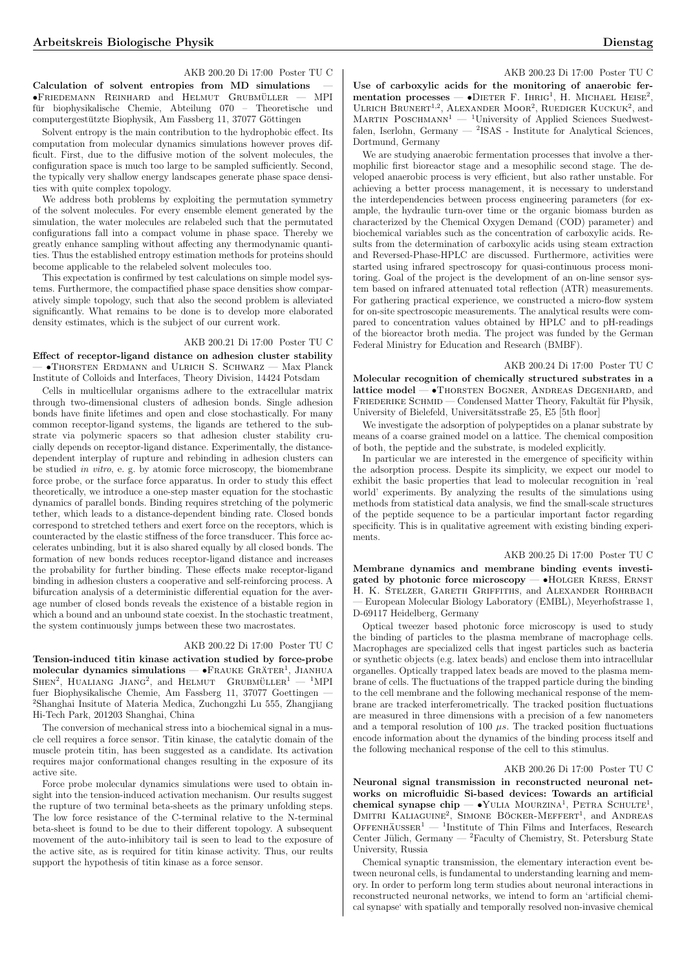# AKB 200.20 Di 17:00 Poster TU C

Calculation of solvent entropies from MD simulations  $\bullet$ Friedemann Reinhard and Helmut Grubmüller — MPI für biophysikalische Chemie, Abteilung 070 – Theoretische und computergestützte Biophysik, Am Fassberg 11, 37077 Göttingen

Solvent entropy is the main contribution to the hydrophobic effect. Its computation from molecular dynamics simulations however proves difficult. First, due to the diffusive motion of the solvent molecules, the configuration space is much too large to be sampled sufficiently. Second, the typically very shallow energy landscapes generate phase space densities with quite complex topology.

We address both problems by exploiting the permutation symmetry of the solvent molecules. For every ensemble element generated by the simulation, the water molecules are relabeled such that the permutated configurations fall into a compact volume in phase space. Thereby we greatly enhance sampling without affecting any thermodynamic quantities. Thus the established entropy estimation methods for proteins should become applicable to the relabeled solvent molecules too.

This expectation is confirmed by test calculations on simple model systems. Furthermore, the compactified phase space densities show comparatively simple topology, such that also the second problem is alleviated significantly. What remains to be done is to develop more elaborated density estimates, which is the subject of our current work.

# AKB 200.21 Di 17:00 Poster TU C

Effect of receptor-ligand distance on adhesion cluster stability — •Thorsten Erdmann and Ulrich S. Schwarz — Max Planck Institute of Colloids and Interfaces, Theory Division, 14424 Potsdam

Cells in multicellular organisms adhere to the extracellular matrix through two-dimensional clusters of adhesion bonds. Single adhesion bonds have finite lifetimes and open and close stochastically. For many common receptor-ligand systems, the ligands are tethered to the substrate via polymeric spacers so that adhesion cluster stability crucially depends on receptor-ligand distance. Experimentally, the distancedependent interplay of rupture and rebinding in adhesion clusters can be studied in vitro, e. g. by atomic force microscopy, the biomembrane force probe, or the surface force apparatus. In order to study this effect theoretically, we introduce a one-step master equation for the stochastic dynamics of parallel bonds. Binding requires stretching of the polymeric tether, which leads to a distance-dependent binding rate. Closed bonds correspond to stretched tethers and exert force on the receptors, which is counteracted by the elastic stiffness of the force transducer. This force accelerates unbinding, but it is also shared equally by all closed bonds. The formation of new bonds reduces receptor-ligand distance and increases the probability for further binding. These effects make receptor-ligand binding in adhesion clusters a cooperative and self-reinforcing process. A bifurcation analysis of a deterministic differential equation for the average number of closed bonds reveals the existence of a bistable region in which a bound and an unbound state coexist. In the stochastic treatment, the system continuously jumps between these two macrostates.

# AKB 200.22 Di 17:00 Poster TU C

Tension-induced titin kinase activation studied by force-probe molecular dynamics simulations — •FRAUKE GRÄTER<sup>1</sup>, JIANHUA  $S$ HEN<sup>2</sup>, HUALIANG JIANG<sup>2</sup>, and HELMUT GRUBMÜLLER<sup>1</sup>  $-$  <sup>1</sup>MPI fuer Biophysikalische Chemie, Am Fassberg 11, 37077 Goettingen — <sup>2</sup>Shanghai Insitute of Materia Medica, Zuchongzhi Lu 555, Zhangjiang Hi-Tech Park, 201203 Shanghai, China

The conversion of mechanical stress into a biochemical signal in a muscle cell requires a force sensor. Titin kinase, the catalytic domain of the muscle protein titin, has been suggested as a candidate. Its activation requires major conformational changes resulting in the exposure of its active site.

Force probe molecular dynamics simulations were used to obtain insight into the tension-induced activation mechanism. Our results suggest the rupture of two terminal beta-sheets as the primary unfolding steps. The low force resistance of the C-terminal relative to the N-terminal beta-sheet is found to be due to their different topology. A subsequent movement of the auto-inhibitory tail is seen to lead to the exposure of the active site, as is required for titin kinase activity. Thus, our reults support the hypothesis of titin kinase as a force sensor.

## AKB 200.23 Di 17:00 Poster TU C

Use of carboxylic acids for the monitoring of anaerobic ferbe of carboxync acids for the momtoring of anaerobic ref-<br>mentation processes — •DIETER F. IHRIG<sup>1</sup>, H. MICHAEL HEISE<sup>2</sup>, ULRICH BRUNERT<sup>1,2</sup>, ALEXANDER MOOR<sup>2</sup>, RUEDIGER KUCKUK<sup>2</sup>, and MARTIN POSCHMANN<sup>1</sup> — <sup>1</sup>University of Applied Sciences Suedwestfalen, Iserlohn, Germany — <sup>2</sup>ISAS - Institute for Analytical Sciences, Dortmund, Germany

We are studying anaerobic fermentation processes that involve a thermophilic first bioreactor stage and a mesophilic second stage. The developed anaerobic process is very efficient, but also rather unstable. For achieving a better process management, it is necessary to understand the interdependencies between process engineering parameters (for example, the hydraulic turn-over time or the organic biomass burden as characterized by the Chemical Oxygen Demand (COD) parameter) and biochemical variables such as the concentration of carboxylic acids. Results from the determination of carboxylic acids using steam extraction and Reversed-Phase-HPLC are discussed. Furthermore, activities were started using infrared spectroscopy for quasi-continuous process monitoring. Goal of the project is the development of an on-line sensor system based on infrared attenuated total reflection (ATR) measurements. For gathering practical experience, we constructed a micro-flow system for on-site spectroscopic measurements. The analytical results were compared to concentration values obtained by HPLC and to pH-readings of the bioreactor broth media. The project was funded by the German Federal Ministry for Education and Research (BMBF).

#### AKB 200.24 Di 17:00 Poster TU C

Molecular recognition of chemically structured substrates in a lattice model — •Thorsten Bogner, Andreas Degenhard, and FRIEDERIKE SCHMID — Condensed Matter Theory, Fakultät für Physik, University of Bielefeld, Universitätsstraße 25, E5 [5th floor]

We investigate the adsorption of polypeptides on a planar substrate by means of a coarse grained model on a lattice. The chemical composition of both, the peptide and the substrate, is modeled explicitly.

In particular we are interested in the emergence of specificity within the adsorption process. Despite its simplicity, we expect our model to exhibit the basic properties that lead to molecular recognition in 'real world' experiments. By analyzing the results of the simulations using methods from statistical data analysis, we find the small-scale structures of the peptide sequence to be a particular important factor regarding specificity. This is in qualitative agreement with existing binding experiments.

# AKB 200.25 Di 17:00 Poster TU C

Membrane dynamics and membrane binding events investigated by photonic force microscopy — •Holger Kress, Ernst H. K. Stelzer, Gareth Griffiths, and Alexander Rohrbach — European Molecular Biology Laboratory (EMBL), Meyerhofstrasse 1, D-69117 Heidelberg, Germany

Optical tweezer based photonic force microscopy is used to study the binding of particles to the plasma membrane of macrophage cells. Macrophages are specialized cells that ingest particles such as bacteria or synthetic objects (e.g. latex beads) and enclose them into intracellular organelles. Optically trapped latex beads are moved to the plasma membrane of cells. The fluctuations of the trapped particle during the binding to the cell membrane and the following mechanical response of the membrane are tracked interferometrically. The tracked position fluctuations are measured in three dimensions with a precision of a few nanometers and a temporal resolution of 100  $\mu s$ . The tracked position fluctuations encode information about the dynamics of the binding process itself and the following mechanical response of the cell to this stimulus.

#### AKB 200.26 Di 17:00 Poster TU C

Neuronal signal transmission in reconstructed neuronal networks on microfluidic Si-based devices: Towards an artificial chemical synapse chip — •YULIA MOURZINA<sup>1</sup>, PETRA SCHULTE<sup>1</sup>, CHEINCAI SYNAPSE CITY — TOLIA MOORZINA, I ETRA SCHOLIE, OFFENHÄUSSER<sup>1</sup> — <sup>1</sup>Institute of Thin Films and Interfaces, Research Center Jülich, Germany — <sup>2</sup>Faculty of Chemistry, St. Petersburg State University, Russia

Chemical synaptic transmission, the elementary interaction event between neuronal cells, is fundamental to understanding learning and memory. In order to perform long term studies about neuronal interactions in reconstructed neuronal networks, we intend to form an 'artificial chemical synapse' with spatially and temporally resolved non-invasive chemical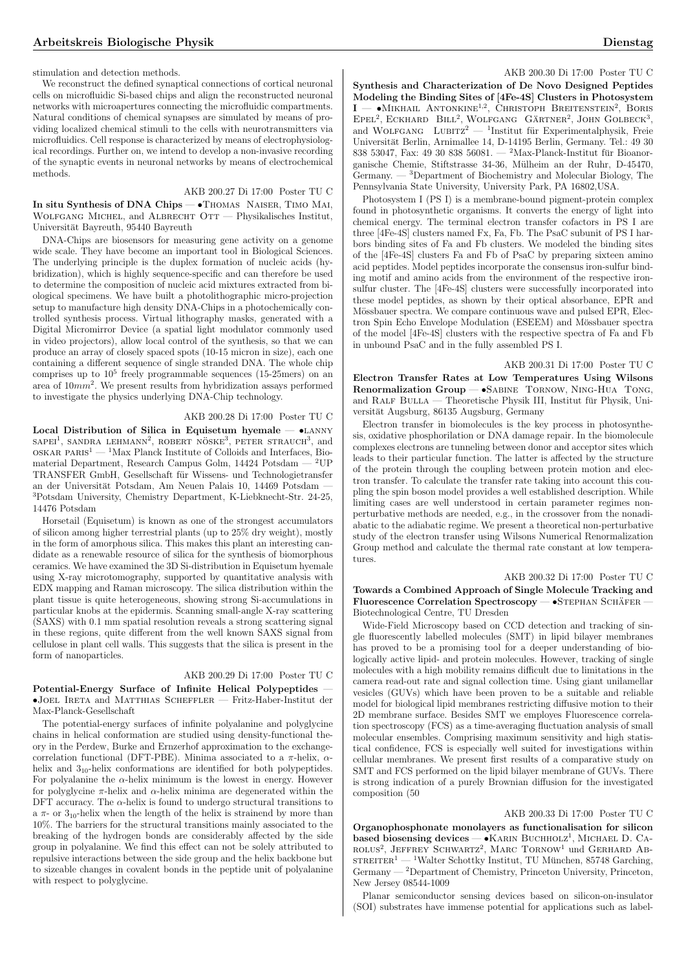stimulation and detection methods.

We reconstruct the defined synaptical connections of cortical neuronal cells on microfluidic Si-based chips and align the reconstructed neuronal networks with microapertures connecting the microfluidic compartments. Natural conditions of chemical synapses are simulated by means of providing localized chemical stimuli to the cells with neurotransmitters via microfluidics. Cell response is characterized by means of electrophysiological recordings. Further on, we intend to develop a non-invasive recording of the synaptic events in neuronal networks by means of electrochemical methods.

# AKB 200.27 Di 17:00 Poster TU C

In situ Synthesis of DNA Chips — •Thomas Naiser, Timo Mai, Wolfgang Michel, and Albrecht Ott — Physikalisches Institut, Universität Bayreuth, 95440 Bayreuth

DNA-Chips are biosensors for measuring gene activity on a genome wide scale. They have become an important tool in Biological Sciences. The underlying principle is the duplex formation of nucleic acids (hybridization), which is highly sequence-specific and can therefore be used to determine the composition of nucleic acid mixtures extracted from biological specimens. We have built a photolithographic micro-projection setup to manufacture high density DNA-Chips in a photochemically controlled synthesis process. Virtual lithography masks, generated with a Digital Micromirror Device (a spatial light modulator commonly used in video projectors), allow local control of the synthesis, so that we can produce an array of closely spaced spots (10-15 micron in size), each one containing a different sequence of single stranded DNA. The whole chip comprises up to  $10^5$  freely programmable sequences (15-25mers) on an area of  $10mm^2$ . We present results from hybridization assays performed to investigate the physics underlying DNA-Chip technology.

#### AKB 200.28 Di 17:00 Poster TU C

Local Distribution of Silica in Equisetum hyemale  $-$  •LANNY  $SAPE1<sup>1</sup>$ , SANDRA LEHMANN<sup>2</sup>, ROBERT NÖSKE<sup>3</sup>, PETER STRAUCH<sup>3</sup>, and  $\text{OSKAR}$  PARIS<sup>1</sup> — <sup>1</sup>Max Planck Institute of Colloids and Interfaces, Biomaterial Department, Research Campus Golm, 14424 Potsdam — <sup>2</sup>UP TRANSFER GmbH, Gesellschaft fur Wissens- und Technologietransfer ¨ an der Universität Potsdam, Am Neuen Palais 10, 14469 Potsdam -<sup>3</sup>Potsdam University, Chemistry Department, K-Liebknecht-Str. 24-25, 14476 Potsdam

Horsetail (Equisetum) is known as one of the strongest accumulators of silicon among higher terrestrial plants (up to 25% dry weight), mostly in the form of amorphous silica. This makes this plant an interesting candidate as a renewable resource of silica for the synthesis of biomorphous ceramics. We have examined the 3D Si-distribution in Equisetum hyemale using X-ray microtomography, supported by quantitative analysis with EDX mapping and Raman microscopy. The silica distribution within the plant tissue is quite heterogeneous, showing strong Si-accumulations in particular knobs at the epidermis. Scanning small-angle X-ray scattering (SAXS) with 0.1 mm spatial resolution reveals a strong scattering signal in these regions, quite different from the well known SAXS signal from cellulose in plant cell walls. This suggests that the silica is present in the form of nanoparticles.

# AKB 200.29 Di 17:00 Poster TU C

Potential-Energy Surface of Infinite Helical Polypeptides — •Joel Ireta and Matthias Scheffler — Fritz-Haber-Institut der Max-Planck-Gesellschaft

The potential-energy surfaces of infinite polyalanine and polyglycine chains in helical conformation are studied using density-functional theory in the Perdew, Burke and Ernzerhof approximation to the exchangecorrelation functional (DFT-PBE). Minima associated to a  $\pi$ -helix,  $\alpha$ helix and 3<sub>10</sub>-helix conformations are identified for both polypeptides. For polyalanine the  $\alpha$ -helix minimum is the lowest in energy. However for polyglycine  $\pi$ -helix and  $\alpha$ -helix minima are degenerated within the DFT accuracy. The  $\alpha$ -helix is found to undergo structural transitions to a  $\pi$ - or 3<sub>10</sub>-helix when the length of the helix is strainend by more than 10%. The barriers for the structural transitions mainly associated to the breaking of the hydrogen bonds are considerably affected by the side group in polyalanine. We find this effect can not be solely attributed to repulsive interactions between the side group and the helix backbone but to sizeable changes in covalent bonds in the peptide unit of polyalanine with respect to polyglycine.

#### AKB 200.30 Di 17:00 Poster TU C

Synthesis and Characterization of De Novo Designed Peptides Modeling the Binding Sites of [4Fe-4S] Clusters in Photosystem  $I - \bullet M$ IKHAIL ANTONKINE<sup>1,2</sup>, CHRISTOPH BREITENSTEIN<sup>2</sup>, BORIS EPEL<sup>2</sup>, ECKHARD BILL<sup>2</sup>, WOLFGANG GÄRTNER<sup>2</sup>, JOHN GOLBECK<sup>3</sup>,  $EPEL$ ; ECKHAKD DILL; WOLFGANG GAKTNEK; JOHN GOLBECK; Universität Berlin, Arnimallee 14, D-14195 Berlin, Germany. Tel.: 49 30 838 53047, Fax: 49 30 838 56081. — <sup>2</sup>Max-Planck-Institut für Bioanorganische Chemie, Stiftstrasse 34-36, Mülheim an der Ruhr, D-45470,  $\mathrm{German}y = 3$ Department of Biochemistry and Molecular Biology, The Pennsylvania State University, University Park, PA 16802,USA.

Photosystem I (PS I) is a membrane-bound pigment-protein complex found in photosynthetic organisms. It converts the energy of light into chemical energy. The terminal electron transfer cofactors in PS I are three [4Fe-4S] clusters named Fx, Fa, Fb. The PsaC subunit of PS I harbors binding sites of Fa and Fb clusters. We modeled the binding sites of the [4Fe-4S] clusters Fa and Fb of PsaC by preparing sixteen amino acid peptides. Model peptides incorporate the consensus iron-sulfur binding motif and amino acids from the environment of the respective ironsulfur cluster. The [4Fe-4S] clusters were successfully incorporated into these model peptides, as shown by their optical absorbance, EPR and Mössbauer spectra. We compare continuous wave and pulsed EPR, Electron Spin Echo Envelope Modulation (ESEEM) and Mössbauer spectra of the model [4Fe-4S] clusters with the respective spectra of Fa and Fb in unbound PsaC and in the fully assembled PS I.

#### AKB 200.31 Di 17:00 Poster TU C

Electron Transfer Rates at Low Temperatures Using Wilsons Renormalization Group - SABINE TORNOW, NING-HUA TONG, and RALF BULLA — Theoretische Physik III, Institut für Physik, Universität Augsburg, 86135 Augsburg, Germany

Electron transfer in biomolecules is the key process in photosynthesis, oxidative phosphorilation or DNA damage repair. In the biomolecule complexes electrons are tunneling between donor and acceptor sites which leads to their particular function. The latter is affected by the structure of the protein through the coupling between protein motion and electron transfer. To calculate the transfer rate taking into account this coupling the spin boson model provides a well established description. While limiting cases are well understood in certain parameter regimes nonperturbative methods are needed, e.g., in the crossover from the nonadiabatic to the adiabatic regime. We present a theoretical non-perturbative study of the electron transfer using Wilsons Numerical Renormalization Group method and calculate the thermal rate constant at low temperatures.

# AKB 200.32 Di 17:00 Poster TU C Towards a Combined Approach of Single Molecule Tracking and  $F$ luorescence Correlation Spectroscopy — •STEPHAN SCHÄFER Biotechnological Centre, TU Dresden

Wide-Field Microscopy based on CCD detection and tracking of single fluorescently labelled molecules (SMT) in lipid bilayer membranes has proved to be a promising tool for a deeper understanding of biologically active lipid- and protein molecules. However, tracking of single molecules with a high mobility remains difficult due to limitations in the camera read-out rate and signal collection time. Using giant unilamellar vesicles (GUVs) which have been proven to be a suitable and reliable model for biological lipid membranes restricting diffusive motion to their 2D membrane surface. Besides SMT we employes Fluorescence correlation spectroscopy (FCS) as a time-averaging fluctuation analysis of small molecular ensembles. Comprising maximum sensitivity and high statistical confidence, FCS is especially well suited for investigations within cellular membranes. We present first results of a comparative study on SMT and FCS performed on the lipid bilayer membrane of GUVs. There is strong indication of a purely Brownian diffusion for the investigated composition (50

### AKB 200.33 Di 17:00 Poster TU C

Organophosphonate monolayers as functionalisation for silicon organophosphonate monolayers as functionalisation for sincon<br>based biosensing devices — •KARIN BUCHHOLZ<sup>1</sup>, MICHAEL D. CA-Dased Diosensing devices — CAARIN DUCHHOLZ, MICHAEL D. CA-<br>ROLUS<sup>2</sup>, JEFFREY SCHWARTZ<sup>2</sup>, MARC TORNOW<sup>1</sup> und GERHARD AB $s$ TREITER<sup>1</sup> — <sup>1</sup>Walter Schottky Institut, TU München, 85748 Garching, Germany — <sup>2</sup>Department of Chemistry, Princeton University, Princeton, New Jersey 08544-1009

Planar semiconductor sensing devices based on silicon-on-insulator (SOI) substrates have immense potential for applications such as label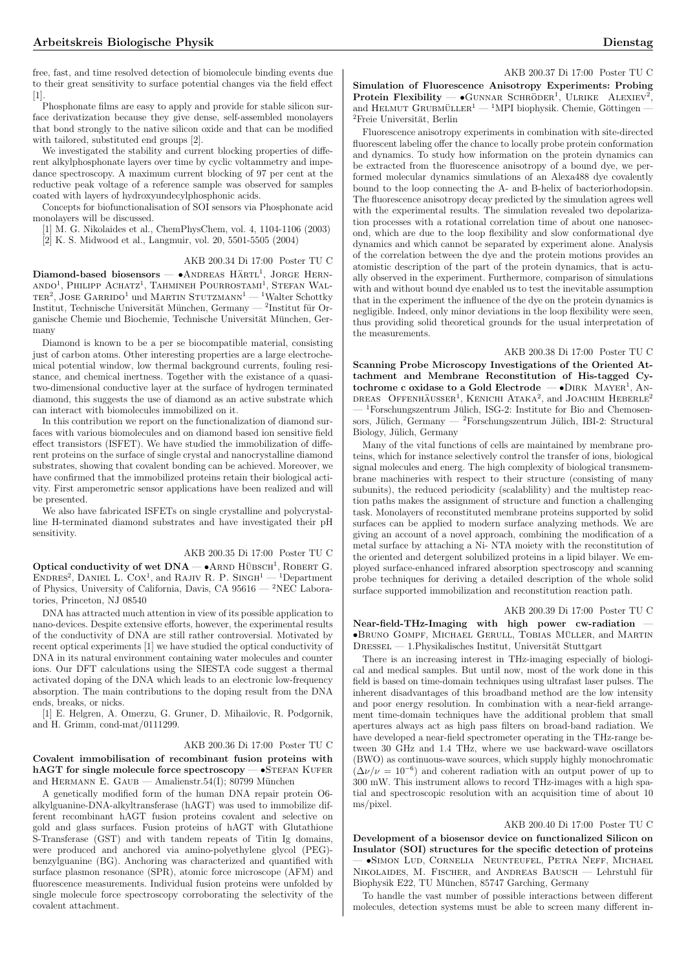free, fast, and time resolved detection of biomolecule binding events due to their great sensitivity to surface potential changes via the field effect [1].

Phosphonate films are easy to apply and provide for stable silicon surface derivatization because they give dense, self-assembled monolayers that bond strongly to the native silicon oxide and that can be modified with tailored, substituted end groups [2].

We investigated the stability and current blocking properties of different alkylphosphonate layers over time by cyclic voltammetry and impedance spectroscopy. A maximum current blocking of 97 per cent at the reductive peak voltage of a reference sample was observed for samples coated with layers of hydroxyundecylphosphonic acids.

Concepts for biofunctionalisation of SOI sensors via Phosphonate acid monolayers will be discussed.

[1] M. G. Nikolaides et al., ChemPhysChem, vol. 4, 1104-1106 (2003) [2] K. S. Midwood et al., Langmuir, vol. 20, 5501-5505 (2004)

# AKB 200.34 Di 17:00 Poster TU C

Diamond-based biosensors — ●ANDREAS HÄRTL<sup>1</sup>, JORGE HERN-<br>ANDO<sup>1</sup>, PHILIPP ACHATZ<sup>1</sup>, TAHMINEH POURROSTAMI<sup>1</sup>, STEFAN WAL $t_{\text{H}}$ , Jose Garrido<sup>1</sup> und Martin Stutzmann<sup>1</sup> — <sup>1</sup>Walter Schottky Institut, Technische Universität München, Germany — <sup>2</sup>Institut für Organische Chemie und Biochemie, Technische Universität München, Germany

Diamond is known to be a per se biocompatible material, consisting just of carbon atoms. Other interesting properties are a large electrochemical potential window, low thermal background currents, fouling resistance, and chemical inertness. Together with the existance of a quasitwo-dimensional conductive layer at the surface of hydrogen terminated diamond, this suggests the use of diamond as an active substrate which can interact with biomolecules immobilized on it.

In this contribution we report on the functionalization of diamond surfaces with various biomolecules and on diamond based ion sensitive field effect transistors (ISFET). We have studied the immobilization of different proteins on the surface of single crystal and nanocrystalline diamond substrates, showing that covalent bonding can be achieved. Moreover, we have confirmed that the immobilized proteins retain their biological activity. First amperometric sensor applications have been realized and will be presented.

We also have fabricated ISFETs on single crystalline and polycrystalline H-terminated diamond substrates and have investigated their pH sensitivity.

# AKB 200.35 Di 17:00 Poster TU C

Optical conductivity of wet  $DNA - \bullet$ ARND HÜBSCH<sup>1</sup>, ROBERT G. ENDRES<sup>2</sup>, DANIEL L. COX<sup>1</sup>, and RAJIV R. P. SINGH<sup>1</sup> — <sup>1</sup>Department of Physics, University of California, Davis, CA 95616 — <sup>2</sup>NEC Laboratories, Princeton, NJ 08540

DNA has attracted much attention in view of its possible application to nano-devices. Despite extensive efforts, however, the experimental results of the conductivity of DNA are still rather controversial. Motivated by recent optical experiments [1] we have studied the optical conductivity of DNA in its natural environment containing water molecules and counter ions. Our DFT calculations using the SIESTA code suggest a thermal activated doping of the DNA which leads to an electronic low-frequency absorption. The main contributions to the doping result from the DNA ends, breaks, or nicks.

[1] E. Helgren, A. Omerzu, G. Gruner, D. Mihailovic, R. Podgornik, and H. Grimm, cond-mat/0111299.

# AKB 200.36 Di 17:00 Poster TU C

Covalent immobilisation of recombinant fusion proteins with hAGT for single molecule force spectroscopy  $-$  •STEFAN KUFER and HERMANN E. GAUB — Amalienstr.54(I); 80799 München

A genetically modified form of the human DNA repair protein O6 alkylguanine-DNA-alkyltransferase (hAGT) was used to immobilize different recombinant hAGT fusion proteins covalent and selective on gold and glass surfaces. Fusion proteins of hAGT with Glutathione S-Transferase (GST) and with tandem repeats of Titin Ig domains, were produced and anchored via amino-polyethylene glycol (PEG) benzylguanine (BG). Anchoring was characterized and quantified with surface plasmon resonance (SPR), atomic force microscope (AFM) and fluorescence measurements. Individual fusion proteins were unfolded by single molecule force spectroscopy corroborating the selectivity of the covalent attachment.

AKB 200.37 Di 17:00 Poster TU C

Simulation of Fluorescence Anisotropy Experiments: Probing  $\frac{1}{2}$ Protein Flexibility —  $\bullet$ GUNNAR SCHRÖDER<sup>1</sup>, ULRIKE ALEXIEV<sup>2</sup> **Protein Flexibility — •**GUNNAR SCHRÖDER<sup>1</sup>, ULRIKE ALEXIEV<sup>2</sup>, and HELMUT GRUBMÜLLER<sup>1</sup> — <sup>1</sup>MPI biophysik. Chemie, Göttingen —  ${}^{2}$ Freie Universität, Berlin

Fluorescence anisotropy experiments in combination with site-directed fluorescent labeling offer the chance to locally probe protein conformation and dynamics. To study how information on the protein dynamics can be extracted from the fluorescence anisotropy of a bound dye, we performed molecular dynamics simulations of an Alexa488 dye covalently bound to the loop connecting the A- and B-helix of bacteriorhodopsin. The fluorescence anisotropy decay predicted by the simulation agrees well with the experimental results. The simulation revealed two depolarization processes with a rotational correlation time of about one nanosecond, which are due to the loop flexibility and slow conformational dye dynamics and which cannot be separated by experiment alone. Analysis of the correlation between the dye and the protein motions provides an atomistic description of the part of the protein dynamics, that is actually observed in the experiment. Furthermore, comparison of simulations with and without bound dye enabled us to test the inevitable assumption that in the experiment the influence of the dye on the protein dynamics is negligible. Indeed, only minor deviations in the loop flexibility were seen, thus providing solid theoretical grounds for the usual interpretation of the measurements.

### AKB 200.38 Di 17:00 Poster TU C

Scanning Probe Microscopy Investigations of the Oriented Attachment and Membrane Reconstitution of His-tagged Cytochrome c oxidase to a Gold Electrode  $-$  •DIRK MAYER<sup>1</sup>, AN-DREAS OFFENHÄUSSER<sup>1</sup>, KENICHI ATAKA<sup>2</sup>, and JOACHIM HEBERLE<sup>2</sup>  ${}^{1}$ Forschungszentrum Jülich, ISG-2: Institute for Bio and Chemosensors, Jülich, Germany — <sup>2</sup>Forschungszentrum Jülich, IBI-2: Structural Biology, Jülich, Germany

Many of the vital functions of cells are maintained by membrane proteins, which for instance selectively control the transfer of ions, biological signal molecules and energ. The high complexity of biological transmembrane machineries with respect to their structure (consisting of many subunits), the reduced periodicity (scalablility) and the multistep reaction paths makes the assignment of structure and function a challenging task. Monolayers of reconstituted membrane proteins supported by solid surfaces can be applied to modern surface analyzing methods. We are giving an account of a novel approach, combining the modification of a metal surface by attaching a Ni- NTA moiety with the reconstitution of the oriented and detergent solubilized proteins in a lipid bilayer. We employed surface-enhanced infrared absorption spectroscopy and scanning probe techniques for deriving a detailed description of the whole solid surface supported immobilization and reconstitution reaction path.

# AKB 200.39 Di 17:00 Poster TU C

Near-field-THz-Imaging with high power cw-radiation — •Bruno Gompf, Michael Gerull, Tobias Muller ¨ , and Martin  $D$ RESSEL — 1.Physikalisches Institut, Universität Stuttgart

There is an increasing interest in THz-imaging especially of biological and medical samples. But until now, most of the work done in this field is based on time-domain techniques using ultrafast laser pulses. The inherent disadvantages of this broadband method are the low intensity and poor energy resolution. In combination with a near-field arrangement time-domain techniques have the additional problem that small apertures always act as high pass filters on broad-band radiation. We have developed a near-field spectrometer operating in the THz-range between 30 GHz and 1.4 THz, where we use backward-wave oscillators (BWO) as continuous-wave sources, which supply highly monochromatic  $(\Delta \nu/\nu = 10^{-6})$  and coherent radiation with an output power of up to 300 mW. This instrument allows to record THz-images with a high spatial and spectroscopic resolution with an acquisition time of about 10 ms/pixel.

## AKB 200.40 Di 17:00 Poster TU C

Development of a biosensor device on functionalized Silicon on Insulator (SOI) structures for the specific detection of proteins — •Simon Lud, Cornelia Neunteufel, Petra Neff, Michael NIKOLAIDES, M. FISCHER, and ANDREAS BAUSCH — Lehrstuhl für Biophysik E22, TU München, 85747 Garching, Germany

To handle the vast number of possible interactions between different molecules, detection systems must be able to screen many different in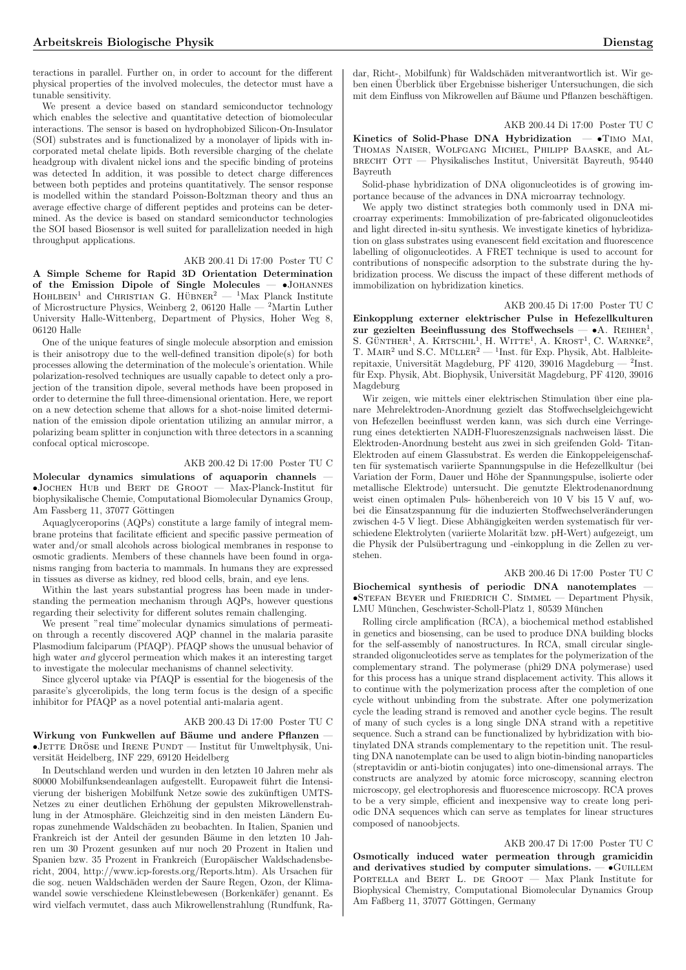teractions in parallel. Further on, in order to account for the different physical properties of the involved molecules, the detector must have a tunable sensitivity.

We present a device based on standard semiconductor technology which enables the selective and quantitative detection of biomolecular interactions. The sensor is based on hydrophobized Silicon-On-Insulator (SOI) substrates and is functionalized by a monolayer of lipids with incorporated metal chelate lipids. Both reversible charging of the chelate headgroup with divalent nickel ions and the specific binding of proteins was detected In addition, it was possible to detect charge differences between both peptides and proteins quantitatively. The sensor response is modelled within the standard Poisson-Boltzman theory and thus an average effective charge of different peptides and proteins can be determined. As the device is based on standard semiconductor technologies the SOI based Biosensor is well suited for parallelization needed in high throughput applications.

# AKB 200.41 Di 17:00 Poster TU C

A Simple Scheme for Rapid 3D Orientation Determination of the Emission Dipole of Single Molecules — •Johannes  $H$ OHLBEIN<sup>1</sup> and CHRISTIAN G. HÜBNER<sup>2</sup> — <sup>1</sup>Max Planck Institute of Microstructure Physics, Weinberg 2, 06120 Halle — <sup>2</sup>Martin Luther University Halle-Wittenberg, Department of Physics, Hoher Weg 8, 06120 Halle

One of the unique features of single molecule absorption and emission is their anisotropy due to the well-defined transition dipole(s) for both processes allowing the determination of the molecule's orientation. While polarization-resolved techniques are usually capable to detect only a projection of the transition dipole, several methods have been proposed in order to determine the full three-dimensional orientation. Here, we report on a new detection scheme that allows for a shot-noise limited determination of the emission dipole orientation utilizing an annular mirror, a polarizing beam splitter in conjunction with three detectors in a scanning confocal optical microscope.

# AKB 200.42 Di 17:00 Poster TU C

Molecular dynamics simulations of aquaporin channels —  $\bullet$ JOCHEN HUB und BERT DE GROOT — Max-Planck-Institut für biophysikalische Chemie, Computational Biomolecular Dynamics Group, Am Fassberg 11, 37077 Göttingen

Aquaglyceroporins (AQPs) constitute a large family of integral membrane proteins that facilitate efficient and specific passive permeation of water and/or small alcohols across biological membranes in response to osmotic gradients. Members of these channels have been found in organisms ranging from bacteria to mammals. In humans they are expressed in tissues as diverse as kidney, red blood cells, brain, and eye lens.

Within the last years substantial progress has been made in understanding the permeation mechanism through AQPs, however questions regarding their selectivity for different solutes remain challenging.

We present "real time"molecular dynamics simulations of permeation through a recently discovered AQP channel in the malaria parasite Plasmodium falciparum (PfAQP). PfAQP shows the unusual behavior of high water and glycerol permeation which makes it an interesting target to investigate the molecular mechanisms of channel selectivity.

Since glycerol uptake via PfAQP is essential for the biogenesis of the parasite's glycerolipids, the long term focus is the design of a specific inhibitor for PfAQP as a novel potential anti-malaria agent.

### AKB 200.43 Di 17:00 Poster TU C

Wirkung von Funkwellen auf Bäume und andere Pflanzen - $\bullet$ JETTE DRÖSE und IRENE PUNDT — Institut für Umweltphysik, Universität Heidelberg, INF 229, 69120 Heidelberg

In Deutschland werden und wurden in den letzten 10 Jahren mehr als 80000 Mobilfunksendeanlagen aufgestellt. Europaweit führt die Intensivierung der bisherigen Mobilfunk Netze sowie des zukünftigen UMTS-Netzes zu einer deutlichen Erhöhung der gepulsten Mikrowellenstrahlung in der Atmosphäre. Gleichzeitig sind in den meisten Ländern Europas zunehmende Waldsch¨aden zu beobachten. In Italien, Spanien und Frankreich ist der Anteil der gesunden Bäume in den letzten 10 Jahren um 30 Prozent gesunken auf nur noch 20 Prozent in Italien und Spanien bzw. 35 Prozent in Frankreich (Europäischer Waldschadensbericht, 2004, http://www.icp-forests.org/Reports.htm). Als Ursachen für die sog. neuen Waldschäden werden der Saure Regen, Ozon, der Klimawandel sowie verschiedene Kleinstlebewesen (Borkenkäfer) genannt. Es wird vielfach vermutet, dass auch Mikrowellenstrahlung (Rundfunk, Ra-

dar, Richt-, Mobilfunk) für Waldschäden mitverantwortlich ist. Wir geben einen Überblick über Ergebnisse bisheriger Untersuchungen, die sich mit dem Einfluss von Mikrowellen auf Bäume und Pflanzen beschäftigen.

AKB 200.44 Di 17:00 Poster TU C

Kinetics of Solid-Phase DNA Hybridization  $-$  •Timo MAI, Thomas Naiser, Wolfgang Michel, Philipp Baaske, and Al-BRECHT OTT — Physikalisches Institut, Universität Bayreuth, 95440 Bayreuth

Solid-phase hybridization of DNA oligonucleotides is of growing importance because of the advances in DNA microarray technology.

We apply two distinct strategies both commonly used in DNA microarray experiments: Immobilization of pre-fabricated oligonucleotides and light directed in-situ synthesis. We investigate kinetics of hybridization on glass substrates using evanescent field excitation and fluorescence labelling of oligonucleotides. A FRET technique is used to account for contributions of nonspecific adsorption to the substrate during the hybridization process. We discuss the impact of these different methods of immobilization on hybridization kinetics.

AKB 200.45 Di 17:00 Poster TU C

Einkopplung externer elektrischer Pulse in Hefezellkulturen zur gezielten Beeinflussung des Stoffwechsels — •A. REIHER<sup>1</sup>, S. GÜNTHER<sup>1</sup>, A. KRTSCHIL<sup>1</sup>, H. WITTE<sup>1</sup>, A. KROST<sup>1</sup>, C. WARNKE<sup>2</sup>,  $T.$  MAIR $^2$  und S.C. MÜLLER $^2 - 1$ Inst. für Exp. Physik, Abt. Halbleiterepitaxie, Universität Magdeburg, PF 4120, 39016 Magdeburg —  $^2$ Inst. für Exp. Physik, Abt. Biophysik, Universität Magdeburg, PF 4120, 39016 Magdeburg

Wir zeigen, wie mittels einer elektrischen Stimulation über eine planare Mehrelektroden-Anordnung gezielt das Stoffwechselgleichgewicht von Hefezellen beeinflusst werden kann, was sich durch eine Verringerung eines detektierten NADH-Fluoreszenzsignals nachweisen lässt. Die Elektroden-Anordnung besteht aus zwei in sich greifenden Gold- Titan-Elektroden auf einem Glassubstrat. Es werden die Einkoppeleigenschaften für systematisch variierte Spannungspulse in die Hefezellkultur (bei Variation der Form, Dauer und Höhe der Spannungspulse, isolierte oder metallische Elektrode) untersucht. Die genutzte Elektrodenanordnung weist einen optimalen Puls- höhenbereich von 10 V bis 15 V auf, wobei die Einsatzspannung für die induzierten Stoffwechselveränderungen zwischen 4-5 V liegt. Diese Abhängigkeiten werden systematisch für verschiedene Elektrolyten (variierte Molarität bzw. pH-Wert) aufgezeigt, um die Physik der Pulsübertragung und -einkopplung in die Zellen zu verstehen.

#### AKB 200.46 Di 17:00 Poster TU C

Biochemical synthesis of periodic DNA nanotemplates — •Stefan Beyer und Friedrich C. Simmel — Department Physik,  $\mathop{\hbox{\rm LMU}}$  München, Geschwister-Scholl-Platz 1, 80539 München

Rolling circle amplification (RCA), a biochemical method established in genetics and biosensing, can be used to produce DNA building blocks for the self-assembly of nanostructures. In RCA, small circular singlestranded oligonucleotides serve as templates for the polymerization of the complementary strand. The polymerase (phi29 DNA polymerase) used for this process has a unique strand displacement activity. This allows it to continue with the polymerization process after the completion of one cycle without unbinding from the substrate. After one polymerization cycle the leading strand is removed and another cycle begins. The result of many of such cycles is a long single DNA strand with a repetitive sequence. Such a strand can be functionalized by hybridization with biotinylated DNA strands complementary to the repetition unit. The resulting DNA nanotemplate can be used to align biotin-binding nanoparticles (streptavidin or anti-biotin conjugates) into one-dimensional arrays. The constructs are analyzed by atomic force microscopy, scanning electron microscopy, gel electrophoresis and fluorescence microscopy. RCA proves to be a very simple, efficient and inexpensive way to create long periodic DNA sequences which can serve as templates for linear structures composed of nanoobjects.

#### AKB 200.47 Di 17:00 Poster TU C

Osmotically induced water permeation through gramicidin and derivatives studied by computer simulations.  $\bullet$  GUILLEM PORTELLA and BERT L. DE GROOT — Max Plank Institute for Biophysical Chemistry, Computational Biomolecular Dynamics Group Am Faßberg 11, 37077 Göttingen, Germany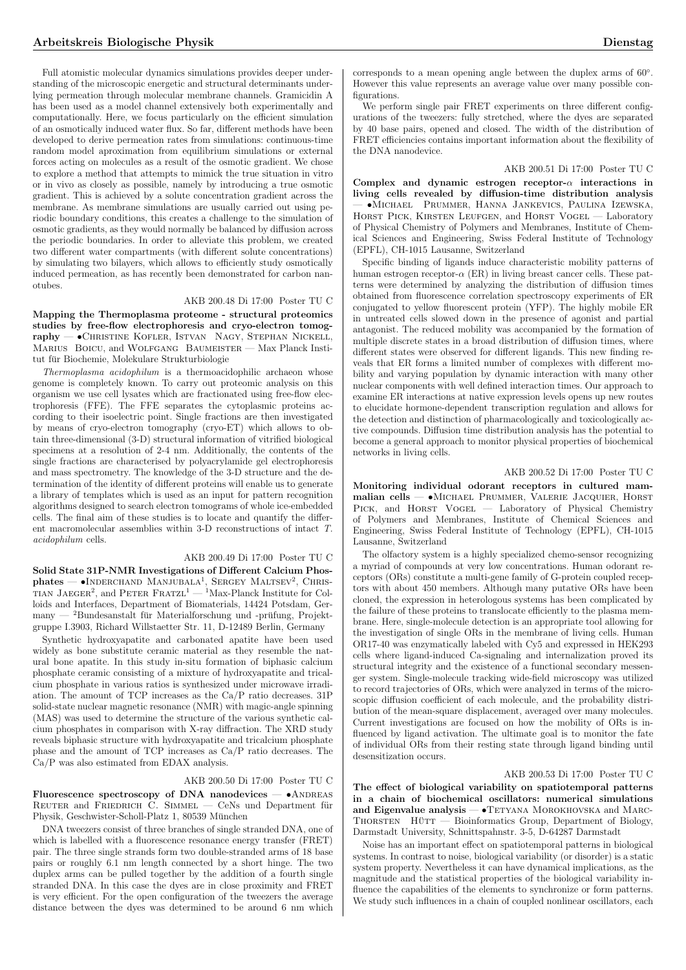Full atomistic molecular dynamics simulations provides deeper understanding of the microscopic energetic and structural determinants underlying permeation through molecular membrane channels. Gramicidin A has been used as a model channel extensively both experimentally and computationally. Here, we focus particularly on the efficient simulation of an osmotically induced water flux. So far, different methods have been developed to derive permeation rates from simulations: continuous-time random model aproximation from equilibrium simulations or external forces acting on molecules as a result of the osmotic gradient. We chose to explore a method that attempts to mimick the true situation in vitro or in vivo as closely as possible, namely by introducing a true osmotic gradient. This is achieved by a solute concentration gradient across the membrane. As membrane simulations are usually carried out using periodic boundary conditions, this creates a challenge to the simulation of osmotic gradients, as they would normally be balanced by diffusion across the periodic boundaries. In order to alleviate this problem, we created two different water compartments (with different solute concentrations) by simulating two bilayers, which allows to efficiently study osmotically induced permeation, as has recently been demonstrated for carbon nanotubes.

# AKB 200.48 Di 17:00 Poster TU C

Mapping the Thermoplasma proteome - structural proteomics studies by free-flow electrophoresis and cryo-electron tomography — •Christine Kofler, Istvan Nagy, Stephan Nickell, MARIUS BOICU, and WOLFGANG BAUMEISTER — Max Planck Institut für Biochemie, Molekulare Strukturbiologie

Thermoplasma acidophilum is a thermoacidophilic archaeon whose genome is completely known. To carry out proteomic analysis on this organism we use cell lysates which are fractionated using free-flow electrophoresis (FFE). The FFE separates the cytoplasmic proteins according to their isoelectric point. Single fractions are then investigated by means of cryo-electron tomography (cryo-ET) which allows to obtain three-dimensional (3-D) structural information of vitrified biological specimens at a resolution of 2-4 nm. Additionally, the contents of the single fractions are characterised by polyacrylamide gel electrophoresis and mass spectrometry. The knowledge of the 3-D structure and the determination of the identity of different proteins will enable us to generate a library of templates which is used as an input for pattern recognition algorithms designed to search electron tomograms of whole ice-embedded cells. The final aim of these studies is to locate and quantify the different macromolecular assemblies within 3-D reconstructions of intact T. acidophilum cells.

#### AKB 200.49 Di 17:00 Poster TU C

Solid State 31P-NMR Investigations of Different Calcium Phos-Sond State SIT-INMA Investigations of Different Cartum Thos-<br>phates — •INDERCHAND MANJUBALA<sup>1</sup>, SERGEY MALTSEV<sup>2</sup>, CHRIS-<br>TIAN JAEGER<sup>2</sup>, and PETER FRATZL<sup>1</sup> — <sup>1</sup>Max-Planck Institute for Colloids and Interfaces, Department of Biomaterials, 14424 Potsdam, Ger $m$ anv — <sup>2</sup>Bundesanstalt für Materialforschung und -prüfung, Projektgruppe I.3903, Richard Willstaetter Str. 11, D-12489 Berlin, Germany

Synthetic hydroxyapatite and carbonated apatite have been used widely as bone substitute ceramic material as they resemble the natural bone apatite. In this study in-situ formation of biphasic calcium phosphate ceramic consisting of a mixture of hydroxyapatite and tricalcium phosphate in various ratios is synthesized under microwave irradiation. The amount of TCP increases as the Ca/P ratio decreases. 31P solid-state nuclear magnetic resonance (NMR) with magic-angle spinning (MAS) was used to determine the structure of the various synthetic calcium phosphates in comparison with X-ray diffraction. The XRD study reveals biphasic structure with hydroxyapatite and tricalcium phosphate phase and the amount of TCP increases as Ca/P ratio decreases. The Ca/P was also estimated from EDAX analysis.

## AKB 200.50 Di 17:00 Poster TU C

Fluorescence spectroscopy of DNA nanodevices  $- \bullet$ ANDREAS REUTER and FRIEDRICH  $\overline{C}$ . SIMMEL — CeNs und Department für Physik, Geschwister-Scholl-Platz 1, 80539 Munchen ¨

DNA tweezers consist of three branches of single stranded DNA, one of which is labelled with a fluorescence resonance energy transfer (FRET) pair. The three single strands form two double-stranded arms of 18 base pairs or roughly 6.1 nm length connected by a short hinge. The two duplex arms can be pulled together by the addition of a fourth single stranded DNA. In this case the dyes are in close proximity and FRET is very efficient. For the open configuration of the tweezers the average distance between the dyes was determined to be around 6 nm which

corresponds to a mean opening angle between the duplex arms of 60◦ . However this value represents an average value over many possible configurations.

We perform single pair FRET experiments on three different configurations of the tweezers: fully stretched, where the dyes are separated by 40 base pairs, opened and closed. The width of the distribution of FRET efficiencies contains important information about the flexibility of the DNA nanodevice.

#### AKB 200.51 Di 17:00 Poster TU C

Complex and dynamic estrogen receptor-α interactions in living cells revealed by diffusion-time distribution analysis — •Michael Prummer, Hanna Jankevics, Paulina Izewska, HORST PICK, KIRSTEN LEUFGEN, and HORST VOGEL - Laboratory of Physical Chemistry of Polymers and Membranes, Institute of Chemical Sciences and Engineering, Swiss Federal Institute of Technology (EPFL), CH-1015 Lausanne, Switzerland

Specific binding of ligands induce characteristic mobility patterns of human estrogen receptor- $\alpha$  (ER) in living breast cancer cells. These patterns were determined by analyzing the distribution of diffusion times obtained from fluorescence correlation spectroscopy experiments of ER conjugated to yellow fluorescent protein (YFP). The highly mobile ER in untreated cells slowed down in the presence of agonist and partial antagonist. The reduced mobility was accompanied by the formation of multiple discrete states in a broad distribution of diffusion times, where different states were observed for different ligands. This new finding reveals that ER forms a limited number of complexes with different mobility and varying population by dynamic interaction with many other nuclear components with well defined interaction times. Our approach to examine ER interactions at native expression levels opens up new routes to elucidate hormone-dependent transcription regulation and allows for the detection and distinction of pharmacologically and toxicologically active compounds. Diffusion time distribution analysis has the potential to become a general approach to monitor physical properties of biochemical networks in living cells.

## AKB 200.52 Di 17:00 Poster TU C

Monitoring individual odorant receptors in cultured mammalian cells — •Michael Prummer, Valerie Jacquier, Horst PICK, and HORST VOGEL — Laboratory of Physical Chemistry of Polymers and Membranes, Institute of Chemical Sciences and Engineering, Swiss Federal Institute of Technology (EPFL), CH-1015 Lausanne, Switzerland

The olfactory system is a highly specialized chemo-sensor recognizing a myriad of compounds at very low concentrations. Human odorant receptors (ORs) constitute a multi-gene family of G-protein coupled receptors with about 450 members. Although many putative ORs have been cloned, the expression in heterologous systems has been complicated by the failure of these proteins to translocate efficiently to the plasma membrane. Here, single-molecule detection is an appropriate tool allowing for the investigation of single ORs in the membrane of living cells. Human OR17-40 was enzymatically labeled with Cy5 and expressed in HEK293 cells where ligand-induced Ca-signaling and internalization proved its structural integrity and the existence of a functional secondary messenger system. Single-molecule tracking wide-field microscopy was utilized to record trajectories of ORs, which were analyzed in terms of the microscopic diffusion coefficient of each molecule, and the probability distribution of the mean-square displacement, averaged over many molecules. Current investigations are focused on how the mobility of ORs is influenced by ligand activation. The ultimate goal is to monitor the fate of individual ORs from their resting state through ligand binding until desensitization occurs.

#### AKB 200.53 Di 17:00 Poster TU C

The effect of biological variability on spatiotemporal patterns in a chain of biochemical oscillators: numerical simulations and Eigenvalue analysis  $-\bullet$  TETYANA MOROKHOVSKA and MARC-THORSTEN HÜTT — Bioinformatics Group, Department of Biology, Darmstadt University, Schnittspahnstr. 3-5, D-64287 Darmstadt

Noise has an important effect on spatiotemporal patterns in biological systems. In contrast to noise, biological variability (or disorder) is a static system property. Nevertheless it can have dynamical implications, as the magnitude and the statistical properties of the biological variability influence the capabilities of the elements to synchronize or form patterns. We study such influences in a chain of coupled nonlinear oscillators, each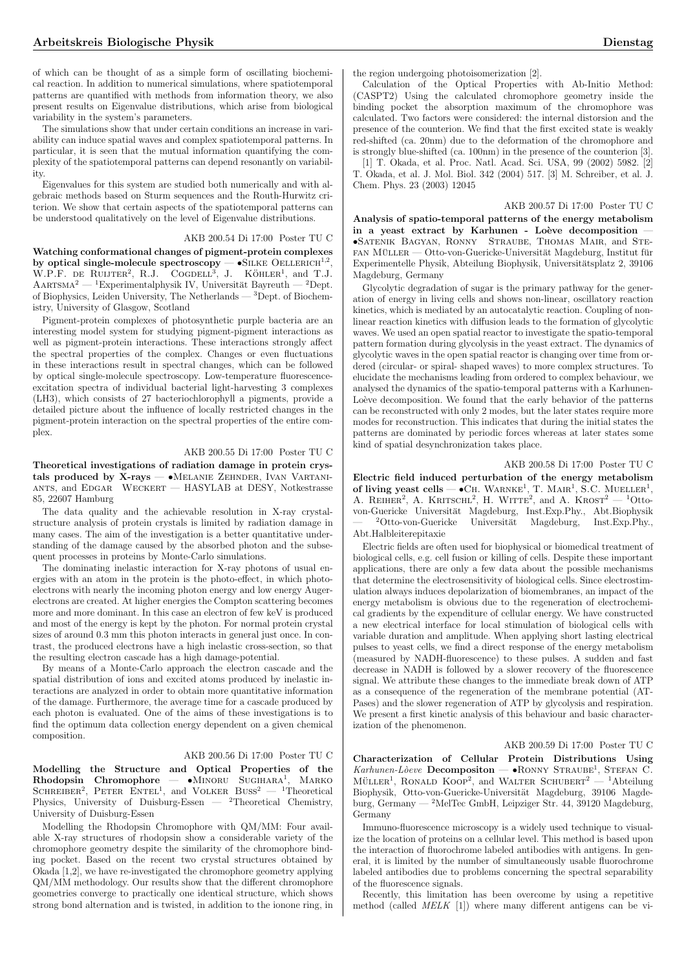of which can be thought of as a simple form of oscillating biochemical reaction. In addition to numerical simulations, where spatiotemporal patterns are quantified with methods from information theory, we also present results on Eigenvalue distributions, which arise from biological variability in the system's parameters.

The simulations show that under certain conditions an increase in variability can induce spatial waves and complex spatiotemporal patterns. In particular, it is seen that the mutual information quantifying the complexity of the spatiotemporal patterns can depend resonantly on variability.

Eigenvalues for this system are studied both numerically and with algebraic methods based on Sturm sequences and the Routh-Hurwitz criterion. We show that certain aspects of the spatiotemporal patterns can be understood qualitatively on the level of Eigenvalue distributions.

## AKB 200.54 Di 17:00 Poster TU C

Watching conformational changes of pigment-protein complexes watching comormational changes of pigment-protein complexes<br>by optical single-molecule spectroscopy  $-$  •SILKE OELLERICH<sup>1,2</sup>,<br>W.P.F. de Ruijter<sup>2</sup>, R.J. Cogdell<sup>3</sup>, J. KÖHLER<sup>1</sup>, and T.J.  $R.J. COGDELL<sup>3</sup>, J. KÖHLER<sup>1</sup>, and T.J.$  $AARTSMA<sup>2</sup>$  — <sup>1</sup>Experimentalphysik IV, Universität Bayreuth — <sup>2</sup>Dept. of Biophysics, Leiden University, The Netherlands — <sup>3</sup>Dept. of Biochemistry, University of Glasgow, Scotland

Pigment-protein complexes of photosynthetic purple bacteria are an interesting model system for studying pigment-pigment interactions as well as pigment-protein interactions. These interactions strongly affect the spectral properties of the complex. Changes or even fluctuations in these interactions result in spectral changes, which can be followed by optical single-molecule spectroscopy. Low-temperature fluorescenceexcitation spectra of individual bacterial light-harvesting 3 complexes (LH3), which consists of 27 bacteriochlorophyll a pigments, provide a detailed picture about the influence of locally restricted changes in the pigment-protein interaction on the spectral properties of the entire complex.

## AKB 200.55 Di 17:00 Poster TU C

Theoretical investigations of radiation damage in protein crystals produced by X-rays -  $\bullet$ Melanie Zehnder, Ivan Vartaniants, and Edgar Weckert — HASYLAB at DESY, Notkestrasse 85, 22607 Hamburg

The data quality and the achievable resolution in X-ray crystalstructure analysis of protein crystals is limited by radiation damage in many cases. The aim of the investigation is a better quantitative understanding of the damage caused by the absorbed photon and the subsequent processes in proteins by Monte-Carlo simulations.

The dominating inelastic interaction for X-ray photons of usual energies with an atom in the protein is the photo-effect, in which photoelectrons with nearly the incoming photon energy and low energy Augerelectrons are created. At higher energies the Compton scattering becomes more and more dominant. In this case an electron of few keV is produced and most of the energy is kept by the photon. For normal protein crystal sizes of around 0.3 mm this photon interacts in general just once. In contrast, the produced electrons have a high inelastic cross-section, so that the resulting electron cascade has a high damage-potential.

By means of a Monte-Carlo approach the electron cascade and the spatial distribution of ions and excited atoms produced by inelastic interactions are analyzed in order to obtain more quantitative information of the damage. Furthermore, the average time for a cascade produced by each photon is evaluated. One of the aims of these investigations is to find the optimum data collection energy dependent on a given chemical composition.

### AKB 200.56 Di 17:00 Poster TU C

Modelling the Structure and Optical Properties of the Rhodopsin Chromophore — •MINORU SUGIHARA<sup>1</sup>, MARKO SCHREIBER<sup>2</sup>, PETER ENTEL<sup>1</sup>, and VOLKER BUSS<sup>2</sup> — <sup>1</sup>Theoretical Physics, University of Duisburg-Essen —  ${}^{2}$ Theoretical Chemistry, University of Duisburg-Essen

Modelling the Rhodopsin Chromophore with QM/MM: Four available X-ray structures of rhodopsin show a considerable variety of the chromophore geometry despite the similarity of the chromophore binding pocket. Based on the recent two crystal structures obtained by Okada [1,2], we have re-investigated the chromophore geometry applying QM/MM methodology. Our results show that the different chromophore geometries converge to practically one identical structure, which shows strong bond alternation and is twisted, in addition to the ionone ring, in the region undergoing photoisomerization [2].

Calculation of the Optical Properties with Ab-Initio Method: (CASPT2) Using the calculated chromophore geometry inside the binding pocket the absorption maximum of the chromophore was calculated. Two factors were considered: the internal distorsion and the presence of the counterion. We find that the first excited state is weakly red-shifted (ca. 20nm) due to the deformation of the chromophore and is strongly blue-shifted (ca. 100nm) in the presence of the counterion [3]. [1] T. Okada, et al. Proc. Natl. Acad. Sci. USA, 99 (2002) 5982. [2]

T. Okada, et al. J. Mol. Biol. 342 (2004) 517. [3] M. Schreiber, et al. J. Chem. Phys. 23 (2003) 12045

# AKB 200.57 Di 17:00 Poster TU C

Analysis of spatio-temporal patterns of the energy metabolism in a yeast extract by Karhunen - Loève decomposition •Satenik Bagyan, Ronny Straube, Thomas Mair, and Ste- $FAN MÜLLER - Otto-von-Guericke-Universität Magdeburg, Institut für$ Experimentelle Physik, Abteilung Biophysik, Universitätsplatz 2, 39106 Magdeburg, Germany

Glycolytic degradation of sugar is the primary pathway for the generation of energy in living cells and shows non-linear, oscillatory reaction kinetics, which is mediated by an autocatalytic reaction. Coupling of nonlinear reaction kinetics with diffusion leads to the formation of glycolytic waves. We used an open spatial reactor to investigate the spatio-temporal pattern formation during glycolysis in the yeast extract. The dynamics of glycolytic waves in the open spatial reactor is changing over time from ordered (circular- or spiral- shaped waves) to more complex structures. To elucidate the mechanisms leading from ordered to complex behaviour, we analysed the dynamics of the spatio-temporal patterns with a Karhunen-Loève decomposition. We found that the early behavior of the patterns can be reconstructed with only 2 modes, but the later states require more modes for reconstruction. This indicates that during the initial states the patterns are dominated by periodic forces whereas at later states some kind of spatial desynchronization takes place.

## AKB 200.58 Di 17:00 Poster TU C

Electric field induced perturbation of the energy metabolism of living yeast cells —  $\bullet$ CH. WARNKE<sup>1</sup>, T. MAIR<sup>1</sup>, S.C. MUELLER<sup>1</sup>,  $A.$  REIHER<sup>2</sup>, A. KRITSCHL<sup>2</sup>, H. WITTE<sup>2</sup>, and A. KROST<sup>2</sup> — <sup>1</sup>Ottovon-Guericke Universität Magdeburg, Inst.Exp.Phy., Abt.Biophysik — <sup>2</sup>Otto-von-Guericke Universität Magdeburg, Inst.Exp.Phy., Abt.Halbleiterepitaxie

Electric fields are often used for biophysical or biomedical treatment of biological cells, e.g. cell fusion or killing of cells. Despite these important applications, there are only a few data about the possible mechanisms that determine the electrosensitivity of biological cells. Since electrostimulation always induces depolarization of biomembranes, an impact of the energy metabolism is obvious due to the regeneration of electrochemical gradients by the expenditure of cellular energy. We have constructed a new electrical interface for local stimulation of biological cells with variable duration and amplitude. When applying short lasting electrical pulses to yeast cells, we find a direct response of the energy metabolism (measured by NADH-fluorescence) to these pulses. A sudden and fast decrease in NADH is followed by a slower recovery of the fluorescence signal. We attribute these changes to the immediate break down of ATP as a consequence of the regeneration of the membrane potential (AT-Pases) and the slower regeneration of ATP by glycolysis and respiration. We present a first kinetic analysis of this behaviour and basic characterization of the phenomenon.

#### AKB 200.59 Di 17:00 Poster TU C

Characterization of Cellular Protein Distributions Using Characterization of Centrial Protein Distributions Using<br>
Karhunen-Lòeve Decompositon — •RONNY STRAUBE<sup>1</sup>, STEFAN C.  $M$ <sup>*Muhuhen-Loeve* **Decomposition**  $\rightarrow$  **NONNY** STRAOBE, STEFAN C.<br>MÜLLER<sup>1</sup>, RONALD KOOP<sup>2</sup>, and WALTER SCHUBERT<sup>2</sup> — <sup>1</sup>Abteilung</sup> Biophysik, Otto-von-Guericke-Universität Magdeburg, 39106 Magdeburg, Germany — <sup>2</sup>MelTec GmbH, Leipziger Str. 44, 39120 Magdeburg, Germany

Immuno-fluorescence microscopy is a widely used technique to visualize the location of proteins on a cellular level. This method is based upon the interaction of fluorochrome labeled antibodies with antigens. In general, it is limited by the number of simultaneously usable fluorochrome labeled antibodies due to problems concerning the spectral separability of the fluorescence signals.

Recently, this limitation has been overcome by using a repetitive method (called  $MELK$  [1]) where many different antigens can be vi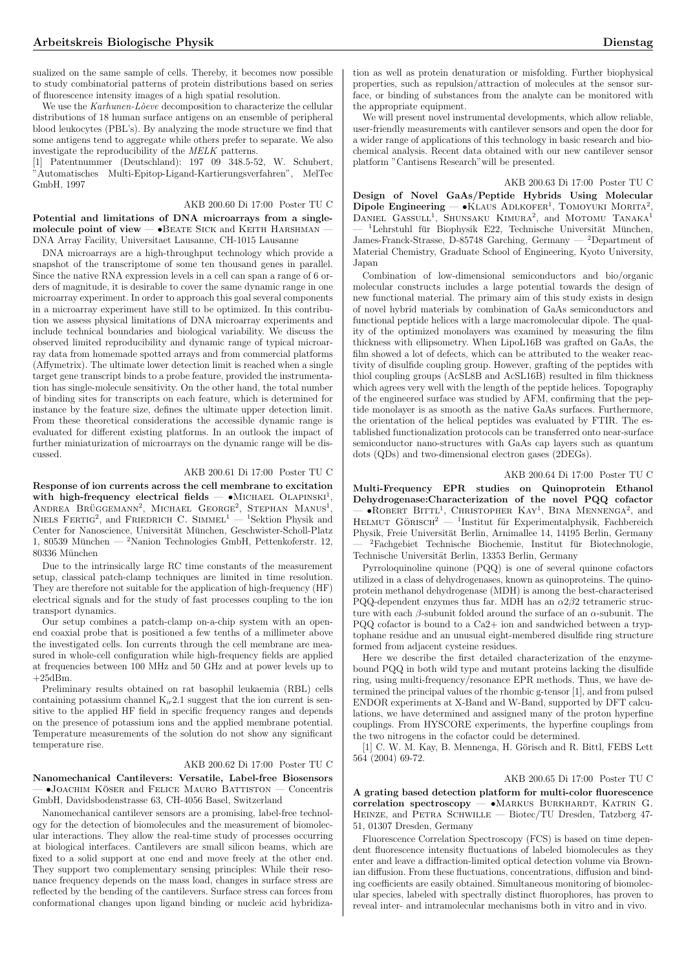sualized on the same sample of cells. Thereby, it becomes now possible to study combinatorial patterns of protein distributions based on series of fluorescence intensity images of a high spatial resolution.

We use the  $Karhunen-L\delta eve$  decomposition to characterize the cellular distributions of 18 human surface antigens on an ensemble of peripheral blood leukocytes (PBL's). By analyzing the mode structure we find that some antigens tend to aggregate while others prefer to separate. We also investigate the reproducibility of the MELK patterns.

[1] Patentnummer (Deutschland): 197 09 348.5-52, W. Schubert, "Automatisches Multi-Epitop-Ligand-Kartierungsverfahren", MelTec GmbH, 1997

# AKB 200.60 Di 17:00 Poster TU C

Potential and limitations of DNA microarrays from a singlemolecule point of view  $\bullet$ BEATE SICK and KEITH HARSHMAN DNA Array Facility, Universitaet Lausanne, CH-1015 Lausanne

DNA microarrays are a high-throughput technology which provide a snapshot of the transcriptome of some ten thousand genes in parallel. Since the native RNA expression levels in a cell can span a range of 6 orders of magnitude, it is desirable to cover the same dynamic range in one microarray experiment. In order to approach this goal several components in a microarray experiment have still to be optimized. In this contribution we assess physical limitations of DNA microarray experiments and include technical boundaries and biological variability. We discuss the observed limited reproducibility and dynamic range of typical microarray data from homemade spotted arrays and from commercial platforms (Affymetrix). The ultimate lower detection limit is reached when a single target gene transcript binds to a probe feature, provided the instrumentation has single-molecule sensitivity. On the other hand, the total number of binding sites for transcripts on each feature, which is determined for instance by the feature size, defines the ultimate upper detection limit. From these theoretical considerations the accessible dynamic range is evaluated for different existing platforms. In an outlook the impact of further miniaturization of microarrays on the dynamic range will be discussed.

# AKB 200.61 Di 17:00 Poster TU C

Response of ion currents across the cell membrane to excitation response of for currents across the centrical fields  $- \bullet$ MICHAEL OLAPINSKI<sup>1</sup>, WILL **INCREA BRÜGGEMANN<sup>2</sup>**, MICHAEL GEORGE<sup>2</sup>, STEPHAN MANUS<sup>1</sup>,  $NIELS$  FERTIG<sup>2</sup>, and FRIEDRICH C.  $SIMMEL<sup>1</sup>$  — <sup>1</sup>Sektion Physik and Center for Nanoscience, Universität München, Geschwister-Scholl-Platz 1, 80539 München — <sup>2</sup>Nanion Technologies GmbH, Pettenkoferstr. 12, 80336 München

Due to the intrinsically large RC time constants of the measurement setup, classical patch-clamp techniques are limited in time resolution. They are therefore not suitable for the application of high-frequency (HF) electrical signals and for the study of fast processes coupling to the ion transport dynamics.

Our setup combines a patch-clamp on-a-chip system with an openend coaxial probe that is positioned a few tenths of a millimeter above the investigated cells. Ion currents through the cell membrane are measured in whole-cell configuration while high-frequency fields are applied at frequencies between 100 MHz and 50 GHz and at power levels up to  $+25dBm$ .

Preliminary results obtained on rat basophil leukaemia (RBL) cells containing potassium channel  $K_{ir}2.1$  suggest that the ion current is sensitive to the applied HF field in specific frequency ranges and depends on the presence of potassium ions and the applied membrane potential. Temperature measurements of the solution do not show any significant temperature rise.

#### AKB 200.62 Di 17:00 Poster TU C

Nanomechanical Cantilevers: Versatile, Label-free Biosensors  $\bullet$ JOACHIM KÖSER and FELICE MAURO BATTISTON — Concentris GmbH, Davidsbodenstrasse 63, CH-4056 Basel, Switzerland

Nanomechanical cantilever sensors are a promising, label-free technology for the detection of biomolecules and the measurement of biomolecular interactions. They allow the real-time study of processes occurring at biological interfaces. Cantilevers are small silicon beams, which are fixed to a solid support at one end and move freely at the other end. They support two complementary sensing principles: While their resonance frequency depends on the mass load, changes in surface stress are reflected by the bending of the cantilevers. Surface stress can forces from conformational changes upon ligand binding or nucleic acid hybridization as well as protein denaturation or misfolding. Further biophysical properties, such as repulsion/attraction of molecules at the sensor surface, or binding of substances from the analyte can be monitored with the appropriate equipment.

We will present novel instrumental developments, which allow reliable, user-friendly measurements with cantilever sensors and open the door for a wider range of applications of this technology in basic research and biochemical analysis. Recent data obtained with our new cantilever sensor platform "Cantisens Research"will be presented.

### AKB 200.63 Di 17:00 Poster TU C

Design of Novel GaAs/Peptide Hybrids Using Molecular Dipole Engineering — •KLAUS ADLKOFER<sup>1</sup>, TOMOYUKI MORITA<sup>2</sup>,  $D$ ADANIEL GASSULL<sup>1</sup>, SHUNSAKU KIMURA<sup>2</sup>, and MOTOMU TANAKA<sup>1</sup> <sup>1</sup>Lehrstuhl für Biophysik E22, Technische Universität München, James-Franck-Strasse, D-85748 Garching, Germany — <sup>2</sup>Department of Material Chemistry, Graduate School of Engineering, Kyoto University, Japan

Combination of low-dimensional semiconductors and bio/organic molecular constructs includes a large potential towards the design of new functional material. The primary aim of this study exists in design of novel hybrid materials by combination of GaAs semiconductors and functional peptide helices with a large macromolecular dipole. The quality of the optimized monolayers was examined by measuring the film thickness with ellipsometry. When LipoL16B was grafted on GaAs, the film showed a lot of defects, which can be attributed to the weaker reactivity of disulfide coupling group. However, grafting of the peptides with thiol coupling groups (AcSL8B and AcSL16B) resulted in film thickness which agrees very well with the length of the peptide helices. Topography of the engineered surface was studied by AFM, confirming that the peptide monolayer is as smooth as the native GaAs surfaces. Furthermore, the orientation of the helical peptides was evaluated by FTIR. The established functionalization protocols can be transferred onto near-surface semiconductor nano-structures with GaAs cap layers such as quantum dots (QDs) and two-dimensional electron gases (2DEGs).

# AKB 200.64 Di 17:00 Poster TU C

Multi-Frequency EPR studies on Quinoprotein Ethanol Dehydrogenase:Characterization of the novel PQQ cofactor  $\mu_{\text{W}}$  Christopher Kay<sup>1</sup>, Bina Mennenga<sup>2</sup>, and  $-$  • HOBERT BITTE, CHRISTOPHER KAT, BINA MENNENGA, and HELMUT GÖRISCH<sup>2</sup>  $-$  <sup>1</sup>Institut für Experimentalphysik, Fachbereich Physik, Freie Universität Berlin, Arnimallee 14, 14195 Berlin, Germany <sup>2</sup>Fachgebiet Technische Biochemie, Institut für Biotechnologie, Technische Universität Berlin, 13353 Berlin, Germany

Pyrroloquinoline quinone (PQQ) is one of several quinone cofactors utilized in a class of dehydrogenases, known as quinoproteins. The quinoprotein methanol dehydrogenase (MDH) is among the best-characterised PQQ-dependent enzymes thus far. MDH has an  $\alpha$ 2 $\beta$ 2 tetrameric structure with each  $\beta$ -subunit folded around the surface of an  $\alpha$ -subunit. The PQQ cofactor is bound to a Ca2+ ion and sandwiched between a tryptophane residue and an unusual eight-membered disulfide ring structure formed from adjacent cysteine residues.

Here we describe the first detailed characterization of the enzymebound PQQ in both wild type and mutant proteins lacking the disulfide ring, using multi-frequency/resonance EPR methods. Thus, we have determined the principal values of the rhombic g-tensor [1], and from pulsed ENDOR experiments at X-Band and W-Band, supported by DFT calculations, we have determined and assigned many of the proton hyperfine couplings. From HYSCORE experiments, the hyperfine couplings from the two nitrogens in the cofactor could be determined.

[1] C. W. M. Kay, B. Mennenga, H. Görisch and R. Bittl, FEBS Lett 564 (2004) 69-72.

AKB 200.65 Di 17:00 Poster TU C

A grating based detection platform for multi-color fluorescence correlation spectroscopy - • MARKUS BURKHARDT, KATRIN G. HEINZE, and PETRA SCHWILLE — Biotec/TU Dresden, Tatzberg 47-51, 01307 Dresden, Germany

Fluorescence Correlation Spectroscopy (FCS) is based on time dependent fluorescence intensity fluctuations of labeled biomolecules as they enter and leave a diffraction-limited optical detection volume via Brownian diffusion. From these fluctuations, concentrations, diffusion and binding coefficients are easily obtained. Simultaneous monitoring of biomolecular species, labeled with spectrally distinct fluorophores, has proven to reveal inter- and intramolecular mechanisms both in vitro and in vivo.